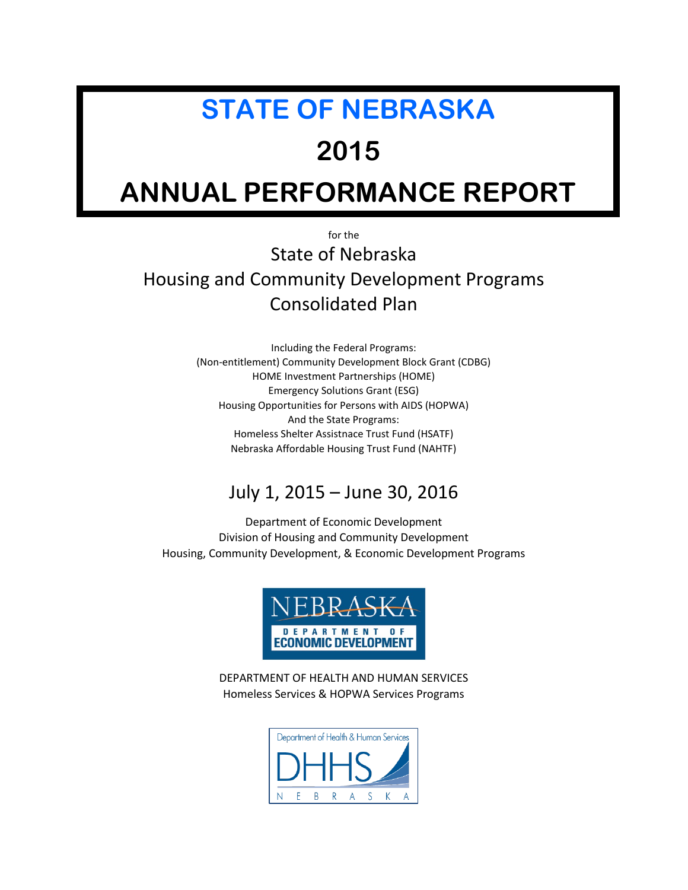# **STATE OF NEBRASKA**

# **2015**

# **ANNUAL PERFORMANCE REPORT**

for the

State of Nebraska Housing and Community Development Programs Consolidated Plan

> Including the Federal Programs: (Non-entitlement) Community Development Block Grant (CDBG) HOME Investment Partnerships (HOME) Emergency Solutions Grant (ESG) Housing Opportunities for Persons with AIDS (HOPWA) And the State Programs: Homeless Shelter Assistnace Trust Fund (HSATF) Nebraska Affordable Housing Trust Fund (NAHTF)

# July 1, 2015 – June 30, 2016

Department of Economic Development Division of Housing and Community Development Housing, Community Development, & Economic Development Programs



DEPARTMENT OF HEALTH AND HUMAN SERVICES Homeless Services & HOPWA Services Programs

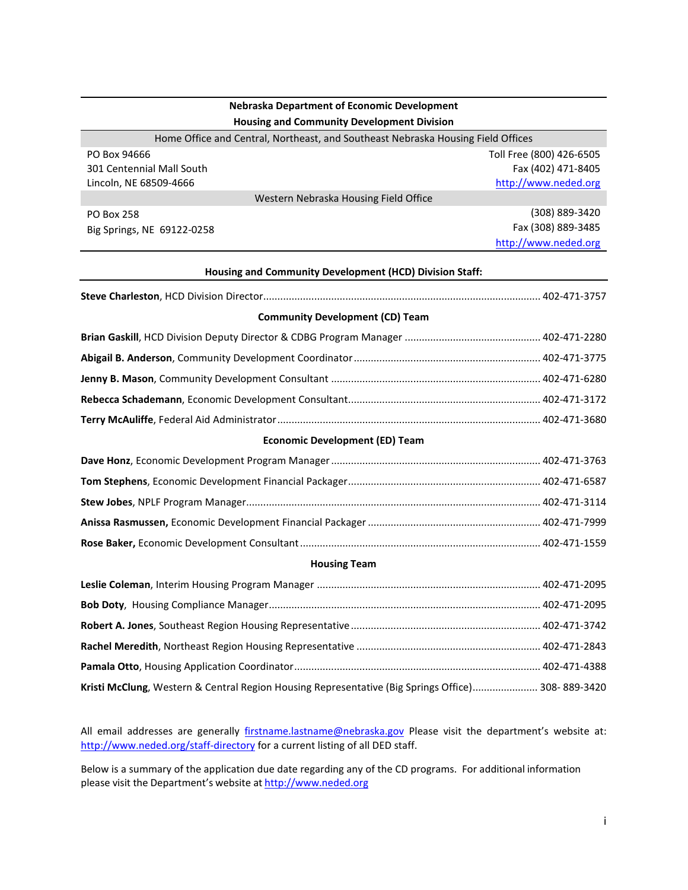#### **Nebraska Department of Economic Development Housing and Community Development Division**

| Home Office and Central, Northeast, and Southeast Nebraska Housing Field Offices |                          |  |
|----------------------------------------------------------------------------------|--------------------------|--|
| PO Box 94666                                                                     | Toll Free (800) 426-6505 |  |
| 301 Centennial Mall South                                                        | Fax (402) 471-8405       |  |
| Lincoln, NE 68509-4666                                                           | http://www.neded.org     |  |
| Western Nebraska Housing Field Office                                            |                          |  |
| PO Box 258                                                                       | (308) 889-3420           |  |
| Big Springs, NE 69122-0258                                                       | Fax (308) 889-3485       |  |
|                                                                                  | http://www.neded.org     |  |
|                                                                                  |                          |  |

#### **Housing and Community Development (HCD) Division Staff:**

|--|--|--|--|

#### **Community Development (CD) Team**

#### **Economic Development (ED) Team**

#### **Housing Team**

| Kristi McClung, Western & Central Region Housing Representative (Big Springs Office) 308-889-3420 |  |
|---------------------------------------------------------------------------------------------------|--|

All email addresses are generally [firstname.lastname@nebraska.gov](mailto:firstname.lastname@nebraska.gov) Please visit the department's website at: <http://www.neded.org/staff-directory> for a current listing of all DED staff.

Below is a summary of the application due date regarding any of the CD programs. For additional information please visit the Department's website a[t http://www.neded.org](http://www.neded.org/)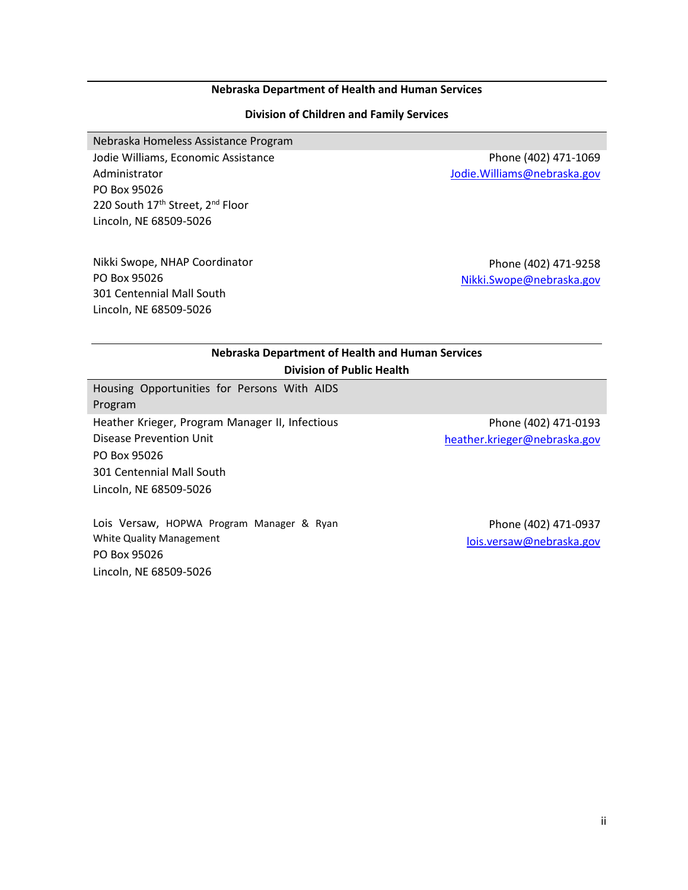#### **Nebraska Department of Health and Human Services**

#### **Division of Children and Family Services**

Nebraska Homeless Assistance Program

Jodie Williams, Economic Assistance Administrator PO Box 95026 220 South 17<sup>th</sup> Street, 2<sup>nd</sup> Floor Lincoln, NE 68509-5026

Nikki Swope, NHAP Coordinator PO Box 95026 301 Centennial Mall South Lincoln, NE 68509-5026

Phone (402) 471-1069 [Jodie.Williams@nebraska.gov](mailto:Jodie.Williams@nebraska.gov)

Phone (402) 471-9258 [Nikki.Swope@nebraska.gov](mailto:Nikki.Swope@nebraska.gov)

| Nebraska Department of Health and Human Services       |                                  |    |
|--------------------------------------------------------|----------------------------------|----|
|                                                        | <b>Division of Public Health</b> |    |
| Housing Opportunities for Persons With AIDS<br>Program |                                  |    |
| Heather Krisser, Drearam Manager II, Infectious        |                                  | Dh |

Heather Krieger, Program Manager II, Infectious Disease Prevention Unit PO Box 95026 301 Centennial Mall South Lincoln, NE 68509-5026

Lois Versaw, HOPWA Program Manager & Ryan White Quality Management PO Box 95026 Lincoln, NE 68509-5026

Phone (402) 471-0193 [heather.krieger@nebraska.gov](mailto:heather.krieger@nebraska.gov)

> Phone (402) 471-0937 [lois.versaw@nebraska.gov](mailto:lois.versaw@nebraska.gov)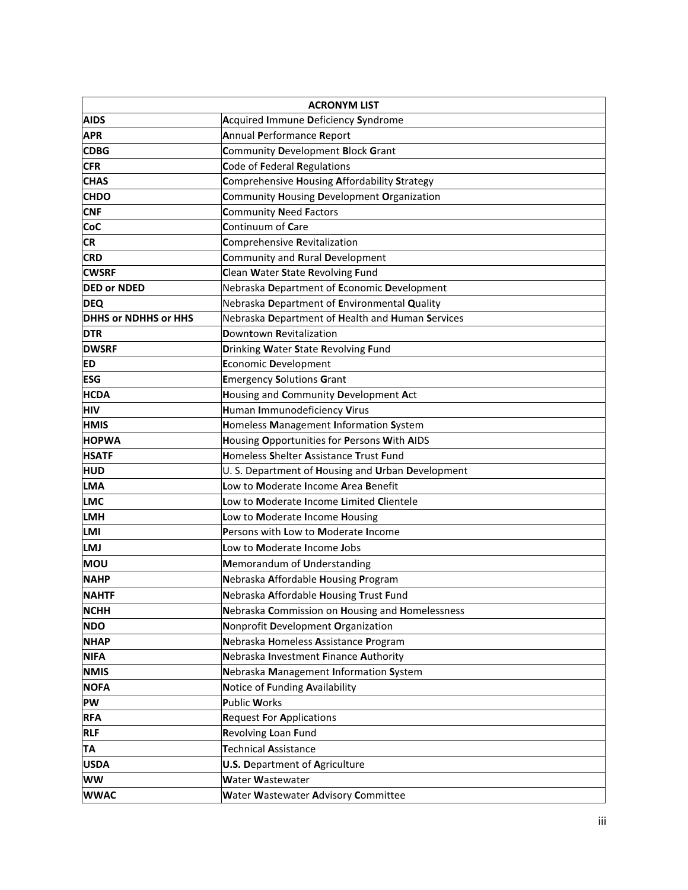|                             | <b>ACRONYM LIST</b>                               |
|-----------------------------|---------------------------------------------------|
| <b>AIDS</b>                 | Acquired Immune Deficiency Syndrome               |
| <b>APR</b>                  | Annual Performance Report                         |
| <b>CDBG</b>                 | Community Development Block Grant                 |
| <b>CFR</b>                  | Code of Federal Regulations                       |
| <b>CHAS</b>                 | Comprehensive Housing Affordability Strategy      |
| <b>CHDO</b>                 | Community Housing Development Organization        |
| <b>CNF</b>                  | <b>Community Need Factors</b>                     |
| CoC                         | Continuum of Care                                 |
| <b>CR</b>                   | Comprehensive Revitalization                      |
| <b>CRD</b>                  | Community and Rural Development                   |
| <b>CWSRF</b>                | Clean Water State Revolving Fund                  |
| <b>DED or NDED</b>          | Nebraska Department of Economic Development       |
| <b>DEQ</b>                  | Nebraska Department of Environmental Quality      |
| <b>DHHS or NDHHS or HHS</b> | Nebraska Department of Health and Human Services  |
| <b>DTR</b>                  | Downtown Revitalization                           |
| <b>DWSRF</b>                | Drinking Water State Revolving Fund               |
| <b>ED</b>                   | Economic Development                              |
| <b>ESG</b>                  | <b>Emergency Solutions Grant</b>                  |
| <b>HCDA</b>                 | Housing and Community Development Act             |
| <b>HIV</b>                  | Human Immunodeficiency Virus                      |
| <b>HMIS</b>                 | Homeless Management Information System            |
| <b>HOPWA</b>                | Housing Opportunities for Persons With AIDS       |
| <b>HSATF</b>                | Homeless Shelter Assistance Trust Fund            |
| <b>HUD</b>                  | U. S. Department of Housing and Urban Development |
| <b>LMA</b>                  | Low to Moderate Income Area Benefit               |
| <b>LMC</b>                  | Low to Moderate Income Limited Clientele          |
| <b>LMH</b>                  | Low to Moderate Income Housing                    |
| <b>LMI</b>                  | Persons with Low to Moderate Income               |
| <b>LMJ</b>                  | Low to Moderate Income Jobs                       |
| <b>MOU</b>                  | Memorandum of Understanding                       |
| <b>NAHP</b>                 | Nebraska Affordable Housing Program               |
| <b>NAHTF</b>                | Nebraska Affordable Housing Trust Fund            |
| <b>NCHH</b>                 | Nebraska Commission on Housing and Homelessness   |
| <b>NDO</b>                  | Nonprofit Development Organization                |
| <b>NHAP</b>                 | Nebraska Homeless Assistance Program              |
| <b>NIFA</b>                 | Nebraska Investment Finance Authority             |
| <b>NMIS</b>                 | Nebraska Management Information System            |
| <b>NOFA</b>                 | Notice of Funding Availability                    |
| PW                          | <b>Public Works</b>                               |
| <b>RFA</b>                  | <b>Request For Applications</b>                   |
| <b>RLF</b>                  | Revolving Loan Fund                               |
| TA                          | <b>Technical Assistance</b>                       |
| <b>USDA</b>                 | <b>U.S. Department of Agriculture</b>             |
| <b>WW</b>                   | Water Wastewater                                  |
| <b>WWAC</b>                 | Water Wastewater Advisory Committee               |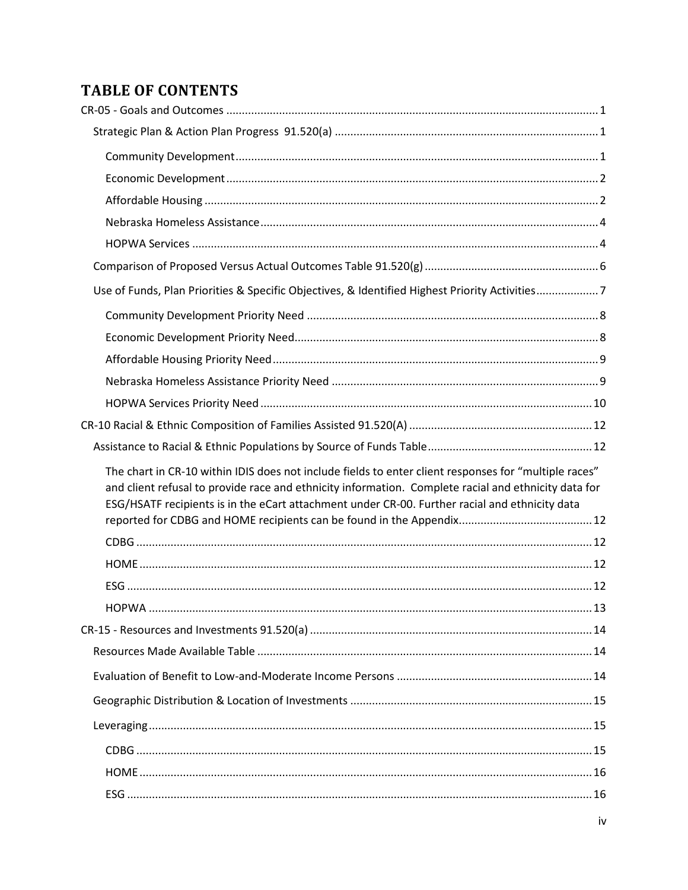# **TABLE OF CONTENTS**

| Use of Funds, Plan Priorities & Specific Objectives, & Identified Highest Priority Activities7                                                                                                                                                                                                                  |  |
|-----------------------------------------------------------------------------------------------------------------------------------------------------------------------------------------------------------------------------------------------------------------------------------------------------------------|--|
|                                                                                                                                                                                                                                                                                                                 |  |
|                                                                                                                                                                                                                                                                                                                 |  |
|                                                                                                                                                                                                                                                                                                                 |  |
|                                                                                                                                                                                                                                                                                                                 |  |
|                                                                                                                                                                                                                                                                                                                 |  |
|                                                                                                                                                                                                                                                                                                                 |  |
|                                                                                                                                                                                                                                                                                                                 |  |
|                                                                                                                                                                                                                                                                                                                 |  |
| The chart in CR-10 within IDIS does not include fields to enter client responses for "multiple races"<br>and client refusal to provide race and ethnicity information. Complete racial and ethnicity data for<br>ESG/HSATF recipients is in the eCart attachment under CR-00. Further racial and ethnicity data |  |
|                                                                                                                                                                                                                                                                                                                 |  |
|                                                                                                                                                                                                                                                                                                                 |  |
|                                                                                                                                                                                                                                                                                                                 |  |
|                                                                                                                                                                                                                                                                                                                 |  |
|                                                                                                                                                                                                                                                                                                                 |  |
|                                                                                                                                                                                                                                                                                                                 |  |
|                                                                                                                                                                                                                                                                                                                 |  |
|                                                                                                                                                                                                                                                                                                                 |  |
|                                                                                                                                                                                                                                                                                                                 |  |
|                                                                                                                                                                                                                                                                                                                 |  |
|                                                                                                                                                                                                                                                                                                                 |  |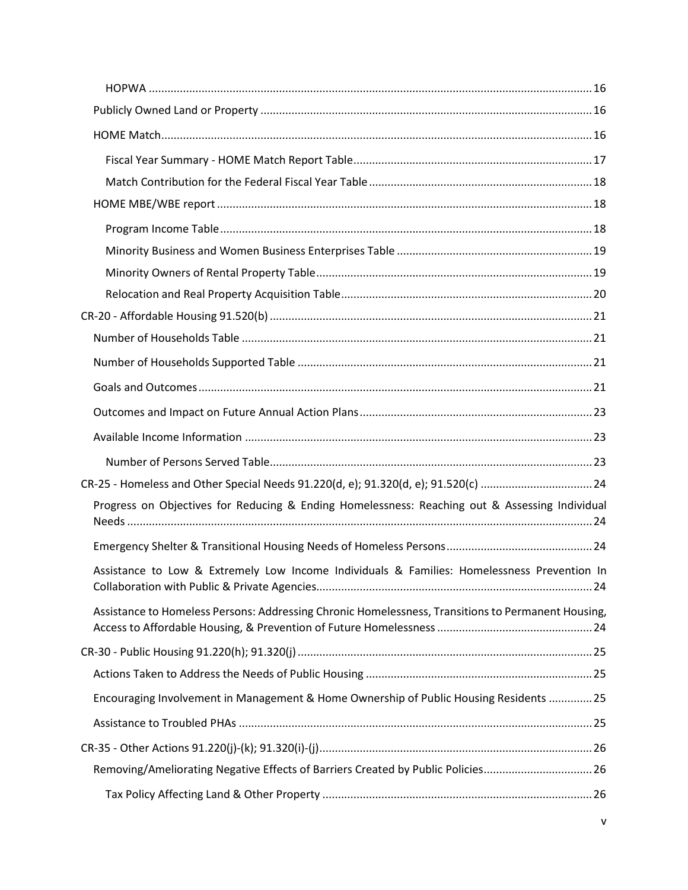| CR-25 - Homeless and Other Special Needs 91.220(d, e); 91.320(d, e); 91.520(c) 24                  |
|----------------------------------------------------------------------------------------------------|
| Progress on Objectives for Reducing & Ending Homelessness: Reaching out & Assessing Individual     |
|                                                                                                    |
| Assistance to Low & Extremely Low Income Individuals & Families: Homelessness Prevention In        |
| Assistance to Homeless Persons: Addressing Chronic Homelessness, Transitions to Permanent Housing, |
|                                                                                                    |
|                                                                                                    |
| Encouraging Involvement in Management & Home Ownership of Public Housing Residents 25              |
|                                                                                                    |
|                                                                                                    |
| Removing/Ameliorating Negative Effects of Barriers Created by Public Policies26                    |
|                                                                                                    |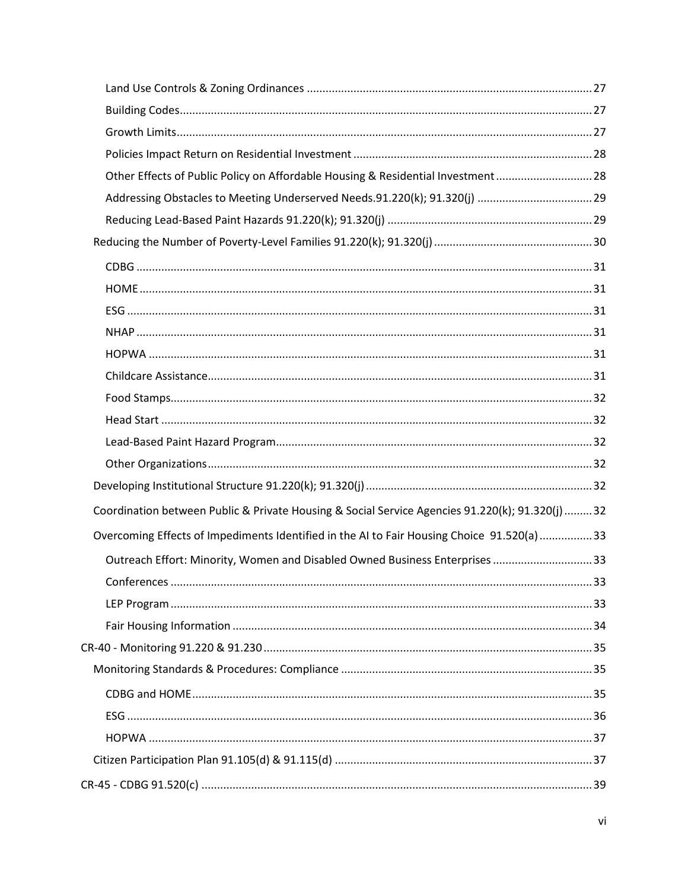| Other Effects of Public Policy on Affordable Housing & Residential Investment28                 |
|-------------------------------------------------------------------------------------------------|
|                                                                                                 |
|                                                                                                 |
|                                                                                                 |
|                                                                                                 |
|                                                                                                 |
|                                                                                                 |
|                                                                                                 |
|                                                                                                 |
|                                                                                                 |
|                                                                                                 |
|                                                                                                 |
|                                                                                                 |
|                                                                                                 |
|                                                                                                 |
| Coordination between Public & Private Housing & Social Service Agencies 91.220(k); 91.320(j) 32 |
| Overcoming Effects of Impediments Identified in the AI to Fair Housing Choice 91.520(a) 33      |
| Outreach Effort: Minority, Women and Disabled Owned Business Enterprises 33                     |
|                                                                                                 |
|                                                                                                 |
|                                                                                                 |
|                                                                                                 |
|                                                                                                 |
|                                                                                                 |
|                                                                                                 |
|                                                                                                 |
|                                                                                                 |
|                                                                                                 |
|                                                                                                 |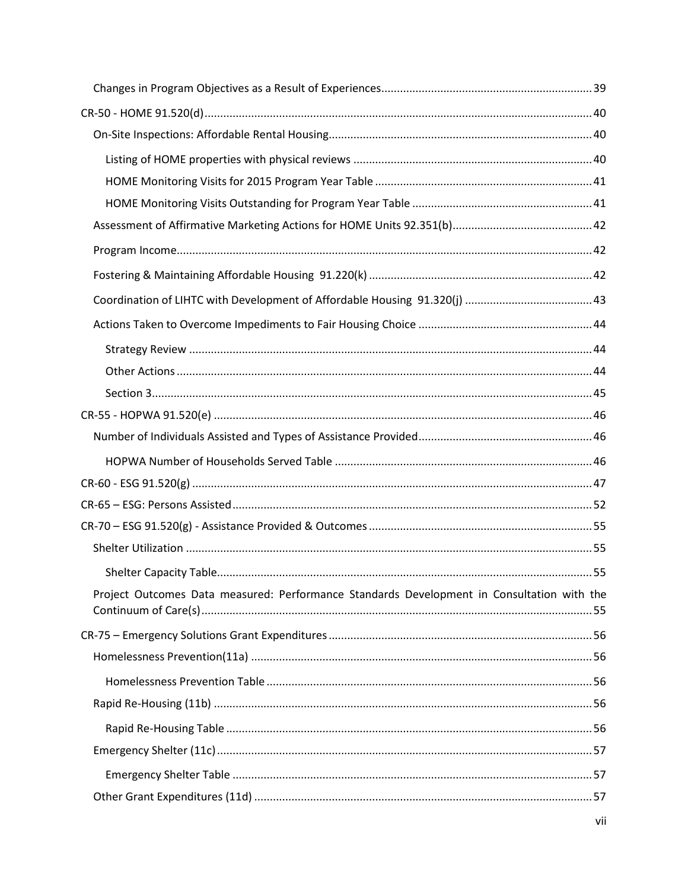| Project Outcomes Data measured: Performance Standards Development in Consultation with the |  |
|--------------------------------------------------------------------------------------------|--|
|                                                                                            |  |
|                                                                                            |  |
|                                                                                            |  |
|                                                                                            |  |
|                                                                                            |  |
|                                                                                            |  |
|                                                                                            |  |
|                                                                                            |  |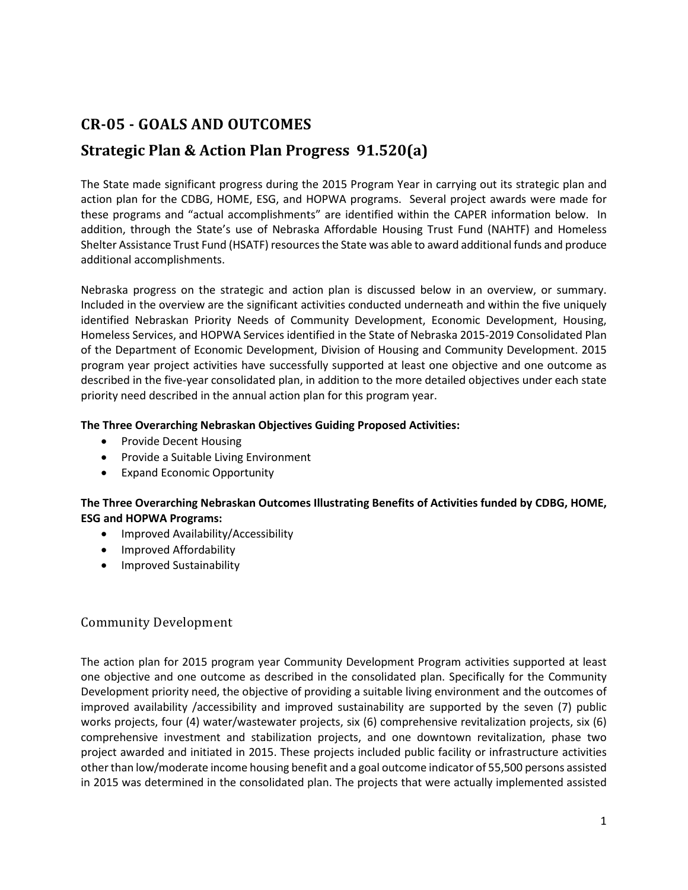# <span id="page-9-0"></span>**CR-05 - GOALS AND OUTCOMES**

# <span id="page-9-1"></span>**Strategic Plan & Action Plan Progress 91.520(a)**

The State made significant progress during the 2015 Program Year in carrying out its strategic plan and action plan for the CDBG, HOME, ESG, and HOPWA programs. Several project awards were made for these programs and "actual accomplishments" are identified within the CAPER information below. In addition, through the State's use of Nebraska Affordable Housing Trust Fund (NAHTF) and Homeless Shelter Assistance Trust Fund (HSATF) resources the State was able to award additional funds and produce additional accomplishments.

Nebraska progress on the strategic and action plan is discussed below in an overview, or summary. Included in the overview are the significant activities conducted underneath and within the five uniquely identified Nebraskan Priority Needs of Community Development, Economic Development, Housing, Homeless Services, and HOPWA Services identified in the State of Nebraska 2015-2019 Consolidated Plan of the Department of Economic Development, Division of Housing and Community Development. 2015 program year project activities have successfully supported at least one objective and one outcome as described in the five-year consolidated plan, in addition to the more detailed objectives under each state priority need described in the annual action plan for this program year.

#### **The Three Overarching Nebraskan Objectives Guiding Proposed Activities:**

- Provide Decent Housing
- Provide a Suitable Living Environment
- Expand Economic Opportunity

#### **The Three Overarching Nebraskan Outcomes Illustrating Benefits of Activities funded by CDBG, HOME, ESG and HOPWA Programs:**

- Improved Availability/Accessibility
- Improved Affordability
- Improved Sustainability

#### <span id="page-9-2"></span>Community Development

The action plan for 2015 program year Community Development Program activities supported at least one objective and one outcome as described in the consolidated plan. Specifically for the Community Development priority need, the objective of providing a suitable living environment and the outcomes of improved availability /accessibility and improved sustainability are supported by the seven (7) public works projects, four (4) water/wastewater projects, six (6) comprehensive revitalization projects, six (6) comprehensive investment and stabilization projects, and one downtown revitalization, phase two project awarded and initiated in 2015. These projects included public facility or infrastructure activities other than low/moderate income housing benefit and a goal outcome indicator of 55,500 persons assisted in 2015 was determined in the consolidated plan. The projects that were actually implemented assisted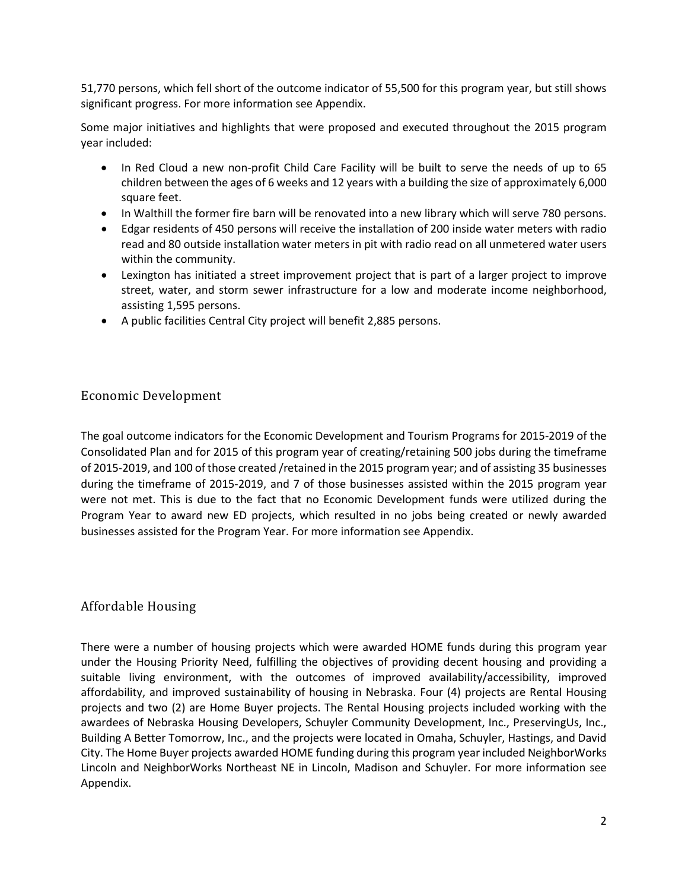51,770 persons, which fell short of the outcome indicator of 55,500 for this program year, but still shows significant progress. For more information see Appendix.

Some major initiatives and highlights that were proposed and executed throughout the 2015 program year included:

- In Red Cloud a new non-profit Child Care Facility will be built to serve the needs of up to 65 children between the ages of 6 weeks and 12 years with a building the size of approximately 6,000 square feet.
- In Walthill the former fire barn will be renovated into a new library which will serve 780 persons.
- Edgar residents of 450 persons will receive the installation of 200 inside water meters with radio read and 80 outside installation water meters in pit with radio read on all unmetered water users within the community.
- Lexington has initiated a street improvement project that is part of a larger project to improve street, water, and storm sewer infrastructure for a low and moderate income neighborhood, assisting 1,595 persons.
- A public facilities Central City project will benefit 2,885 persons.

#### <span id="page-10-0"></span>Economic Development

The goal outcome indicators for the Economic Development and Tourism Programs for 2015-2019 of the Consolidated Plan and for 2015 of this program year of creating/retaining 500 jobs during the timeframe of 2015-2019, and 100 of those created /retained in the 2015 program year; and of assisting 35 businesses during the timeframe of 2015-2019, and 7 of those businesses assisted within the 2015 program year were not met. This is due to the fact that no Economic Development funds were utilized during the Program Year to award new ED projects, which resulted in no jobs being created or newly awarded businesses assisted for the Program Year. For more information see Appendix.

#### <span id="page-10-1"></span>Affordable Housing

There were a number of housing projects which were awarded HOME funds during this program year under the Housing Priority Need, fulfilling the objectives of providing decent housing and providing a suitable living environment, with the outcomes of improved availability/accessibility, improved affordability, and improved sustainability of housing in Nebraska. Four (4) projects are Rental Housing projects and two (2) are Home Buyer projects. The Rental Housing projects included working with the awardees of Nebraska Housing Developers, Schuyler Community Development, Inc., PreservingUs, Inc., Building A Better Tomorrow, Inc., and the projects were located in Omaha, Schuyler, Hastings, and David City. The Home Buyer projects awarded HOME funding during this program year included NeighborWorks Lincoln and NeighborWorks Northeast NE in Lincoln, Madison and Schuyler. For more information see Appendix.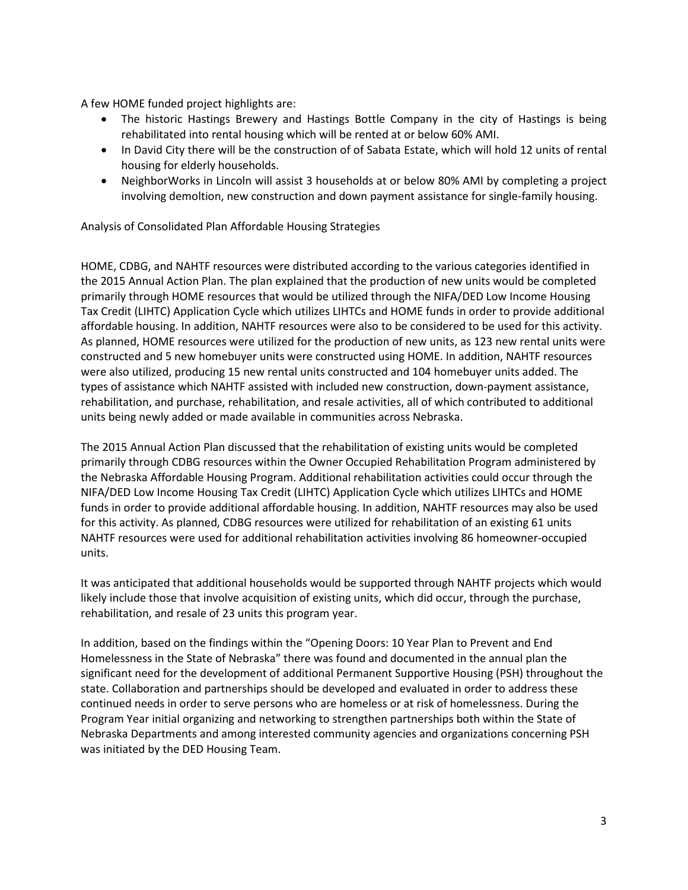A few HOME funded project highlights are:

- The historic Hastings Brewery and Hastings Bottle Company in the city of Hastings is being rehabilitated into rental housing which will be rented at or below 60% AMI.
- In David City there will be the construction of of Sabata Estate, which will hold 12 units of rental housing for elderly households.
- NeighborWorks in Lincoln will assist 3 households at or below 80% AMI by completing a project involving demoltion, new construction and down payment assistance for single-family housing.

Analysis of Consolidated Plan Affordable Housing Strategies

HOME, CDBG, and NAHTF resources were distributed according to the various categories identified in the 2015 Annual Action Plan. The plan explained that the production of new units would be completed primarily through HOME resources that would be utilized through the NIFA/DED Low Income Housing Tax Credit (LIHTC) Application Cycle which utilizes LIHTCs and HOME funds in order to provide additional affordable housing. In addition, NAHTF resources were also to be considered to be used for this activity. As planned, HOME resources were utilized for the production of new units, as 123 new rental units were constructed and 5 new homebuyer units were constructed using HOME. In addition, NAHTF resources were also utilized, producing 15 new rental units constructed and 104 homebuyer units added. The types of assistance which NAHTF assisted with included new construction, down-payment assistance, rehabilitation, and purchase, rehabilitation, and resale activities, all of which contributed to additional units being newly added or made available in communities across Nebraska.

The 2015 Annual Action Plan discussed that the rehabilitation of existing units would be completed primarily through CDBG resources within the Owner Occupied Rehabilitation Program administered by the Nebraska Affordable Housing Program. Additional rehabilitation activities could occur through the NIFA/DED Low Income Housing Tax Credit (LIHTC) Application Cycle which utilizes LIHTCs and HOME funds in order to provide additional affordable housing. In addition, NAHTF resources may also be used for this activity. As planned, CDBG resources were utilized for rehabilitation of an existing 61 units NAHTF resources were used for additional rehabilitation activities involving 86 homeowner-occupied units.

It was anticipated that additional households would be supported through NAHTF projects which would likely include those that involve acquisition of existing units, which did occur, through the purchase, rehabilitation, and resale of 23 units this program year.

In addition, based on the findings within the "Opening Doors: 10 Year Plan to Prevent and End Homelessness in the State of Nebraska" there was found and documented in the annual plan the significant need for the development of additional Permanent Supportive Housing (PSH) throughout the state. Collaboration and partnerships should be developed and evaluated in order to address these continued needs in order to serve persons who are homeless or at risk of homelessness. During the Program Year initial organizing and networking to strengthen partnerships both within the State of Nebraska Departments and among interested community agencies and organizations concerning PSH was initiated by the DED Housing Team.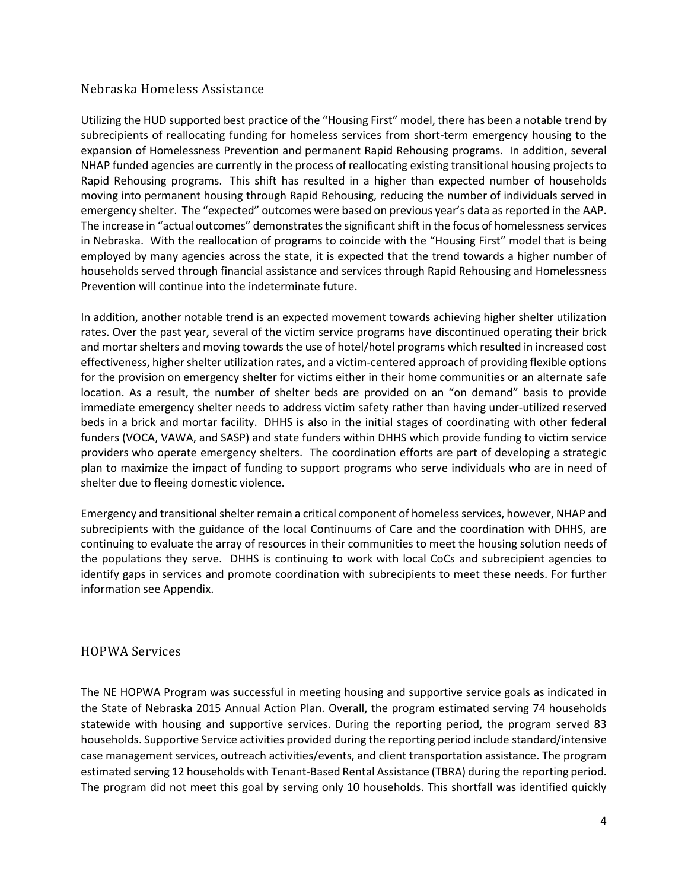#### <span id="page-12-0"></span>Nebraska Homeless Assistance

Utilizing the HUD supported best practice of the "Housing First" model, there has been a notable trend by subrecipients of reallocating funding for homeless services from short-term emergency housing to the expansion of Homelessness Prevention and permanent Rapid Rehousing programs. In addition, several NHAP funded agencies are currently in the process of reallocating existing transitional housing projects to Rapid Rehousing programs. This shift has resulted in a higher than expected number of households moving into permanent housing through Rapid Rehousing, reducing the number of individuals served in emergency shelter. The "expected" outcomes were based on previous year's data as reported in the AAP. The increase in "actual outcomes" demonstrates the significant shift in the focus of homelessness services in Nebraska. With the reallocation of programs to coincide with the "Housing First" model that is being employed by many agencies across the state, it is expected that the trend towards a higher number of households served through financial assistance and services through Rapid Rehousing and Homelessness Prevention will continue into the indeterminate future.

In addition, another notable trend is an expected movement towards achieving higher shelter utilization rates. Over the past year, several of the victim service programs have discontinued operating their brick and mortar shelters and moving towards the use of hotel/hotel programs which resulted in increased cost effectiveness, higher shelter utilization rates, and a victim-centered approach of providing flexible options for the provision on emergency shelter for victims either in their home communities or an alternate safe location. As a result, the number of shelter beds are provided on an "on demand" basis to provide immediate emergency shelter needs to address victim safety rather than having under-utilized reserved beds in a brick and mortar facility. DHHS is also in the initial stages of coordinating with other federal funders (VOCA, VAWA, and SASP) and state funders within DHHS which provide funding to victim service providers who operate emergency shelters. The coordination efforts are part of developing a strategic plan to maximize the impact of funding to support programs who serve individuals who are in need of shelter due to fleeing domestic violence.

Emergency and transitional shelter remain a critical component of homeless services, however, NHAP and subrecipients with the guidance of the local Continuums of Care and the coordination with DHHS, are continuing to evaluate the array of resources in their communities to meet the housing solution needs of the populations they serve. DHHS is continuing to work with local CoCs and subrecipient agencies to identify gaps in services and promote coordination with subrecipients to meet these needs. For further information see Appendix.

#### <span id="page-12-1"></span>HOPWA Services

The NE HOPWA Program was successful in meeting housing and supportive service goals as indicated in the State of Nebraska 2015 Annual Action Plan. Overall, the program estimated serving 74 households statewide with housing and supportive services. During the reporting period, the program served 83 households. Supportive Service activities provided during the reporting period include standard/intensive case management services, outreach activities/events, and client transportation assistance. The program estimated serving 12 households with Tenant-Based Rental Assistance (TBRA) during the reporting period. The program did not meet this goal by serving only 10 households. This shortfall was identified quickly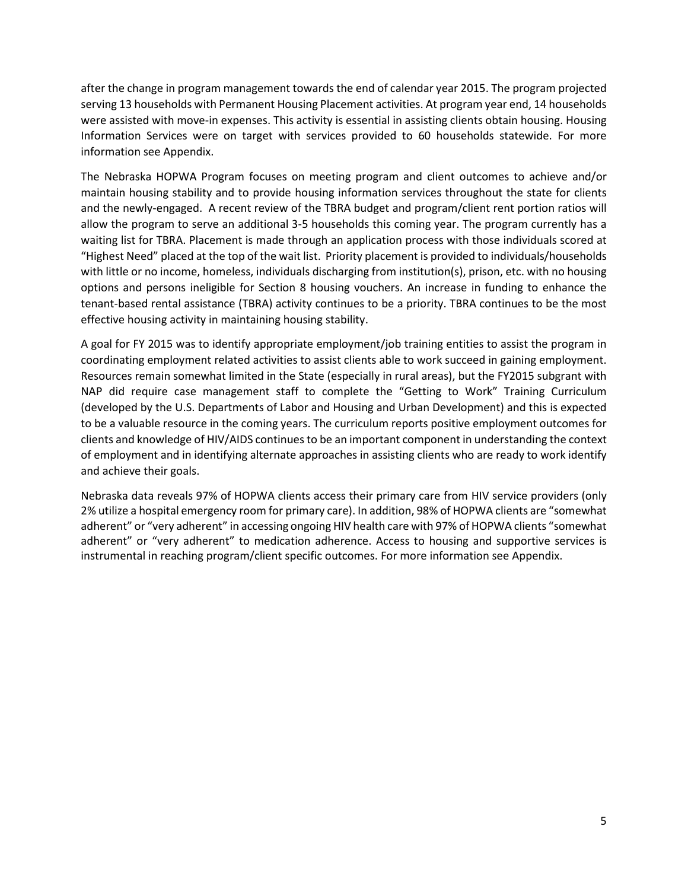after the change in program management towards the end of calendar year 2015. The program projected serving 13 households with Permanent Housing Placement activities. At program year end, 14 households were assisted with move-in expenses. This activity is essential in assisting clients obtain housing. Housing Information Services were on target with services provided to 60 households statewide. For more information see Appendix.

The Nebraska HOPWA Program focuses on meeting program and client outcomes to achieve and/or maintain housing stability and to provide housing information services throughout the state for clients and the newly-engaged. A recent review of the TBRA budget and program/client rent portion ratios will allow the program to serve an additional 3-5 households this coming year. The program currently has a waiting list for TBRA. Placement is made through an application process with those individuals scored at "Highest Need" placed at the top of the wait list. Priority placement is provided to individuals/households with little or no income, homeless, individuals discharging from institution(s), prison, etc. with no housing options and persons ineligible for Section 8 housing vouchers. An increase in funding to enhance the tenant-based rental assistance (TBRA) activity continues to be a priority. TBRA continues to be the most effective housing activity in maintaining housing stability.

A goal for FY 2015 was to identify appropriate employment/job training entities to assist the program in coordinating employment related activities to assist clients able to work succeed in gaining employment. Resources remain somewhat limited in the State (especially in rural areas), but the FY2015 subgrant with NAP did require case management staff to complete the "Getting to Work" Training Curriculum (developed by the U.S. Departments of Labor and Housing and Urban Development) and this is expected to be a valuable resource in the coming years. The curriculum reports positive employment outcomes for clients and knowledge of HIV/AIDS continues to be an important component in understanding the context of employment and in identifying alternate approaches in assisting clients who are ready to work identify and achieve their goals.

Nebraska data reveals 97% of HOPWA clients access their primary care from HIV service providers (only 2% utilize a hospital emergency room for primary care). In addition, 98% of HOPWA clients are "somewhat adherent" or "very adherent" in accessing ongoing HIV health care with 97% of HOPWA clients "somewhat adherent" or "very adherent" to medication adherence. Access to housing and supportive services is instrumental in reaching program/client specific outcomes. For more information see Appendix.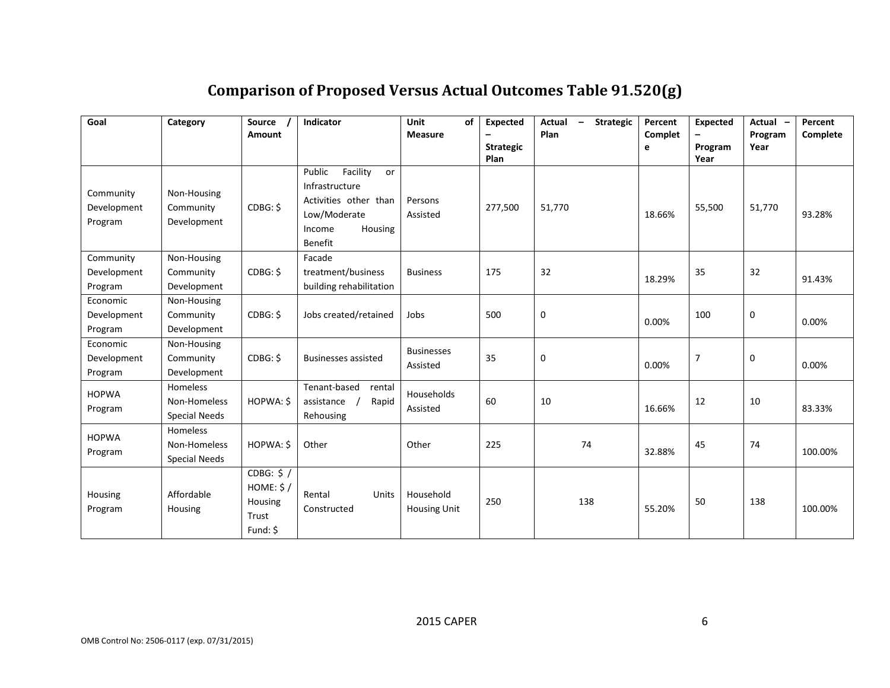<span id="page-14-0"></span>

| Goal                                | Category                                         | Source<br><b>Amount</b>                                  | Indicator                                                                                                                  | <b>Unit</b><br>of<br><b>Measure</b> | <b>Expected</b><br><b>Strategic</b><br>Plan | <b>Strategic</b><br>Actual<br>$\overline{\phantom{a}}$<br>Plan | Percent<br>Complet<br>e | <b>Expected</b><br>Program<br>Year | Actual -<br>Program<br>Year | Percent<br>Complete |
|-------------------------------------|--------------------------------------------------|----------------------------------------------------------|----------------------------------------------------------------------------------------------------------------------------|-------------------------------------|---------------------------------------------|----------------------------------------------------------------|-------------------------|------------------------------------|-----------------------------|---------------------|
| Community<br>Development<br>Program | Non-Housing<br>Community<br>Development          | CDBG: \$                                                 | Public<br>Facility<br>or<br>Infrastructure<br>Activities other than<br>Low/Moderate<br>Income<br>Housing<br><b>Benefit</b> | Persons<br>Assisted                 | 277,500                                     | 51,770                                                         | 18.66%                  | 55,500                             | 51,770                      | 93.28%              |
| Community<br>Development<br>Program | Non-Housing<br>Community<br>Development          | CDBG: \$                                                 | Facade<br>treatment/business<br>building rehabilitation                                                                    | <b>Business</b>                     | 175                                         | 32                                                             | 18.29%                  | 35                                 | 32                          | 91.43%              |
| Economic<br>Development<br>Program  | Non-Housing<br>Community<br>Development          | CDBG: \$                                                 | Jobs created/retained                                                                                                      | Jobs                                | 500                                         | $\mathbf 0$                                                    | 0.00%                   | 100                                | 0                           | 0.00%               |
| Economic<br>Development<br>Program  | Non-Housing<br>Community<br>Development          | CDBG: \$                                                 | <b>Businesses assisted</b>                                                                                                 | <b>Businesses</b><br>Assisted       | 35                                          | 0                                                              | 0.00%                   | $\overline{7}$                     | $\boldsymbol{0}$            | 0.00%               |
| <b>HOPWA</b><br>Program             | Homeless<br>Non-Homeless<br><b>Special Needs</b> | HOPWA: \$                                                | Tenant-based<br>rental<br>assistance<br>Rapid<br>Rehousing                                                                 | Households<br>Assisted              | 60                                          | 10                                                             | 16.66%                  | 12                                 | 10                          | 83.33%              |
| <b>HOPWA</b><br>Program             | Homeless<br>Non-Homeless<br><b>Special Needs</b> | HOPWA: \$                                                | Other                                                                                                                      | Other                               | 225                                         | 74                                                             | 32.88%                  | 45                                 | 74                          | 100.00%             |
| Housing<br>Program                  | Affordable<br>Housing                            | CDBG: $$/$<br>HOME: $$/$<br>Housing<br>Trust<br>Fund: \$ | Rental<br>Units<br>Constructed                                                                                             | Household<br>Housing Unit           | 250                                         | 138                                                            | 55.20%                  | 50                                 | 138                         | 100.00%             |

# **Comparison of Proposed Versus Actual Outcomes Table 91.520(g)**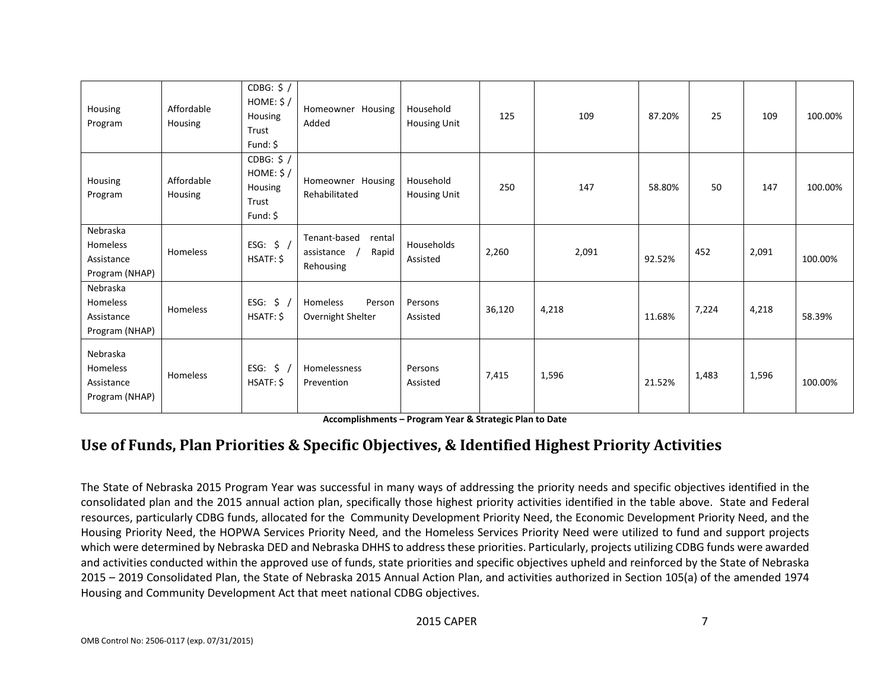| Housing<br>Program                                   | Affordable<br>Housing | CDBG: $$/$<br>HOME: $$/$<br>Housing<br>Trust<br>Fund: \$        | Homeowner Housing<br>Added                                 | Household<br>Housing Unit        | 125    | 109   | 87.20% | 25    | 109   | 100.00% |
|------------------------------------------------------|-----------------------|-----------------------------------------------------------------|------------------------------------------------------------|----------------------------------|--------|-------|--------|-------|-------|---------|
| Housing<br>Program                                   | Affordable<br>Housing | CDBG: $$/$<br>HOME: $$/$<br><b>Housing</b><br>Trust<br>Fund: \$ | Homeowner Housing<br>Rehabilitated                         | Household<br><b>Housing Unit</b> | 250    | 147   | 58.80% | 50    | 147   | 100.00% |
| Nebraska<br>Homeless<br>Assistance<br>Program (NHAP) | Homeless              | ESG: $$/$<br>HSATF: \$                                          | Tenant-based<br>rental<br>Rapid<br>assistance<br>Rehousing | Households<br>Assisted           | 2,260  | 2,091 | 92.52% | 452   | 2,091 | 100.00% |
| Nebraska<br>Homeless<br>Assistance<br>Program (NHAP) | Homeless              | ESG: $\frac{2}{3}$ /<br>HSATF: \$                               | Homeless<br>Person<br>Overnight Shelter                    | Persons<br>Assisted              | 36,120 | 4,218 | 11.68% | 7,224 | 4,218 | 58.39%  |
| Nebraska<br>Homeless<br>Assistance<br>Program (NHAP) | Homeless              | ESG: $\zeta$<br>HSATF: \$                                       | Homelessness<br>Prevention                                 | Persons<br>Assisted              | 7,415  | 1,596 | 21.52% | 1,483 | 1,596 | 100.00% |

**Accomplishments – Program Year & Strategic Plan to Date**

# **Use of Funds, Plan Priorities & Specific Objectives, & Identified Highest Priority Activities**

<span id="page-15-0"></span>The State of Nebraska 2015 Program Year was successful in many ways of addressing the priority needs and specific objectives identified in the consolidated plan and the 2015 annual action plan, specifically those highest priority activities identified in the table above. State and Federal resources, particularly CDBG funds, allocated for the Community Development Priority Need, the Economic Development Priority Need, and the Housing Priority Need, the HOPWA Services Priority Need, and the Homeless Services Priority Need were utilized to fund and support projects which were determined by Nebraska DED and Nebraska DHHS to address these priorities. Particularly, projects utilizing CDBG funds were awarded and activities conducted within the approved use of funds, state priorities and specific objectives upheld and reinforced by the State of Nebraska 2015 – 2019 Consolidated Plan, the State of Nebraska 2015 Annual Action Plan, and activities authorized in Section 105(a) of the amended 1974 Housing and Community Development Act that meet national CDBG objectives.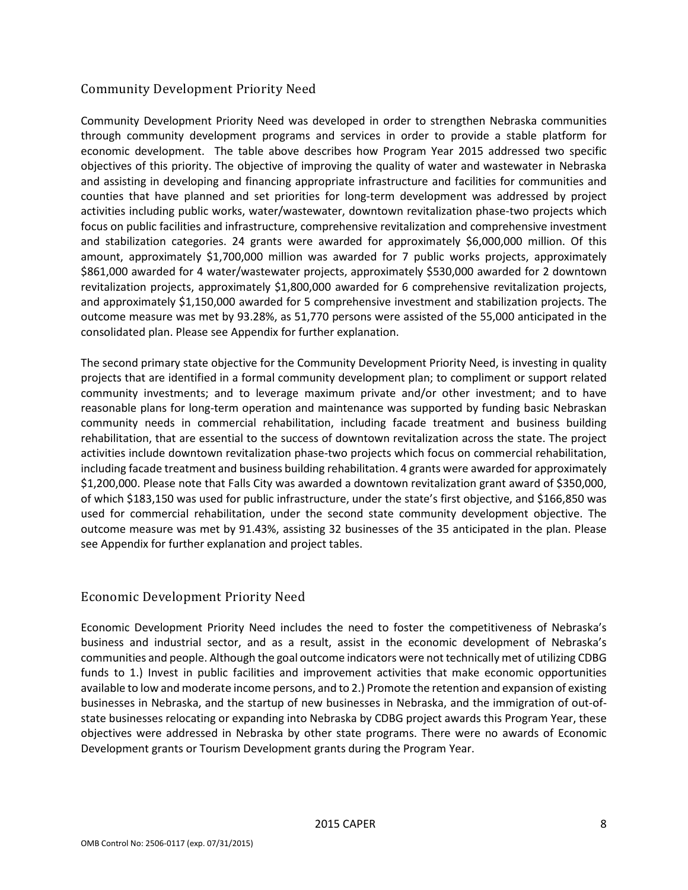#### <span id="page-16-0"></span>Community Development Priority Need

Community Development Priority Need was developed in order to strengthen Nebraska communities through community development programs and services in order to provide a stable platform for economic development. The table above describes how Program Year 2015 addressed two specific objectives of this priority. The objective of improving the quality of water and wastewater in Nebraska and assisting in developing and financing appropriate infrastructure and facilities for communities and counties that have planned and set priorities for long-term development was addressed by project activities including public works, water/wastewater, downtown revitalization phase-two projects which focus on public facilities and infrastructure, comprehensive revitalization and comprehensive investment and stabilization categories. 24 grants were awarded for approximately \$6,000,000 million. Of this amount, approximately \$1,700,000 million was awarded for 7 public works projects, approximately \$861,000 awarded for 4 water/wastewater projects, approximately \$530,000 awarded for 2 downtown revitalization projects, approximately \$1,800,000 awarded for 6 comprehensive revitalization projects, and approximately \$1,150,000 awarded for 5 comprehensive investment and stabilization projects. The outcome measure was met by 93.28%, as 51,770 persons were assisted of the 55,000 anticipated in the consolidated plan. Please see Appendix for further explanation.

The second primary state objective for the Community Development Priority Need, is investing in quality projects that are identified in a formal community development plan; to compliment or support related community investments; and to leverage maximum private and/or other investment; and to have reasonable plans for long-term operation and maintenance was supported by funding basic Nebraskan community needs in commercial rehabilitation, including facade treatment and business building rehabilitation, that are essential to the success of downtown revitalization across the state. The project activities include downtown revitalization phase-two projects which focus on commercial rehabilitation, including facade treatment and business building rehabilitation. 4 grants were awarded for approximately \$1,200,000. Please note that Falls City was awarded a downtown revitalization grant award of \$350,000, of which \$183,150 was used for public infrastructure, under the state's first objective, and \$166,850 was used for commercial rehabilitation, under the second state community development objective. The outcome measure was met by 91.43%, assisting 32 businesses of the 35 anticipated in the plan. Please see Appendix for further explanation and project tables.

#### <span id="page-16-1"></span>Economic Development Priority Need

Economic Development Priority Need includes the need to foster the competitiveness of Nebraska's business and industrial sector, and as a result, assist in the economic development of Nebraska's communities and people. Although the goal outcome indicators were not technically met of utilizing CDBG funds to 1.) Invest in public facilities and improvement activities that make economic opportunities available to low and moderate income persons, and to 2.) Promote the retention and expansion of existing businesses in Nebraska, and the startup of new businesses in Nebraska, and the immigration of out-ofstate businesses relocating or expanding into Nebraska by CDBG project awards this Program Year, these objectives were addressed in Nebraska by other state programs. There were no awards of Economic Development grants or Tourism Development grants during the Program Year.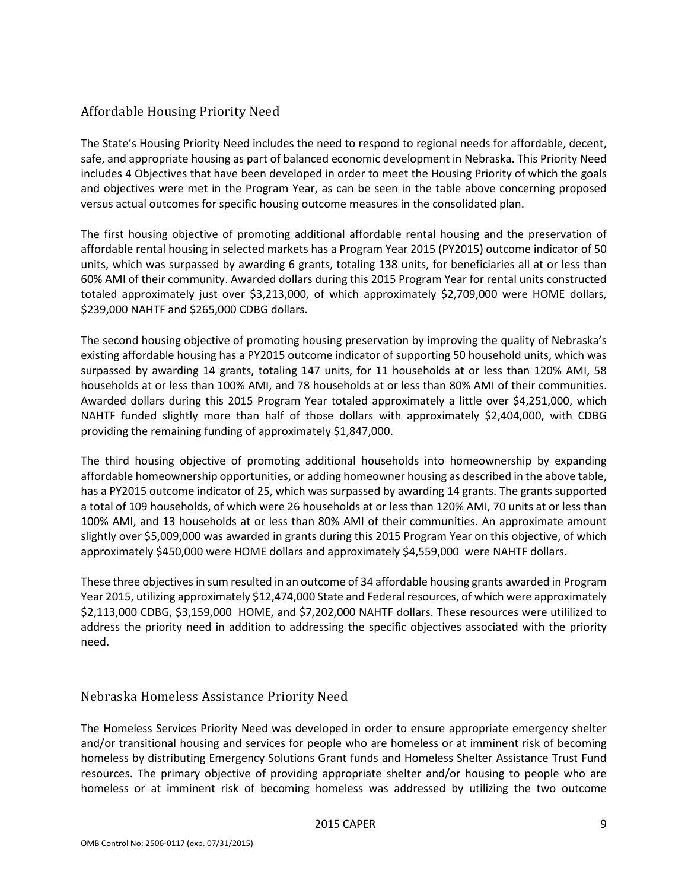#### <span id="page-17-0"></span>Affordable Housing Priority Need

The State's Housing Priority Need includes the need to respond to regional needs for affordable, decent, safe, and appropriate housing as part of balanced economic development in Nebraska. This Priority Need includes 4 Objectives that have been developed in order to meet the Housing Priority of which the goals and objectives were met in the Program Year, as can be seen in the table above concerning proposed versus actual outcomes for specific housing outcome measures in the consolidated plan.

The first housing objective of promoting additional affordable rental housing and the preservation of affordable rental housing in selected markets has a Program Year 2015 (PY2015) outcome indicator of 50 units, which was surpassed by awarding 6 grants, totaling 138 units, for beneficiaries all at or less than 60% AMI of their community. Awarded dollars during this 2015 Program Year for rental units constructed totaled approximately just over \$3,213,000, of which approximately \$2,709,000 were HOME dollars, \$239,000 NAHTF and \$265,000 CDBG dollars.

The second housing objective of promoting housing preservation by improving the quality of Nebraska's existing affordable housing has a PY2015 outcome indicator of supporting 50 household units, which was surpassed by awarding 14 grants, totaling 147 units, for 11 households at or less than 120% AMI, 58 households at or less than 100% AMI, and 78 households at or less than 80% AMI of their communities. Awarded dollars during this 2015 Program Year totaled approximately a little over \$4,251,000, which NAHTF funded slightly more than half of those dollars with approximately \$2,404,000, with CDBG providing the remaining funding of approximately \$1,847,000.

The third housing objective of promoting additional households into homeownership by expanding affordable homeownership opportunities, or adding homeowner housing as described in the above table, has a PY2015 outcome indicator of 25, which was surpassed by awarding 14 grants. The grants supported a total of 109 households, of which were 26 households at or less than 120% AMI, 70 units at or less than 100% AMI, and 13 households at or less than 80% AMI of their communities. An approximate amount slightly over \$5,009,000 was awarded in grants during this 2015 Program Year on this objective, of which approximately \$450,000 were HOME dollars and approximately \$4,559,000 were NAHTF dollars.

These three objectives in sum resulted in an outcome of 34 affordable housing grants awarded in Program Year 2015, utilizing approximately \$12,474,000 State and Federal resources, of which were approximately \$2,113,000 CDBG, \$3,159,000 HOME, and \$7,202,000 NAHTF dollars. These resources were utililized to address the priority need in addition to addressing the specific objectives associated with the priority need.

#### <span id="page-17-1"></span>Nebraska Homeless Assistance Priority Need

The Homeless Services Priority Need was developed in order to ensure appropriate emergency shelter and/or transitional housing and services for people who are homeless or at imminent risk of becoming homeless by distributing Emergency Solutions Grant funds and Homeless Shelter Assistance Trust Fund resources. The primary objective of providing appropriate shelter and/or housing to people who are homeless or at imminent risk of becoming homeless was addressed by utilizing the two outcome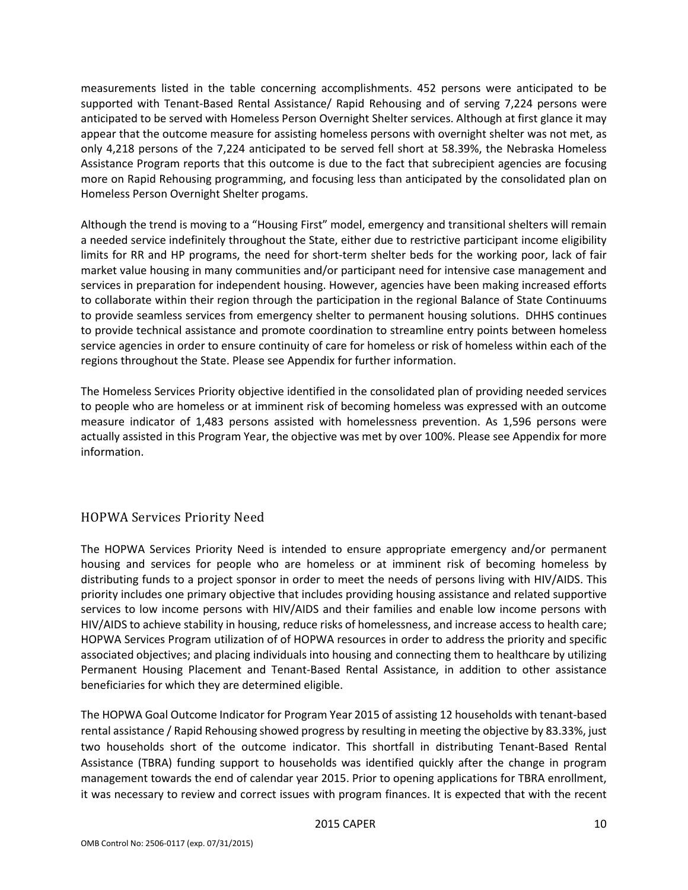measurements listed in the table concerning accomplishments. 452 persons were anticipated to be supported with Tenant-Based Rental Assistance/ Rapid Rehousing and of serving 7,224 persons were anticipated to be served with Homeless Person Overnight Shelter services. Although at first glance it may appear that the outcome measure for assisting homeless persons with overnight shelter was not met, as only 4,218 persons of the 7,224 anticipated to be served fell short at 58.39%, the Nebraska Homeless Assistance Program reports that this outcome is due to the fact that subrecipient agencies are focusing more on Rapid Rehousing programming, and focusing less than anticipated by the consolidated plan on Homeless Person Overnight Shelter progams.

Although the trend is moving to a "Housing First" model, emergency and transitional shelters will remain a needed service indefinitely throughout the State, either due to restrictive participant income eligibility limits for RR and HP programs, the need for short-term shelter beds for the working poor, lack of fair market value housing in many communities and/or participant need for intensive case management and services in preparation for independent housing. However, agencies have been making increased efforts to collaborate within their region through the participation in the regional Balance of State Continuums to provide seamless services from emergency shelter to permanent housing solutions. DHHS continues to provide technical assistance and promote coordination to streamline entry points between homeless service agencies in order to ensure continuity of care for homeless or risk of homeless within each of the regions throughout the State. Please see Appendix for further information.

The Homeless Services Priority objective identified in the consolidated plan of providing needed services to people who are homeless or at imminent risk of becoming homeless was expressed with an outcome measure indicator of 1,483 persons assisted with homelessness prevention. As 1,596 persons were actually assisted in this Program Year, the objective was met by over 100%. Please see Appendix for more information.

#### <span id="page-18-0"></span>HOPWA Services Priority Need

The HOPWA Services Priority Need is intended to ensure appropriate emergency and/or permanent housing and services for people who are homeless or at imminent risk of becoming homeless by distributing funds to a project sponsor in order to meet the needs of persons living with HIV/AIDS. This priority includes one primary objective that includes providing housing assistance and related supportive services to low income persons with HIV/AIDS and their families and enable low income persons with HIV/AIDS to achieve stability in housing, reduce risks of homelessness, and increase access to health care; HOPWA Services Program utilization of of HOPWA resources in order to address the priority and specific associated objectives; and placing individuals into housing and connecting them to healthcare by utilizing Permanent Housing Placement and Tenant-Based Rental Assistance, in addition to other assistance beneficiaries for which they are determined eligible.

The HOPWA Goal Outcome Indicator for Program Year 2015 of assisting 12 households with tenant-based rental assistance / Rapid Rehousing showed progress by resulting in meeting the objective by 83.33%, just two households short of the outcome indicator. This shortfall in distributing Tenant-Based Rental Assistance (TBRA) funding support to households was identified quickly after the change in program management towards the end of calendar year 2015. Prior to opening applications for TBRA enrollment, it was necessary to review and correct issues with program finances. It is expected that with the recent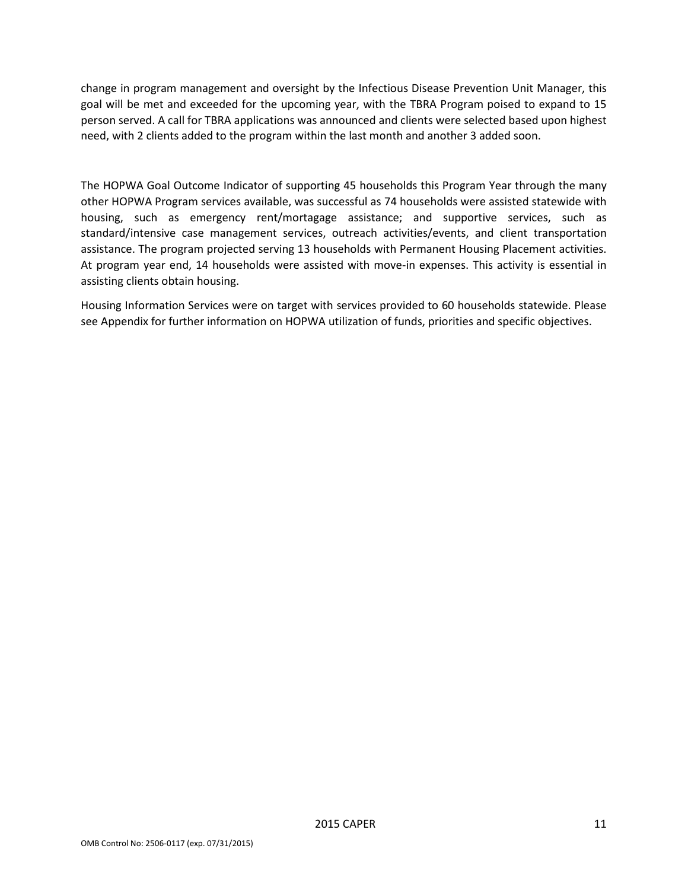change in program management and oversight by the Infectious Disease Prevention Unit Manager, this goal will be met and exceeded for the upcoming year, with the TBRA Program poised to expand to 15 person served. A call for TBRA applications was announced and clients were selected based upon highest need, with 2 clients added to the program within the last month and another 3 added soon.

The HOPWA Goal Outcome Indicator of supporting 45 households this Program Year through the many other HOPWA Program services available, was successful as 74 households were assisted statewide with housing, such as emergency rent/mortagage assistance; and supportive services, such as standard/intensive case management services, outreach activities/events, and client transportation assistance. The program projected serving 13 households with Permanent Housing Placement activities. At program year end, 14 households were assisted with move-in expenses. This activity is essential in assisting clients obtain housing.

Housing Information Services were on target with services provided to 60 households statewide. Please see Appendix for further information on HOPWA utilization of funds, priorities and specific objectives.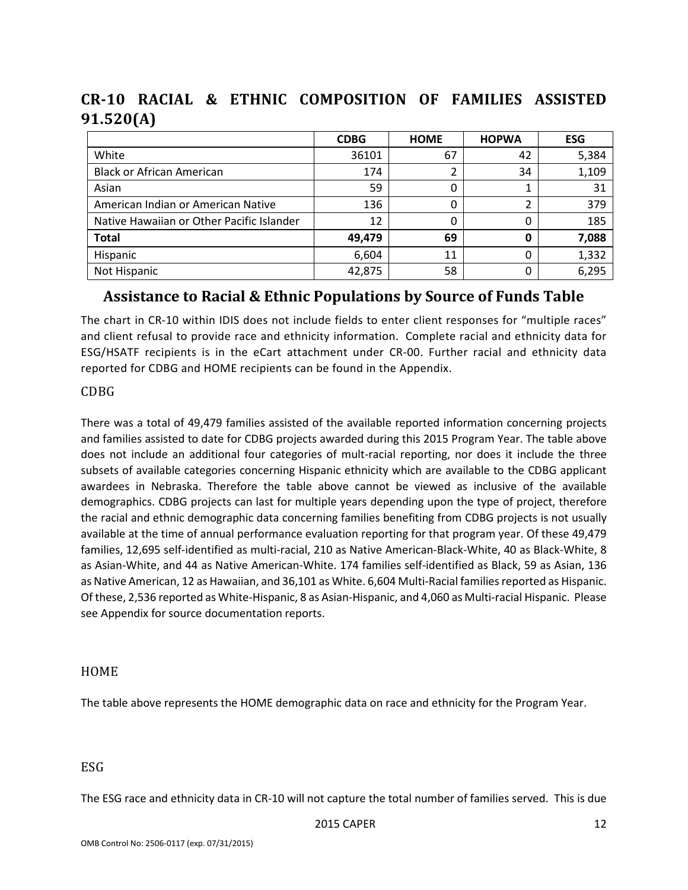|                                           | <b>CDBG</b> | <b>HOME</b> | <b>HOPWA</b> | <b>ESG</b> |
|-------------------------------------------|-------------|-------------|--------------|------------|
| White                                     | 36101       | 67          | 42           | 5,384      |
| <b>Black or African American</b>          | 174         | 2           | 34           | 1,109      |
| Asian                                     | 59          | 0           |              | 31         |
| American Indian or American Native        | 136         | 0           |              | 379        |
| Native Hawaiian or Other Pacific Islander | 12          | 0           | 0            | 185        |
| <b>Total</b>                              | 49.479      | 69          | 0            | 7,088      |
| Hispanic                                  | 6,604       | 11          | 0            | 1,332      |
| Not Hispanic                              | 42,875      | 58          | 0            | 6,295      |

<span id="page-20-0"></span>**CR-10 RACIAL & ETHNIC COMPOSITION OF FAMILIES ASSISTED 91.520(A)**

### <span id="page-20-1"></span>**Assistance to Racial & Ethnic Populations by Source of Funds Table**

<span id="page-20-2"></span>The chart in CR-10 within IDIS does not include fields to enter client responses for "multiple races" and client refusal to provide race and ethnicity information. Complete racial and ethnicity data for ESG/HSATF recipients is in the eCart attachment under CR-00. Further racial and ethnicity data reported for CDBG and HOME recipients can be found in the Appendix.

#### <span id="page-20-3"></span>CDBG

There was a total of 49,479 families assisted of the available reported information concerning projects and families assisted to date for CDBG projects awarded during this 2015 Program Year. The table above does not include an additional four categories of mult-racial reporting, nor does it include the three subsets of available categories concerning Hispanic ethnicity which are available to the CDBG applicant awardees in Nebraska. Therefore the table above cannot be viewed as inclusive of the available demographics. CDBG projects can last for multiple years depending upon the type of project, therefore the racial and ethnic demographic data concerning families benefiting from CDBG projects is not usually available at the time of annual performance evaluation reporting for that program year. Of these 49,479 families, 12,695 self-identified as multi-racial, 210 as Native American-Black-White, 40 as Black-White, 8 as Asian-White, and 44 as Native American-White. 174 families self-identified as Black, 59 as Asian, 136 as Native American, 12 as Hawaiian, and 36,101 as White. 6,604 Multi-Racial families reported as Hispanic. Of these, 2,536 reported as White-Hispanic, 8 as Asian-Hispanic, and 4,060 as Multi-racial Hispanic. Please see Appendix for source documentation reports.

#### <span id="page-20-4"></span>HOME

The table above represents the HOME demographic data on race and ethnicity for the Program Year.

#### <span id="page-20-5"></span>ESG

The ESG race and ethnicity data in CR-10 will not capture the total number of families served. This is due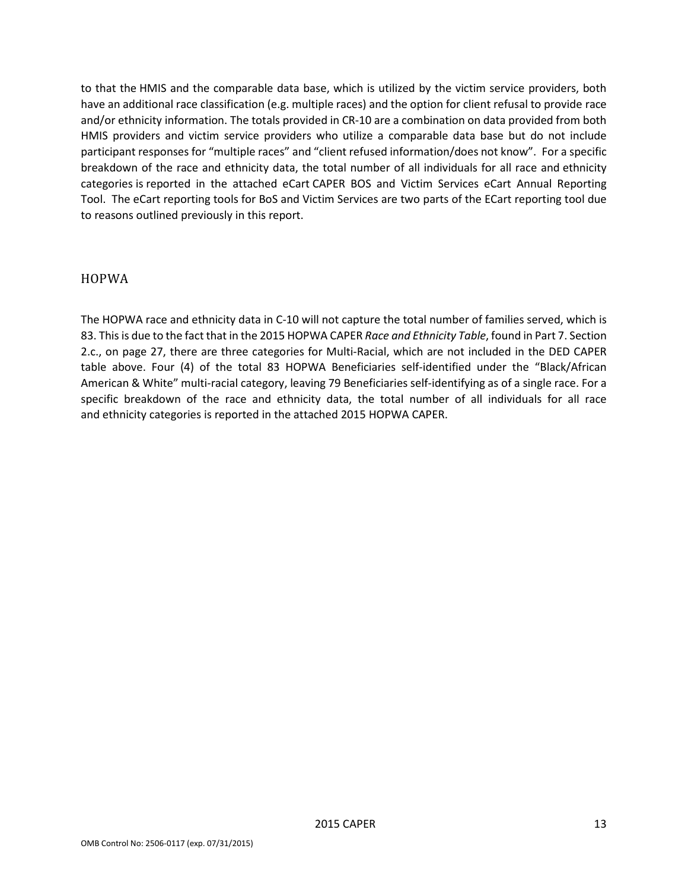to that the HMIS and the comparable data base, which is utilized by the victim service providers, both have an additional race classification (e.g. multiple races) and the option for client refusal to provide race and/or ethnicity information. The totals provided in CR-10 are a combination on data provided from both HMIS providers and victim service providers who utilize a comparable data base but do not include participant responses for "multiple races" and "client refused information/does not know". For a specific breakdown of the race and ethnicity data, the total number of all individuals for all race and ethnicity categories is reported in the attached eCart CAPER BOS and Victim Services eCart Annual Reporting Tool. The eCart reporting tools for BoS and Victim Services are two parts of the ECart reporting tool due to reasons outlined previously in this report.

#### <span id="page-21-0"></span>HOPWA

The HOPWA race and ethnicity data in C-10 will not capture the total number of families served, which is 83. This is due to the fact that in the 2015 HOPWA CAPER *Race and Ethnicity Table*, found in Part 7. Section 2.c., on page 27, there are three categories for Multi-Racial, which are not included in the DED CAPER table above. Four (4) of the total 83 HOPWA Beneficiaries self-identified under the "Black/African American & White" multi-racial category, leaving 79 Beneficiaries self-identifying as of a single race. For a specific breakdown of the race and ethnicity data, the total number of all individuals for all race and ethnicity categories is reported in the attached 2015 HOPWA CAPER.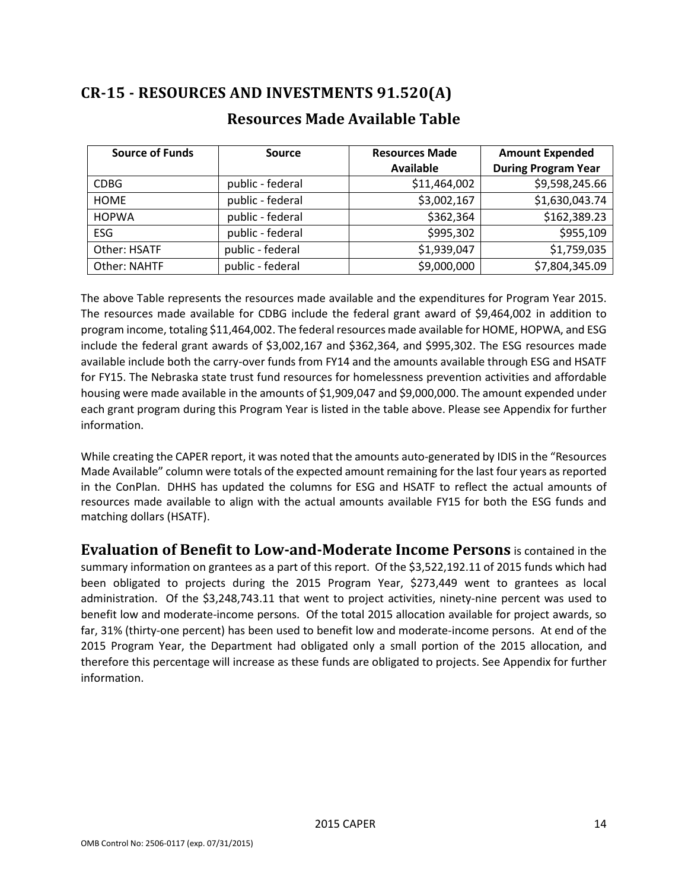# <span id="page-22-1"></span><span id="page-22-0"></span>**CR-15 - RESOURCES AND INVESTMENTS 91.520(A)**

| <b>Source of Funds</b> | <b>Source</b>    | <b>Resources Made</b> | <b>Amount Expended</b>     |
|------------------------|------------------|-----------------------|----------------------------|
|                        |                  | <b>Available</b>      | <b>During Program Year</b> |
| <b>CDBG</b>            | public - federal | \$11,464,002          | \$9,598,245.66             |
| <b>HOME</b>            | public - federal | \$3,002,167           | \$1,630,043.74             |
| <b>HOPWA</b>           | public - federal | \$362,364             | \$162,389.23               |
| ESG                    | public - federal | \$995,302             | \$955,109                  |
| Other: HSATF           | public - federal | \$1,939,047           | \$1,759,035                |
| Other: NAHTF           | public - federal | \$9,000,000           | \$7,804,345.09             |

### **Resources Made Available Table**

The above Table represents the resources made available and the expenditures for Program Year 2015. The resources made available for CDBG include the federal grant award of \$9,464,002 in addition to program income, totaling \$11,464,002. The federal resources made available for HOME, HOPWA, and ESG include the federal grant awards of \$3,002,167 and \$362,364, and \$995,302. The ESG resources made available include both the carry-over funds from FY14 and the amounts available through ESG and HSATF for FY15. The Nebraska state trust fund resources for homelessness prevention activities and affordable housing were made available in the amounts of \$1,909,047 and \$9,000,000. The amount expended under each grant program during this Program Year is listed in the table above. Please see Appendix for further information.

While creating the CAPER report, it was noted that the amounts auto-generated by IDIS in the "Resources Made Available" column were totals of the expected amount remaining for the last four years as reported in the ConPlan. DHHS has updated the columns for ESG and HSATF to reflect the actual amounts of resources made available to align with the actual amounts available FY15 for both the ESG funds and matching dollars (HSATF).

<span id="page-22-2"></span>**Evaluation of Benefit to Low-and-Moderate Income Persons** is contained in the summary information on grantees as a part of this report. Of the \$3,522,192.11 of 2015 funds which had been obligated to projects during the 2015 Program Year, \$273,449 went to grantees as local administration. Of the \$3,248,743.11 that went to project activities, ninety-nine percent was used to benefit low and moderate-income persons. Of the total 2015 allocation available for project awards, so far, 31% (thirty-one percent) has been used to benefit low and moderate-income persons. At end of the 2015 Program Year, the Department had obligated only a small portion of the 2015 allocation, and therefore this percentage will increase as these funds are obligated to projects. See Appendix for further information.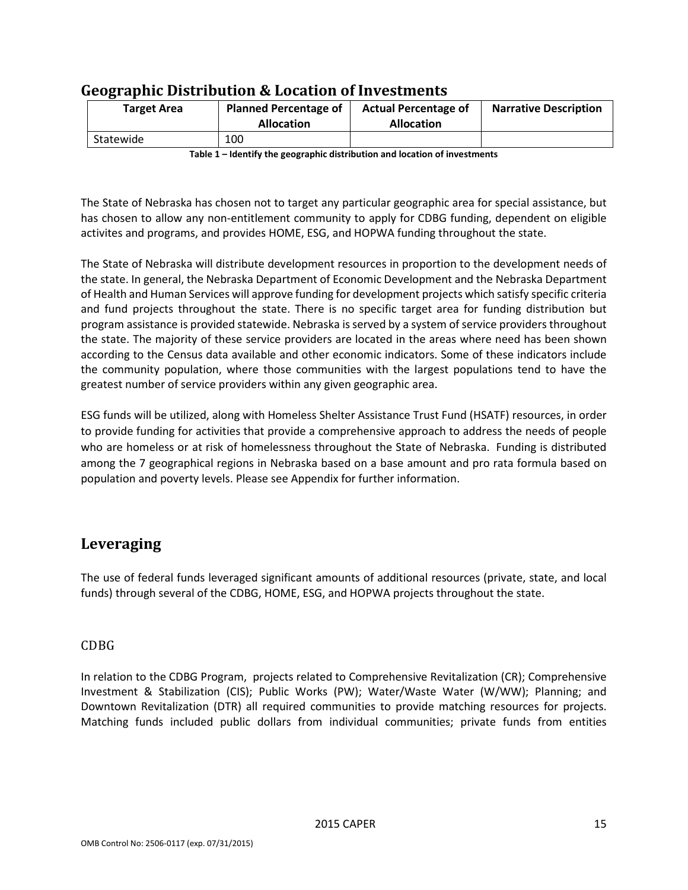| <b>Target Area</b> | <b>Planned Percentage of</b><br><b>Allocation</b> |  | <b>Narrative Description</b> |
|--------------------|---------------------------------------------------|--|------------------------------|
| Statewide          | 100                                               |  |                              |

### <span id="page-23-0"></span>**Geographic Distribution & Location of Investments**

**Table 1 – Identify the geographic distribution and location of investments**

The State of Nebraska has chosen not to target any particular geographic area for special assistance, but has chosen to allow any non-entitlement community to apply for CDBG funding, dependent on eligible activites and programs, and provides HOME, ESG, and HOPWA funding throughout the state.

The State of Nebraska will distribute development resources in proportion to the development needs of the state. In general, the Nebraska Department of Economic Development and the Nebraska Department of Health and Human Services will approve funding for development projects which satisfy specific criteria and fund projects throughout the state. There is no specific target area for funding distribution but program assistance is provided statewide. Nebraska is served by a system of service providers throughout the state. The majority of these service providers are located in the areas where need has been shown according to the Census data available and other economic indicators. Some of these indicators include the community population, where those communities with the largest populations tend to have the greatest number of service providers within any given geographic area.

ESG funds will be utilized, along with Homeless Shelter Assistance Trust Fund (HSATF) resources, in order to provide funding for activities that provide a comprehensive approach to address the needs of people who are homeless or at risk of homelessness throughout the State of Nebraska. Funding is distributed among the 7 geographical regions in Nebraska based on a base amount and pro rata formula based on population and poverty levels. Please see Appendix for further information.

### <span id="page-23-1"></span>**Leveraging**

The use of federal funds leveraged significant amounts of additional resources (private, state, and local funds) through several of the CDBG, HOME, ESG, and HOPWA projects throughout the state.

#### <span id="page-23-2"></span>CDBG

In relation to the CDBG Program, projects related to Comprehensive Revitalization (CR); Comprehensive Investment & Stabilization (CIS); Public Works (PW); Water/Waste Water (W/WW); Planning; and Downtown Revitalization (DTR) all required communities to provide matching resources for projects. Matching funds included public dollars from individual communities; private funds from entities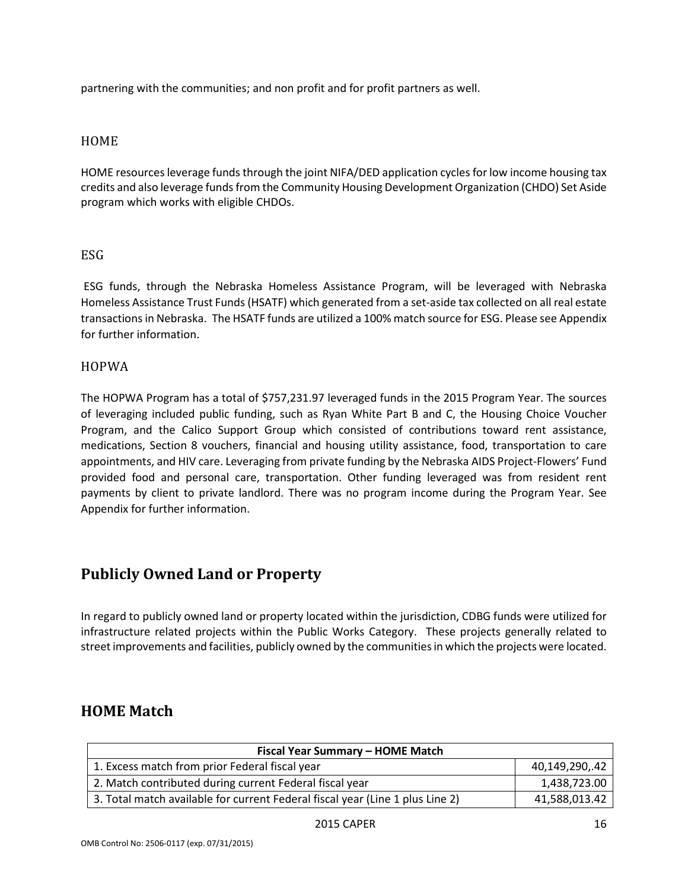partnering with the communities; and non profit and for profit partners as well.

#### <span id="page-24-0"></span>HOME

HOME resources leverage funds through the joint NIFA/DED application cycles for low income housing tax credits and also leverage funds from the Community Housing Development Organization (CHDO) Set Aside program which works with eligible CHDOs.

#### <span id="page-24-1"></span>ESG

ESG funds, through the Nebraska Homeless Assistance Program, will be leveraged with Nebraska Homeless Assistance Trust Funds (HSATF) which generated from a set-aside tax collected on all real estate transactions in Nebraska. The HSATF funds are utilized a 100% match source for ESG. Please see Appendix for further information.

#### <span id="page-24-2"></span>HOPWA

The HOPWA Program has a total of \$757,231.97 leveraged funds in the 2015 Program Year. The sources of leveraging included public funding, such as Ryan White Part B and C, the Housing Choice Voucher Program, and the Calico Support Group which consisted of contributions toward rent assistance, medications, Section 8 vouchers, financial and housing utility assistance, food, transportation to care appointments, and HIV care. Leveraging from private funding by the Nebraska AIDS Project-Flowers' Fund provided food and personal care, transportation. Other funding leveraged was from resident rent payments by client to private landlord. There was no program income during the Program Year. See Appendix for further information.

### <span id="page-24-3"></span>**Publicly Owned Land or Property**

In regard to publicly owned land or property located within the jurisdiction, CDBG funds were utilized for infrastructure related projects within the Public Works Category. These projects generally related to street improvements and facilities, publicly owned by the communities in which the projects were located.

### <span id="page-24-4"></span>**HOME Match**

| Fiscal Year Summary - HOME Match                                              |                |  |  |  |  |  |  |
|-------------------------------------------------------------------------------|----------------|--|--|--|--|--|--|
| 1. Excess match from prior Federal fiscal year                                | 40,149,290,.42 |  |  |  |  |  |  |
| 2. Match contributed during current Federal fiscal year                       | 1,438,723.00   |  |  |  |  |  |  |
| 3. Total match available for current Federal fiscal year (Line 1 plus Line 2) | 41,588,013.42  |  |  |  |  |  |  |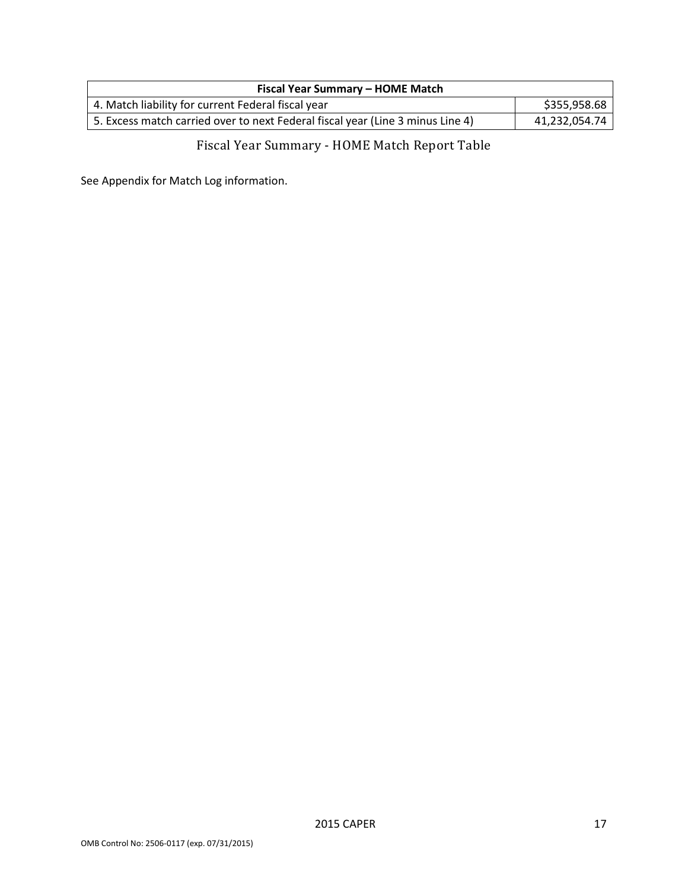| Fiscal Year Summary - HOME Match                                               |               |  |  |  |  |  |
|--------------------------------------------------------------------------------|---------------|--|--|--|--|--|
| 4. Match liability for current Federal fiscal year                             | \$355,958.68  |  |  |  |  |  |
| 5. Excess match carried over to next Federal fiscal year (Line 3 minus Line 4) | 41,232,054.74 |  |  |  |  |  |

# Fiscal Year Summary - HOME Match Report Table

<span id="page-25-0"></span>See Appendix for Match Log information.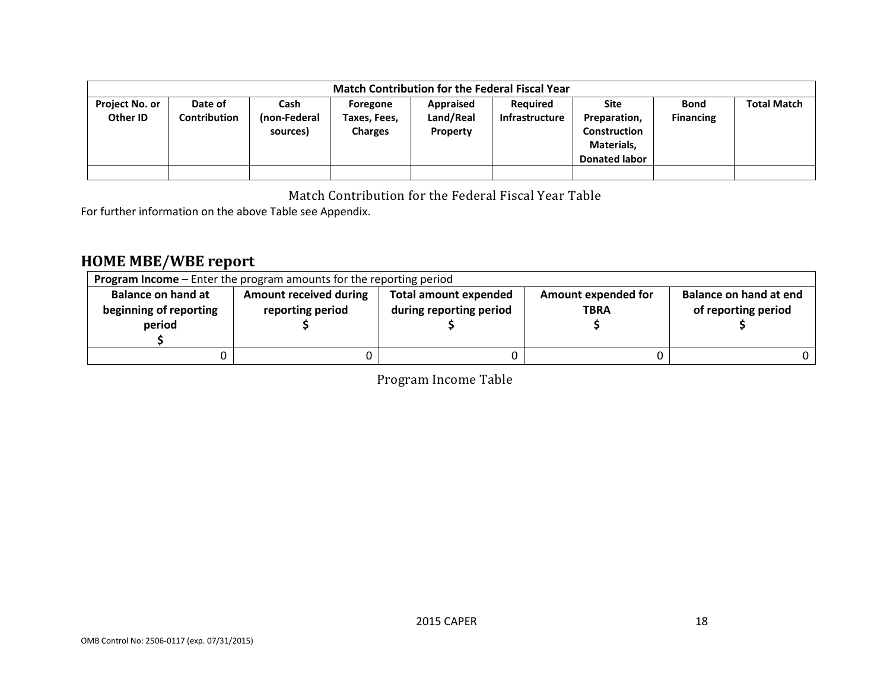|                                   | <b>Match Contribution for the Federal Fiscal Year</b> |                                  |                                            |                                    |                                   |                                                                                   |                                 |                    |  |  |
|-----------------------------------|-------------------------------------------------------|----------------------------------|--------------------------------------------|------------------------------------|-----------------------------------|-----------------------------------------------------------------------------------|---------------------------------|--------------------|--|--|
| <b>Project No. or</b><br>Other ID | Date of<br><b>Contribution</b>                        | Cash<br>(non-Federal<br>sources) | Foregone<br>Taxes, Fees,<br><b>Charges</b> | Appraised<br>Land/Real<br>Property | Required<br><b>Infrastructure</b> | <b>Site</b><br>Preparation,<br>Construction<br>Materials,<br><b>Donated labor</b> | <b>Bond</b><br><b>Financing</b> | <b>Total Match</b> |  |  |
|                                   |                                                       |                                  |                                            |                                    |                                   |                                                                                   |                                 |                    |  |  |

Match Contribution for the Federal Fiscal Year Table

For further information on the above Table see Appendix.

# **HOME MBE/WBE report**

<span id="page-26-2"></span><span id="page-26-1"></span><span id="page-26-0"></span>

| <b>Program Income</b> – Enter the program amounts for the reporting period |                                                   |                                                         |                                    |                                               |  |  |  |
|----------------------------------------------------------------------------|---------------------------------------------------|---------------------------------------------------------|------------------------------------|-----------------------------------------------|--|--|--|
| <b>Balance on hand at</b><br>beginning of reporting<br>period              | <b>Amount received during</b><br>reporting period | <b>Total amount expended</b><br>during reporting period | Amount expended for<br><b>TBRA</b> | Balance on hand at end<br>of reporting period |  |  |  |
|                                                                            |                                                   |                                                         |                                    |                                               |  |  |  |

Program Income Table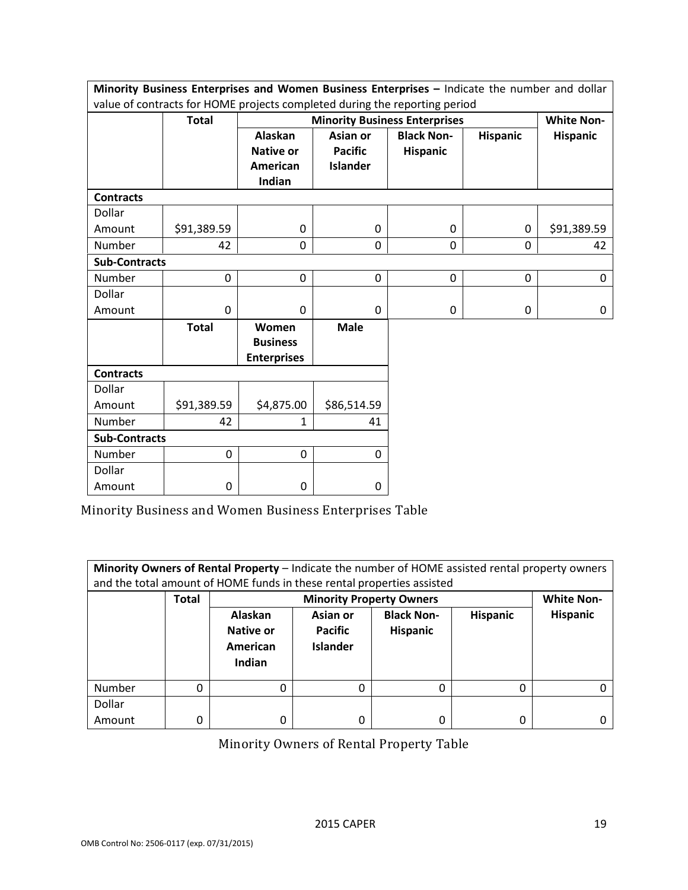|                      | Minority Business Enterprises and Women Business Enterprises - Indicate the number and dollar |                                                |                 |                                      |                 |                   |  |
|----------------------|-----------------------------------------------------------------------------------------------|------------------------------------------------|-----------------|--------------------------------------|-----------------|-------------------|--|
|                      | value of contracts for HOME projects completed during the reporting period                    |                                                |                 |                                      |                 |                   |  |
|                      | <b>Total</b>                                                                                  |                                                |                 | <b>Minority Business Enterprises</b> |                 | <b>White Non-</b> |  |
|                      |                                                                                               | <b>Alaskan</b>                                 | Asian or        | <b>Black Non-</b>                    | <b>Hispanic</b> | <b>Hispanic</b>   |  |
|                      |                                                                                               | <b>Native or</b>                               | <b>Pacific</b>  | <b>Hispanic</b>                      |                 |                   |  |
|                      |                                                                                               | American                                       | <b>Islander</b> |                                      |                 |                   |  |
|                      |                                                                                               | Indian                                         |                 |                                      |                 |                   |  |
| <b>Contracts</b>     |                                                                                               |                                                |                 |                                      |                 |                   |  |
| Dollar               |                                                                                               |                                                |                 |                                      |                 |                   |  |
| Amount               | \$91,389.59                                                                                   | $\mathbf 0$                                    | 0               | 0                                    | $\mathbf 0$     | \$91,389.59       |  |
| Number               | 42                                                                                            | 0                                              | 0               | $\mathbf 0$                          | $\mathbf 0$     | 42                |  |
| <b>Sub-Contracts</b> |                                                                                               |                                                |                 |                                      |                 |                   |  |
| Number               | 0                                                                                             | $\pmb{0}$                                      | 0               | 0                                    | 0               | 0                 |  |
| Dollar               |                                                                                               |                                                |                 |                                      |                 |                   |  |
| Amount               | 0                                                                                             | $\mathbf 0$                                    | $\Omega$        | 0                                    | 0               | $\mathbf 0$       |  |
|                      | <b>Total</b>                                                                                  | Women<br><b>Business</b><br><b>Enterprises</b> | <b>Male</b>     |                                      |                 |                   |  |
| <b>Contracts</b>     |                                                                                               |                                                |                 |                                      |                 |                   |  |
| Dollar               |                                                                                               |                                                |                 |                                      |                 |                   |  |
| Amount               | \$91,389.59                                                                                   | \$4,875.00                                     | \$86,514.59     |                                      |                 |                   |  |
| Number               | 42                                                                                            | 1                                              | 41              |                                      |                 |                   |  |
| <b>Sub-Contracts</b> |                                                                                               |                                                |                 |                                      |                 |                   |  |
| Number               | 0                                                                                             | 0                                              | 0               |                                      |                 |                   |  |
| Dollar               |                                                                                               |                                                |                 |                                      |                 |                   |  |
| Amount               | 0                                                                                             | 0                                              | 0               |                                      |                 |                   |  |

<span id="page-27-0"></span>Minority Business and Women Business Enterprises Table

| Minority Owners of Rental Property - Indicate the number of HOME assisted rental property owners<br>and the total amount of HOME funds in these rental properties assisted |              |                                            |                                        |                               |                 |                   |  |  |
|----------------------------------------------------------------------------------------------------------------------------------------------------------------------------|--------------|--------------------------------------------|----------------------------------------|-------------------------------|-----------------|-------------------|--|--|
|                                                                                                                                                                            | <b>Total</b> |                                            | <b>Minority Property Owners</b>        |                               |                 | <b>White Non-</b> |  |  |
|                                                                                                                                                                            |              | Alaskan<br>Native or<br>American<br>Indian | Asian or<br>Pacific<br><b>Islander</b> | <b>Black Non-</b><br>Hispanic | <b>Hispanic</b> | <b>Hispanic</b>   |  |  |
| Number                                                                                                                                                                     | 0            | 0                                          | 0                                      | 0                             | 0               |                   |  |  |
| Dollar                                                                                                                                                                     |              |                                            |                                        |                               |                 |                   |  |  |
| Amount                                                                                                                                                                     | 0            | 0                                          | 0                                      | 0                             | 0               |                   |  |  |

<span id="page-27-1"></span>Minority Owners of Rental Property Table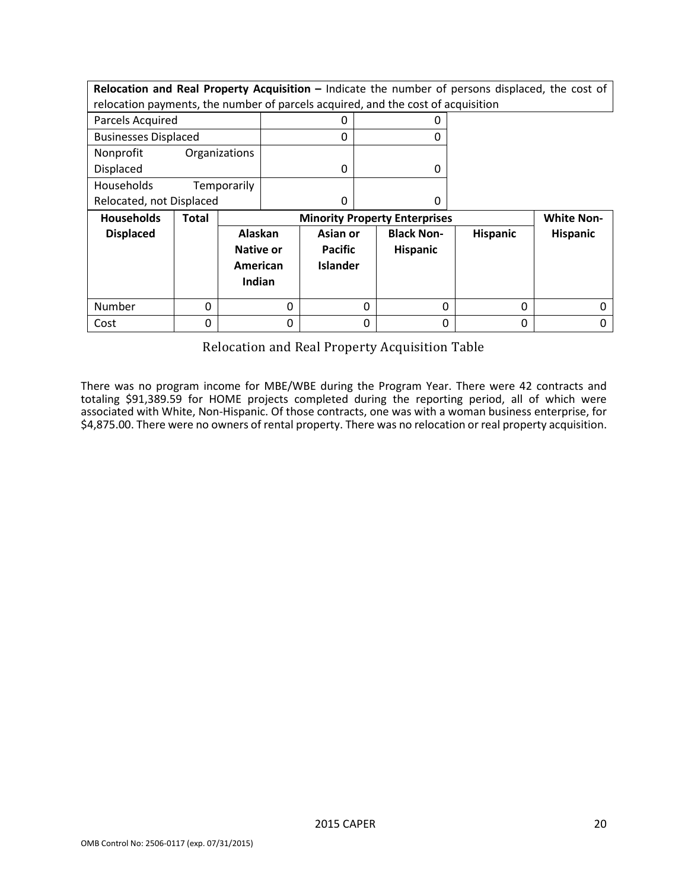**Relocation and Real Property Acquisition –** Indicate the number of persons displaced, the cost of relocation payments, the number of parcels acquired, and the cost of acquisition

| Parcels Acquired            |               |  |
|-----------------------------|---------------|--|
| <b>Businesses Displaced</b> |               |  |
| Nonprofit                   | Organizations |  |
| <b>Displaced</b>            |               |  |
| Households                  | Temporarily   |  |
| Relocated, not Displaced    |               |  |

| <b>Households</b> | Total |                                                   | <b>Minority Property Enterprises</b>          |                                      |                 |                 |  |
|-------------------|-------|---------------------------------------------------|-----------------------------------------------|--------------------------------------|-----------------|-----------------|--|
| <b>Displaced</b>  |       | Alaskan<br><b>Native or</b><br>American<br>Indian | Asian or<br><b>Pacific</b><br><b>Islander</b> | <b>Black Non-</b><br><b>Hispanic</b> | <b>Hispanic</b> | <b>Hispanic</b> |  |
| Number            |       |                                                   |                                               |                                      | 0               |                 |  |
| Cost              |       |                                                   |                                               |                                      | 0               |                 |  |

Relocation and Real Property Acquisition Table

<span id="page-28-0"></span>There was no program income for MBE/WBE during the Program Year. There were 42 contracts and totaling \$91,389.59 for HOME projects completed during the reporting period, all of which were associated with White, Non-Hispanic. Of those contracts, one was with a woman business enterprise, for \$4,875.00. There were no owners of rental property. There was no relocation or real property acquisition.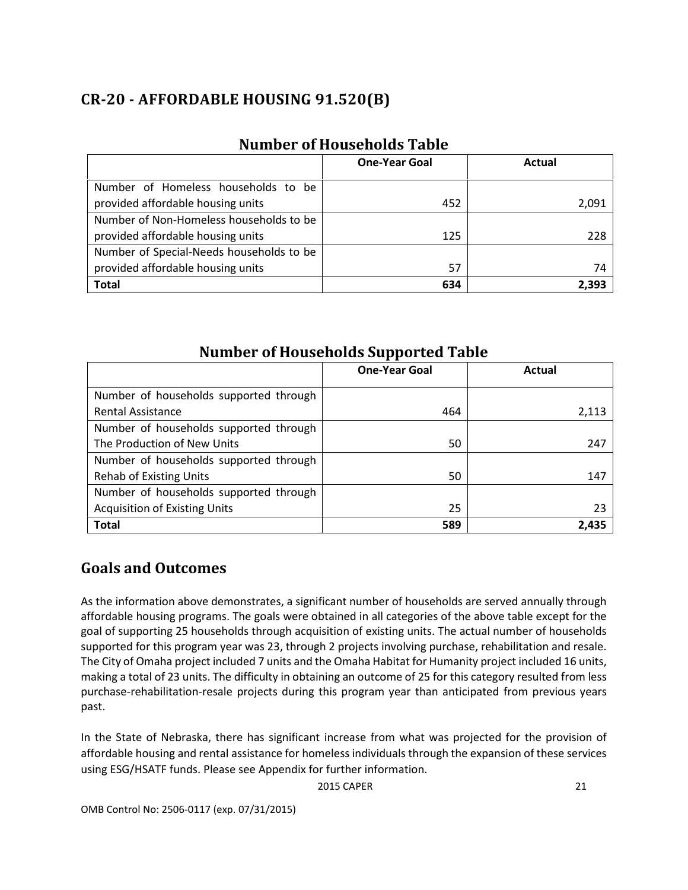# <span id="page-29-0"></span>**CR-20 - AFFORDABLE HOUSING 91.520(B)**

<span id="page-29-1"></span>

|                                          | <b>One-Year Goal</b> | Actual |
|------------------------------------------|----------------------|--------|
| Number of Homeless households to be      |                      |        |
| provided affordable housing units        | 452                  | 2,091  |
| Number of Non-Homeless households to be  |                      |        |
| provided affordable housing units        | 125                  | 228    |
| Number of Special-Needs households to be |                      |        |
| provided affordable housing units        | 57                   | 74     |
| <b>Total</b>                             | 634                  | 2.393  |

### **Number of Households Table**

### **Number of Households Supported Table**

<span id="page-29-2"></span>

|                                        | <b>One-Year Goal</b> | Actual |
|----------------------------------------|----------------------|--------|
| Number of households supported through |                      |        |
| <b>Rental Assistance</b>               | 464                  | 2,113  |
| Number of households supported through |                      |        |
| The Production of New Units            | 50                   | 247    |
| Number of households supported through |                      |        |
| <b>Rehab of Existing Units</b>         | 50                   | 147    |
| Number of households supported through |                      |        |
| <b>Acquisition of Existing Units</b>   | 25                   | 23     |
| <b>Total</b>                           | 589                  | 2,435  |

### <span id="page-29-3"></span>**Goals and Outcomes**

As the information above demonstrates, a significant number of households are served annually through affordable housing programs. The goals were obtained in all categories of the above table except for the goal of supporting 25 households through acquisition of existing units. The actual number of households supported for this program year was 23, through 2 projects involving purchase, rehabilitation and resale. The City of Omaha project included 7 units and the Omaha Habitat for Humanity project included 16 units, making a total of 23 units. The difficulty in obtaining an outcome of 25 for this category resulted from less purchase-rehabilitation-resale projects during this program year than anticipated from previous years past.

In the State of Nebraska, there has significant increase from what was projected for the provision of affordable housing and rental assistance for homeless individuals through the expansion of these services using ESG/HSATF funds. Please see Appendix for further information.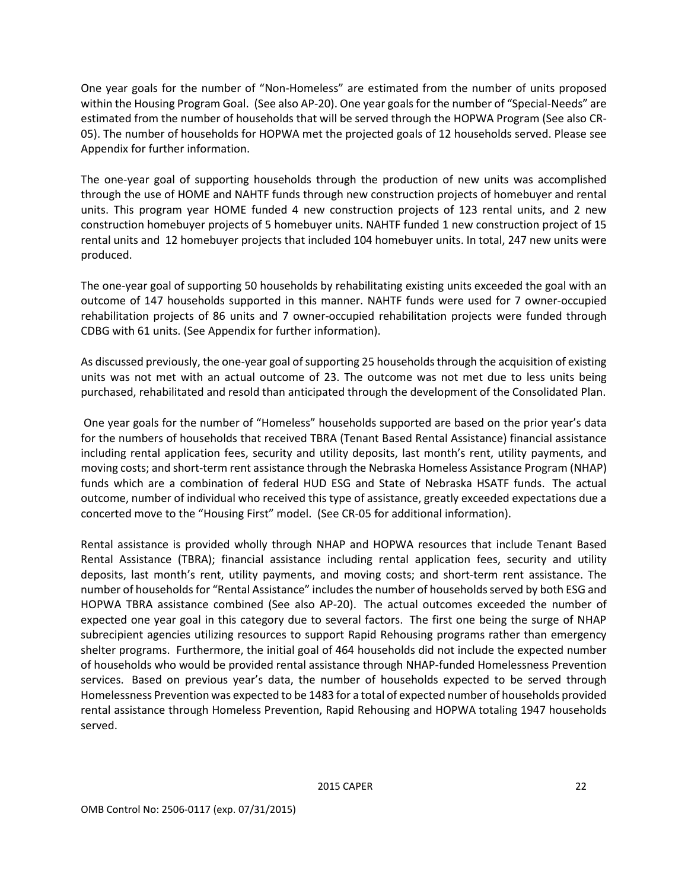One year goals for the number of "Non-Homeless" are estimated from the number of units proposed within the Housing Program Goal. (See also AP-20). One year goals for the number of "Special-Needs" are estimated from the number of households that will be served through the HOPWA Program (See also CR-05). The number of households for HOPWA met the projected goals of 12 households served. Please see Appendix for further information.

The one-year goal of supporting households through the production of new units was accomplished through the use of HOME and NAHTF funds through new construction projects of homebuyer and rental units. This program year HOME funded 4 new construction projects of 123 rental units, and 2 new construction homebuyer projects of 5 homebuyer units. NAHTF funded 1 new construction project of 15 rental units and 12 homebuyer projects that included 104 homebuyer units. In total, 247 new units were produced.

The one-year goal of supporting 50 households by rehabilitating existing units exceeded the goal with an outcome of 147 households supported in this manner. NAHTF funds were used for 7 owner-occupied rehabilitation projects of 86 units and 7 owner-occupied rehabilitation projects were funded through CDBG with 61 units. (See Appendix for further information).

As discussed previously, the one-year goal of supporting 25 households through the acquisition of existing units was not met with an actual outcome of 23. The outcome was not met due to less units being purchased, rehabilitated and resold than anticipated through the development of the Consolidated Plan.

One year goals for the number of "Homeless" households supported are based on the prior year's data for the numbers of households that received TBRA (Tenant Based Rental Assistance) financial assistance including rental application fees, security and utility deposits, last month's rent, utility payments, and moving costs; and short-term rent assistance through the Nebraska Homeless Assistance Program (NHAP) funds which are a combination of federal HUD ESG and State of Nebraska HSATF funds. The actual outcome, number of individual who received this type of assistance, greatly exceeded expectations due a concerted move to the "Housing First" model. (See CR-05 for additional information).

Rental assistance is provided wholly through NHAP and HOPWA resources that include Tenant Based Rental Assistance (TBRA); financial assistance including rental application fees, security and utility deposits, last month's rent, utility payments, and moving costs; and short-term rent assistance. The number of households for "Rental Assistance" includes the number of households served by both ESG and HOPWA TBRA assistance combined (See also AP-20). The actual outcomes exceeded the number of expected one year goal in this category due to several factors. The first one being the surge of NHAP subrecipient agencies utilizing resources to support Rapid Rehousing programs rather than emergency shelter programs. Furthermore, the initial goal of 464 households did not include the expected number of households who would be provided rental assistance through NHAP-funded Homelessness Prevention services. Based on previous year's data, the number of households expected to be served through Homelessness Prevention was expected to be 1483 for a total of expected number of households provided rental assistance through Homeless Prevention, Rapid Rehousing and HOPWA totaling 1947 households served.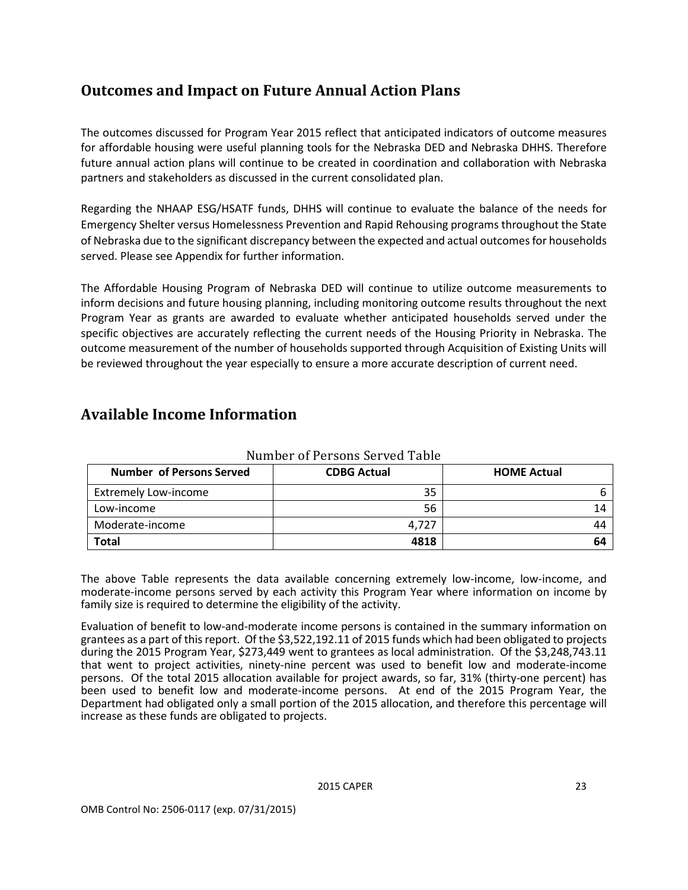# <span id="page-31-0"></span>**Outcomes and Impact on Future Annual Action Plans**

The outcomes discussed for Program Year 2015 reflect that anticipated indicators of outcome measures for affordable housing were useful planning tools for the Nebraska DED and Nebraska DHHS. Therefore future annual action plans will continue to be created in coordination and collaboration with Nebraska partners and stakeholders as discussed in the current consolidated plan.

Regarding the NHAAP ESG/HSATF funds, DHHS will continue to evaluate the balance of the needs for Emergency Shelter versus Homelessness Prevention and Rapid Rehousing programs throughout the State of Nebraska due to the significant discrepancy between the expected and actual outcomes for households served. Please see Appendix for further information.

The Affordable Housing Program of Nebraska DED will continue to utilize outcome measurements to inform decisions and future housing planning, including monitoring outcome results throughout the next Program Year as grants are awarded to evaluate whether anticipated households served under the specific objectives are accurately reflecting the current needs of the Housing Priority in Nebraska. The outcome measurement of the number of households supported through Acquisition of Existing Units will be reviewed throughout the year especially to ensure a more accurate description of current need.

### <span id="page-31-1"></span>**Available Income Information**

<span id="page-31-2"></span>

| <b>Number of Persons Served</b> | <b>CDBG Actual</b> | <b>HOME Actual</b> |
|---------------------------------|--------------------|--------------------|
| <b>Extremely Low-income</b>     | 35                 |                    |
| Low-income                      | 56                 | 14                 |
| Moderate-income                 | 4.727              | 44                 |
| Total                           | 4818               | 64                 |

Number of Persons Served Table

The above Table represents the data available concerning extremely low-income, low-income, and moderate-income persons served by each activity this Program Year where information on income by family size is required to determine the eligibility of the activity.

Evaluation of benefit to low-and-moderate income persons is contained in the summary information on grantees as a part of this report. Of the \$3,522,192.11 of 2015 funds which had been obligated to projects during the 2015 Program Year, \$273,449 went to grantees as local administration. Of the \$3,248,743.11 that went to project activities, ninety-nine percent was used to benefit low and moderate-income persons. Of the total 2015 allocation available for project awards, so far, 31% (thirty-one percent) has been used to benefit low and moderate-income persons. At end of the 2015 Program Year, the Department had obligated only a small portion of the 2015 allocation, and therefore this percentage will increase as these funds are obligated to projects.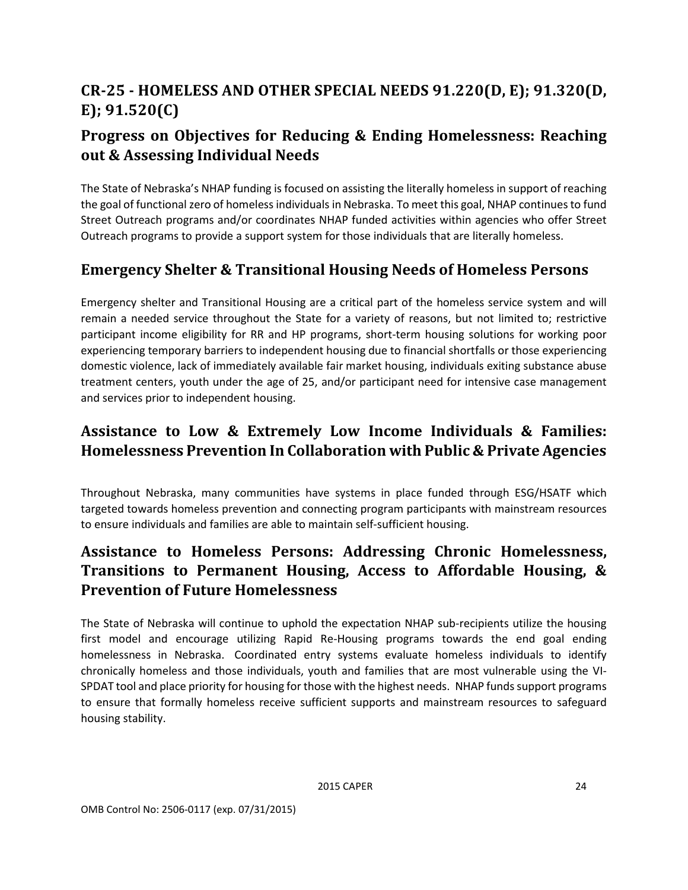# <span id="page-32-0"></span>**CR-25 - HOMELESS AND OTHER SPECIAL NEEDS 91.220(D, E); 91.320(D, E); 91.520(C)**

# <span id="page-32-1"></span>**Progress on Objectives for Reducing & Ending Homelessness: Reaching out & Assessing Individual Needs**

The State of Nebraska's NHAP funding is focused on assisting the literally homeless in support of reaching the goal of functional zero of homeless individuals in Nebraska. To meet this goal, NHAP continues to fund Street Outreach programs and/or coordinates NHAP funded activities within agencies who offer Street Outreach programs to provide a support system for those individuals that are literally homeless.

# <span id="page-32-2"></span>**Emergency Shelter & Transitional Housing Needs of Homeless Persons**

Emergency shelter and Transitional Housing are a critical part of the homeless service system and will remain a needed service throughout the State for a variety of reasons, but not limited to; restrictive participant income eligibility for RR and HP programs, short-term housing solutions for working poor experiencing temporary barriers to independent housing due to financial shortfalls or those experiencing domestic violence, lack of immediately available fair market housing, individuals exiting substance abuse treatment centers, youth under the age of 25, and/or participant need for intensive case management and services prior to independent housing.

# <span id="page-32-3"></span>**Assistance to Low & Extremely Low Income Individuals & Families: Homelessness Prevention In Collaboration with Public & Private Agencies**

Throughout Nebraska, many communities have systems in place funded through ESG/HSATF which targeted towards homeless prevention and connecting program participants with mainstream resources to ensure individuals and families are able to maintain self-sufficient housing.

# <span id="page-32-4"></span>**Assistance to Homeless Persons: Addressing Chronic Homelessness, Transitions to Permanent Housing, Access to Affordable Housing, & Prevention of Future Homelessness**

The State of Nebraska will continue to uphold the expectation NHAP sub-recipients utilize the housing first model and encourage utilizing Rapid Re-Housing programs towards the end goal ending homelessness in Nebraska. Coordinated entry systems evaluate homeless individuals to identify chronically homeless and those individuals, youth and families that are most vulnerable using the VI-SPDAT tool and place priority for housing for those with the highest needs. NHAP funds support programs to ensure that formally homeless receive sufficient supports and mainstream resources to safeguard housing stability.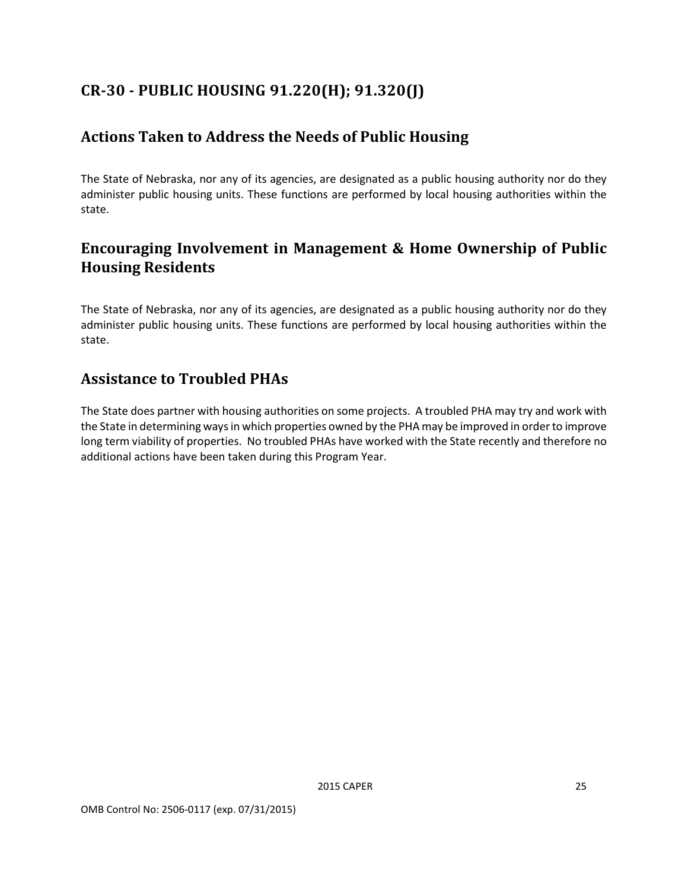# <span id="page-33-0"></span>**CR-30 - PUBLIC HOUSING 91.220(H); 91.320(J)**

## <span id="page-33-1"></span>**Actions Taken to Address the Needs of Public Housing**

The State of Nebraska, nor any of its agencies, are designated as a public housing authority nor do they administer public housing units. These functions are performed by local housing authorities within the state.

# <span id="page-33-2"></span>**Encouraging Involvement in Management & Home Ownership of Public Housing Residents**

The State of Nebraska, nor any of its agencies, are designated as a public housing authority nor do they administer public housing units. These functions are performed by local housing authorities within the state.

### <span id="page-33-3"></span>**Assistance to Troubled PHAs**

The State does partner with housing authorities on some projects. A troubled PHA may try and work with the State in determining ways in which properties owned by the PHA may be improved in order to improve long term viability of properties. No troubled PHAs have worked with the State recently and therefore no additional actions have been taken during this Program Year.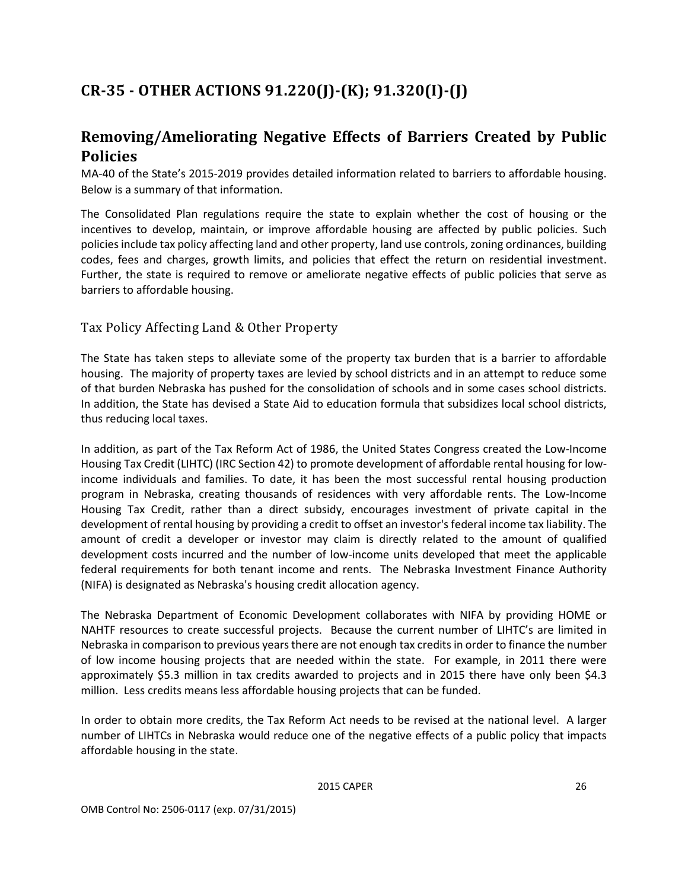# <span id="page-34-0"></span>**CR-35 - OTHER ACTIONS 91.220(J)-(K); 91.320(I)-(J)**

# <span id="page-34-1"></span>**Removing/Ameliorating Negative Effects of Barriers Created by Public Policies**

MA-40 of the State's 2015-2019 provides detailed information related to barriers to affordable housing. Below is a summary of that information.

The Consolidated Plan regulations require the state to explain whether the cost of housing or the incentives to develop, maintain, or improve affordable housing are affected by public policies. Such policies include tax policy affecting land and other property, land use controls, zoning ordinances, building codes, fees and charges, growth limits, and policies that effect the return on residential investment. Further, the state is required to remove or ameliorate negative effects of public policies that serve as barriers to affordable housing.

#### <span id="page-34-2"></span>Tax Policy Affecting Land & Other Property

The State has taken steps to alleviate some of the property tax burden that is a barrier to affordable housing. The majority of property taxes are levied by school districts and in an attempt to reduce some of that burden Nebraska has pushed for the consolidation of schools and in some cases school districts. In addition, the State has devised a State Aid to education formula that subsidizes local school districts, thus reducing local taxes.

In addition, as part of the Tax Reform Act of 1986, the United States Congress created the Low-Income Housing Tax Credit (LIHTC) (IRC Section 42) to promote development of affordable rental housing for lowincome individuals and families. To date, it has been the most successful rental housing production program in Nebraska, creating thousands of residences with very affordable rents. The Low-Income Housing Tax Credit, rather than a direct subsidy, encourages investment of private capital in the development of rental housing by providing a credit to offset an investor's federal income tax liability. The amount of credit a developer or investor may claim is directly related to the amount of qualified development costs incurred and the number of low-income units developed that meet the applicable federal requirements for both tenant income and rents. The Nebraska Investment Finance Authority (NIFA) is designated as Nebraska's housing credit allocation agency.

The Nebraska Department of Economic Development collaborates with NIFA by providing HOME or NAHTF resources to create successful projects. Because the current number of LIHTC's are limited in Nebraska in comparison to previous years there are not enough tax credits in order to finance the number of low income housing projects that are needed within the state. For example, in 2011 there were approximately \$5.3 million in tax credits awarded to projects and in 2015 there have only been \$4.3 million. Less credits means less affordable housing projects that can be funded.

In order to obtain more credits, the Tax Reform Act needs to be revised at the national level. A larger number of LIHTCs in Nebraska would reduce one of the negative effects of a public policy that impacts affordable housing in the state.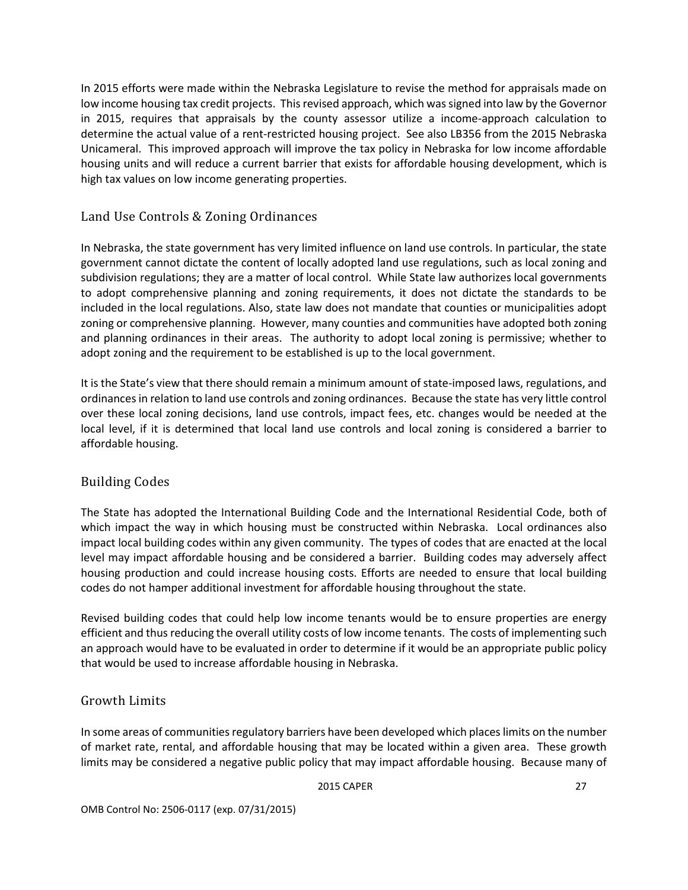In 2015 efforts were made within the Nebraska Legislature to revise the method for appraisals made on low income housing tax credit projects. This revised approach, which was signed into law by the Governor in 2015, requires that appraisals by the county assessor utilize a income-approach calculation to determine the actual value of a rent-restricted housing project. See also LB356 from the 2015 Nebraska Unicameral. This improved approach will improve the tax policy in Nebraska for low income affordable housing units and will reduce a current barrier that exists for affordable housing development, which is high tax values on low income generating properties.

#### <span id="page-35-0"></span>Land Use Controls & Zoning Ordinances

In Nebraska, the state government has very limited influence on land use controls. In particular, the state government cannot dictate the content of locally adopted land use regulations, such as local zoning and subdivision regulations; they are a matter of local control. While State law authorizes local governments to adopt comprehensive planning and zoning requirements, it does not dictate the standards to be included in the local regulations. Also, state law does not mandate that counties or municipalities adopt zoning or comprehensive planning. However, many counties and communities have adopted both zoning and planning ordinances in their areas. The authority to adopt local zoning is permissive; whether to adopt zoning and the requirement to be established is up to the local government.

It is the State's view that there should remain a minimum amount of state-imposed laws, regulations, and ordinances in relation to land use controls and zoning ordinances. Because the state has very little control over these local zoning decisions, land use controls, impact fees, etc. changes would be needed at the local level, if it is determined that local land use controls and local zoning is considered a barrier to affordable housing.

#### <span id="page-35-1"></span>Building Codes

The State has adopted the International Building Code and the International Residential Code, both of which impact the way in which housing must be constructed within Nebraska. Local ordinances also impact local building codes within any given community. The types of codes that are enacted at the local level may impact affordable housing and be considered a barrier. Building codes may adversely affect housing production and could increase housing costs. Efforts are needed to ensure that local building codes do not hamper additional investment for affordable housing throughout the state.

Revised building codes that could help low income tenants would be to ensure properties are energy efficient and thus reducing the overall utility costs of low income tenants. The costs of implementing such an approach would have to be evaluated in order to determine if it would be an appropriate public policy that would be used to increase affordable housing in Nebraska.

#### <span id="page-35-2"></span>Growth Limits

In some areas of communities regulatory barriers have been developed which places limits on the number of market rate, rental, and affordable housing that may be located within a given area. These growth limits may be considered a negative public policy that may impact affordable housing. Because many of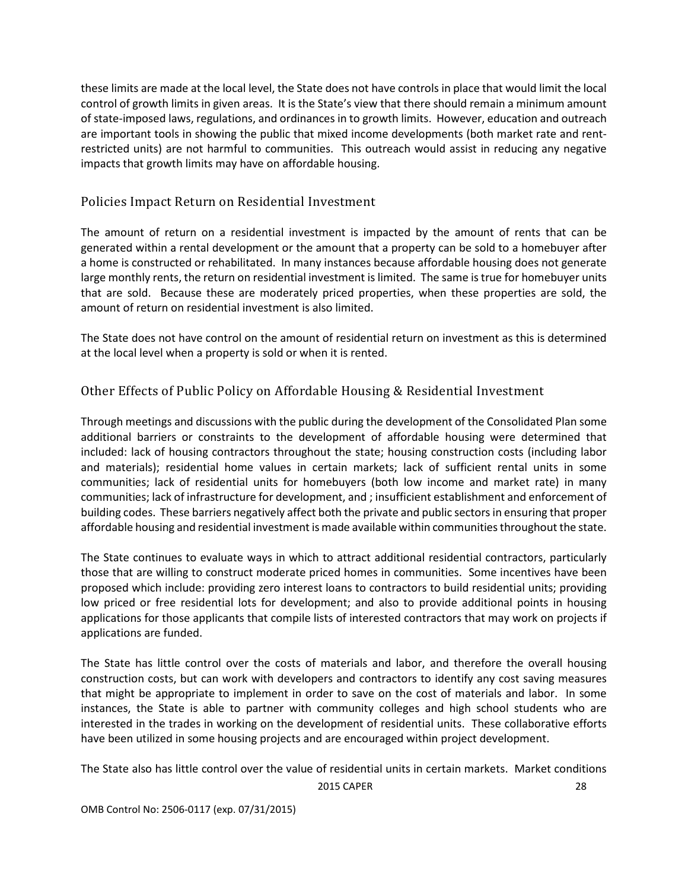these limits are made at the local level, the State does not have controls in place that would limit the local control of growth limits in given areas. It is the State's view that there should remain a minimum amount of state-imposed laws, regulations, and ordinances in to growth limits. However, education and outreach are important tools in showing the public that mixed income developments (both market rate and rentrestricted units) are not harmful to communities. This outreach would assist in reducing any negative impacts that growth limits may have on affordable housing.

#### <span id="page-36-0"></span>Policies Impact Return on Residential Investment

The amount of return on a residential investment is impacted by the amount of rents that can be generated within a rental development or the amount that a property can be sold to a homebuyer after a home is constructed or rehabilitated. In many instances because affordable housing does not generate large monthly rents, the return on residential investment is limited. The same is true for homebuyer units that are sold. Because these are moderately priced properties, when these properties are sold, the amount of return on residential investment is also limited.

The State does not have control on the amount of residential return on investment as this is determined at the local level when a property is sold or when it is rented.

#### <span id="page-36-1"></span>Other Effects of Public Policy on Affordable Housing & Residential Investment

Through meetings and discussions with the public during the development of the Consolidated Plan some additional barriers or constraints to the development of affordable housing were determined that included: lack of housing contractors throughout the state; housing construction costs (including labor and materials); residential home values in certain markets; lack of sufficient rental units in some communities; lack of residential units for homebuyers (both low income and market rate) in many communities; lack of infrastructure for development, and ; insufficient establishment and enforcement of building codes. These barriers negatively affect both the private and public sectors in ensuring that proper affordable housing and residential investment is made available within communities throughout the state.

The State continues to evaluate ways in which to attract additional residential contractors, particularly those that are willing to construct moderate priced homes in communities. Some incentives have been proposed which include: providing zero interest loans to contractors to build residential units; providing low priced or free residential lots for development; and also to provide additional points in housing applications for those applicants that compile lists of interested contractors that may work on projects if applications are funded.

The State has little control over the costs of materials and labor, and therefore the overall housing construction costs, but can work with developers and contractors to identify any cost saving measures that might be appropriate to implement in order to save on the cost of materials and labor. In some instances, the State is able to partner with community colleges and high school students who are interested in the trades in working on the development of residential units. These collaborative efforts have been utilized in some housing projects and are encouraged within project development.

2015 CAPER 28 The State also has little control over the value of residential units in certain markets. Market conditions

OMB Control No: 2506-0117 (exp. 07/31/2015)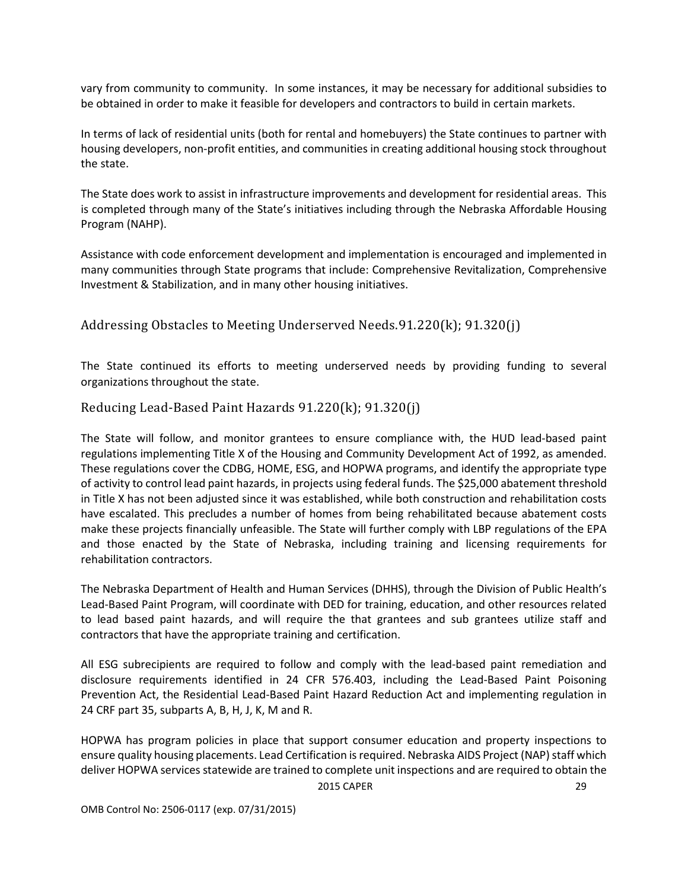vary from community to community. In some instances, it may be necessary for additional subsidies to be obtained in order to make it feasible for developers and contractors to build in certain markets.

In terms of lack of residential units (both for rental and homebuyers) the State continues to partner with housing developers, non-profit entities, and communities in creating additional housing stock throughout the state.

The State does work to assist in infrastructure improvements and development for residential areas. This is completed through many of the State's initiatives including through the Nebraska Affordable Housing Program (NAHP).

Assistance with code enforcement development and implementation is encouraged and implemented in many communities through State programs that include: Comprehensive Revitalization, Comprehensive Investment & Stabilization, and in many other housing initiatives.

<span id="page-37-0"></span>Addressing Obstacles to Meeting Underserved Needs.91.220(k); 91.320(j)

The State continued its efforts to meeting underserved needs by providing funding to several organizations throughout the state.

<span id="page-37-1"></span>Reducing Lead-Based Paint Hazards 91.220(k); 91.320(j)

The State will follow, and monitor grantees to ensure compliance with, the HUD lead-based paint regulations implementing Title X of the Housing and Community Development Act of 1992, as amended. These regulations cover the CDBG, HOME, ESG, and HOPWA programs, and identify the appropriate type of activity to control lead paint hazards, in projects using federal funds. The \$25,000 abatement threshold in Title X has not been adjusted since it was established, while both construction and rehabilitation costs have escalated. This precludes a number of homes from being rehabilitated because abatement costs make these projects financially unfeasible. The State will further comply with LBP regulations of the EPA and those enacted by the State of Nebraska, including training and licensing requirements for rehabilitation contractors.

The Nebraska Department of Health and Human Services (DHHS), through the Division of Public Health's Lead-Based Paint Program, will coordinate with DED for training, education, and other resources related to lead based paint hazards, and will require the that grantees and sub grantees utilize staff and contractors that have the appropriate training and certification.

All ESG subrecipients are required to follow and comply with the lead-based paint remediation and disclosure requirements identified in 24 CFR 576.403, including the Lead-Based Paint Poisoning Prevention Act, the Residential Lead-Based Paint Hazard Reduction Act and implementing regulation in 24 CRF part 35, subparts A, B, H, J, K, M and R.

2015 CAPER 29 HOPWA has program policies in place that support consumer education and property inspections to ensure quality housing placements. Lead Certification is required. Nebraska AIDS Project (NAP) staff which deliver HOPWA services statewide are trained to complete unit inspections and are required to obtain the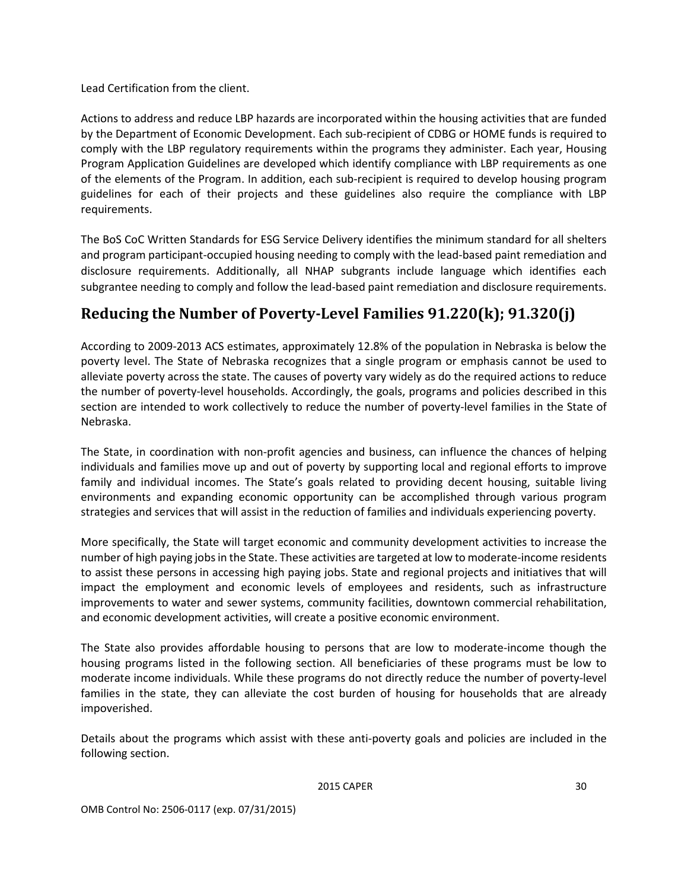Lead Certification from the client.

Actions to address and reduce LBP hazards are incorporated within the housing activities that are funded by the Department of Economic Development. Each sub-recipient of CDBG or HOME funds is required to comply with the LBP regulatory requirements within the programs they administer. Each year, Housing Program Application Guidelines are developed which identify compliance with LBP requirements as one of the elements of the Program. In addition, each sub-recipient is required to develop housing program guidelines for each of their projects and these guidelines also require the compliance with LBP requirements.

The BoS CoC Written Standards for ESG Service Delivery identifies the minimum standard for all shelters and program participant-occupied housing needing to comply with the lead-based paint remediation and disclosure requirements. Additionally, all NHAP subgrants include language which identifies each subgrantee needing to comply and follow the lead-based paint remediation and disclosure requirements.

# <span id="page-38-0"></span>**Reducing the Number of Poverty-Level Families 91.220(k); 91.320(j)**

According to 2009-2013 ACS estimates, approximately 12.8% of the population in Nebraska is below the poverty level. The State of Nebraska recognizes that a single program or emphasis cannot be used to alleviate poverty across the state. The causes of poverty vary widely as do the required actions to reduce the number of poverty-level households. Accordingly, the goals, programs and policies described in this section are intended to work collectively to reduce the number of poverty-level families in the State of Nebraska.

The State, in coordination with non-profit agencies and business, can influence the chances of helping individuals and families move up and out of poverty by supporting local and regional efforts to improve family and individual incomes. The State's goals related to providing decent housing, suitable living environments and expanding economic opportunity can be accomplished through various program strategies and services that will assist in the reduction of families and individuals experiencing poverty.

More specifically, the State will target economic and community development activities to increase the number of high paying jobs in the State. These activities are targeted at low to moderate-income residents to assist these persons in accessing high paying jobs. State and regional projects and initiatives that will impact the employment and economic levels of employees and residents, such as infrastructure improvements to water and sewer systems, community facilities, downtown commercial rehabilitation, and economic development activities, will create a positive economic environment.

The State also provides affordable housing to persons that are low to moderate-income though the housing programs listed in the following section. All beneficiaries of these programs must be low to moderate income individuals. While these programs do not directly reduce the number of poverty-level families in the state, they can alleviate the cost burden of housing for households that are already impoverished.

Details about the programs which assist with these anti-poverty goals and policies are included in the following section.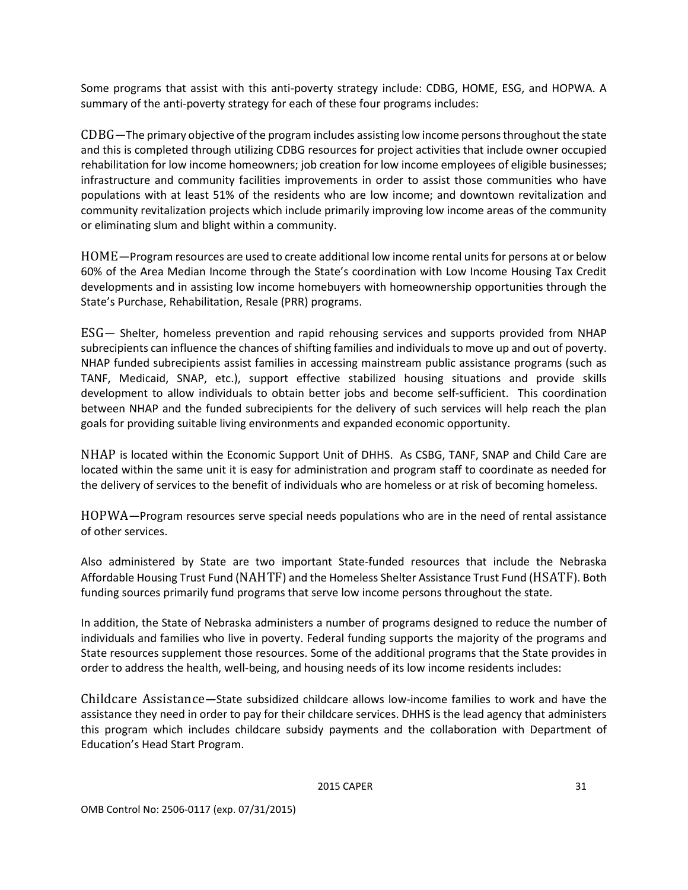Some programs that assist with this anti-poverty strategy include: CDBG, HOME, ESG, and HOPWA. A summary of the anti-poverty strategy for each of these four programs includes:

<span id="page-39-0"></span>CDBG—The primary objective of the program includes assisting low income persons throughout the state and this is completed through utilizing CDBG resources for project activities that include owner occupied rehabilitation for low income homeowners; job creation for low income employees of eligible businesses; infrastructure and community facilities improvements in order to assist those communities who have populations with at least 51% of the residents who are low income; and downtown revitalization and community revitalization projects which include primarily improving low income areas of the community or eliminating slum and blight within a community.

<span id="page-39-1"></span>HOME—Program resources are used to create additional low income rental units for persons at or below 60% of the Area Median Income through the State's coordination with Low Income Housing Tax Credit developments and in assisting low income homebuyers with homeownership opportunities through the State's Purchase, Rehabilitation, Resale (PRR) programs.

<span id="page-39-2"></span>ESG— Shelter, homeless prevention and rapid rehousing services and supports provided from NHAP subrecipients can influence the chances of shifting families and individuals to move up and out of poverty. NHAP funded subrecipients assist families in accessing mainstream public assistance programs (such as TANF, Medicaid, SNAP, etc.), support effective stabilized housing situations and provide skills development to allow individuals to obtain better jobs and become self-sufficient. This coordination between NHAP and the funded subrecipients for the delivery of such services will help reach the plan goals for providing suitable living environments and expanded economic opportunity.

<span id="page-39-3"></span>NHAP is located within the Economic Support Unit of DHHS. As CSBG, TANF, SNAP and Child Care are located within the same unit it is easy for administration and program staff to coordinate as needed for the delivery of services to the benefit of individuals who are homeless or at risk of becoming homeless.

<span id="page-39-4"></span>HOPWA—Program resources serve special needs populations who are in the need of rental assistance of other services.

Also administered by State are two important State-funded resources that include the Nebraska Affordable Housing Trust Fund (NAHTF) and the Homeless Shelter Assistance Trust Fund (HSATF). Both funding sources primarily fund programs that serve low income persons throughout the state.

In addition, the State of Nebraska administers a number of programs designed to reduce the number of individuals and families who live in poverty. Federal funding supports the majority of the programs and State resources supplement those resources. Some of the additional programs that the State provides in order to address the health, well-being, and housing needs of its low income residents includes:

<span id="page-39-5"></span>Childcare Assistance**—**State subsidized childcare allows low-income families to work and have the assistance they need in order to pay for their childcare services. DHHS is the lead agency that administers this program which includes childcare subsidy payments and the collaboration with Department of Education's Head Start Program.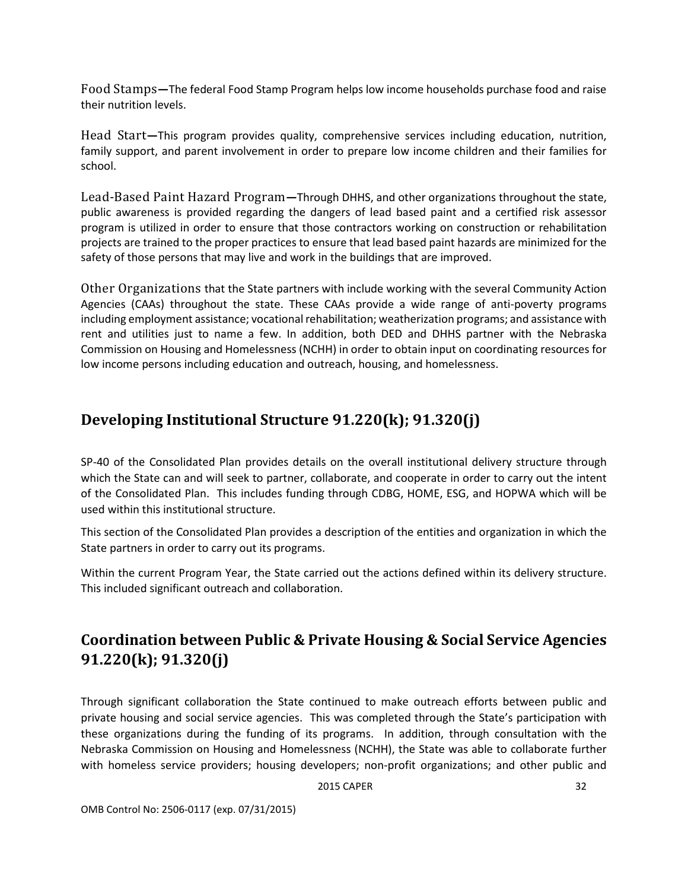<span id="page-40-0"></span>Food Stamps**—**The federal Food Stamp Program helps low income households purchase food and raise their nutrition levels.

<span id="page-40-1"></span>Head Start**—**This program provides quality, comprehensive services including education, nutrition, family support, and parent involvement in order to prepare low income children and their families for school.

<span id="page-40-2"></span>Lead-Based Paint Hazard Program**—**Through DHHS, and other organizations throughout the state, public awareness is provided regarding the dangers of lead based paint and a certified risk assessor program is utilized in order to ensure that those contractors working on construction or rehabilitation projects are trained to the proper practices to ensure that lead based paint hazards are minimized for the safety of those persons that may live and work in the buildings that are improved.

<span id="page-40-3"></span>Other Organizations that the State partners with include working with the several Community Action Agencies (CAAs) throughout the state. These CAAs provide a wide range of anti-poverty programs including employment assistance; vocational rehabilitation; weatherization programs; and assistance with rent and utilities just to name a few. In addition, both DED and DHHS partner with the Nebraska Commission on Housing and Homelessness (NCHH) in order to obtain input on coordinating resources for low income persons including education and outreach, housing, and homelessness.

### <span id="page-40-4"></span>**Developing Institutional Structure 91.220(k); 91.320(j)**

SP-40 of the Consolidated Plan provides details on the overall institutional delivery structure through which the State can and will seek to partner, collaborate, and cooperate in order to carry out the intent of the Consolidated Plan. This includes funding through CDBG, HOME, ESG, and HOPWA which will be used within this institutional structure.

This section of the Consolidated Plan provides a description of the entities and organization in which the State partners in order to carry out its programs.

Within the current Program Year, the State carried out the actions defined within its delivery structure. This included significant outreach and collaboration.

# <span id="page-40-5"></span>**Coordination between Public & Private Housing & Social Service Agencies 91.220(k); 91.320(j)**

Through significant collaboration the State continued to make outreach efforts between public and private housing and social service agencies. This was completed through the State's participation with these organizations during the funding of its programs. In addition, through consultation with the Nebraska Commission on Housing and Homelessness (NCHH), the State was able to collaborate further with homeless service providers; housing developers; non-profit organizations; and other public and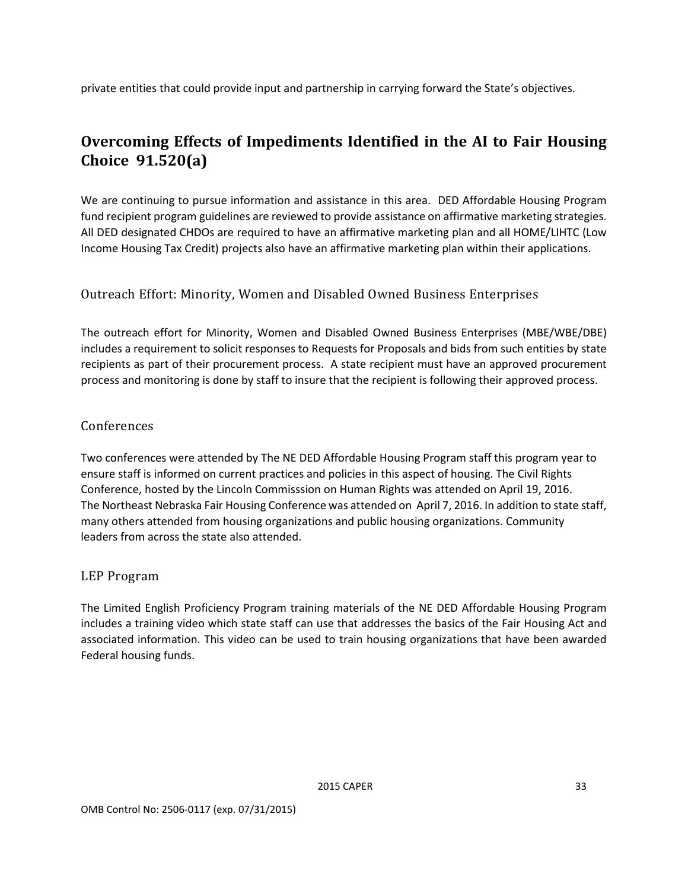private entities that could provide input and partnership in carrying forward the State's objectives.

# <span id="page-41-0"></span>**Overcoming Effects of Impediments Identified in the AI to Fair Housing Choice 91.520(a)**

We are continuing to pursue information and assistance in this area. DED Affordable Housing Program fund recipient program guidelines are reviewed to provide assistance on affirmative marketing strategies. All DED designated CHDOs are required to have an affirmative marketing plan and all HOME/LIHTC (Low Income Housing Tax Credit) projects also have an affirmative marketing plan within their applications.

#### <span id="page-41-1"></span>Outreach Effort: Minority, Women and Disabled Owned Business Enterprises

The outreach effort for Minority, Women and Disabled Owned Business Enterprises (MBE/WBE/DBE) includes a requirement to solicit responses to Requests for Proposals and bids from such entities by state recipients as part of their procurement process. A state recipient must have an approved procurement process and monitoring is done by staff to insure that the recipient is following their approved process.

#### <span id="page-41-2"></span>Conferences

Two conferences were attended by The NE DED Affordable Housing Program staff this program year to ensure staff is informed on current practices and policies in this aspect of housing. The Civil Rights Conference, hosted by the Lincoln Commisssion on Human Rights was attended on April 19, 2016. The Northeast Nebraska Fair Housing Conference was attended on April 7, 2016. In addition to state staff, many others attended from housing organizations and public housing organizations. Community leaders from across the state also attended.

#### <span id="page-41-3"></span>LEP Program

The Limited English Proficiency Program training materials of the NE DED Affordable Housing Program includes a training video which state staff can use that addresses the basics of the Fair Housing Act and associated information. This video can be used to train housing organizations that have been awarded Federal housing funds.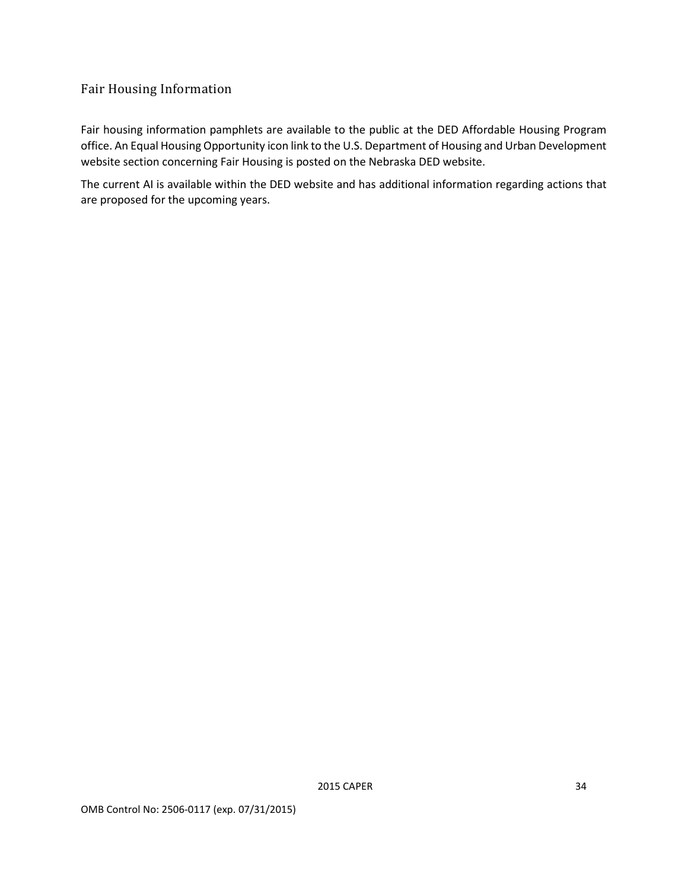#### <span id="page-42-0"></span>Fair Housing Information

Fair housing information pamphlets are available to the public at the DED Affordable Housing Program office. An Equal Housing Opportunity icon link to the U.S. Department of Housing and Urban Development website section concerning Fair Housing is posted on the Nebraska DED website.

The current AI is available within the DED website and has additional information regarding actions that are proposed for the upcoming years.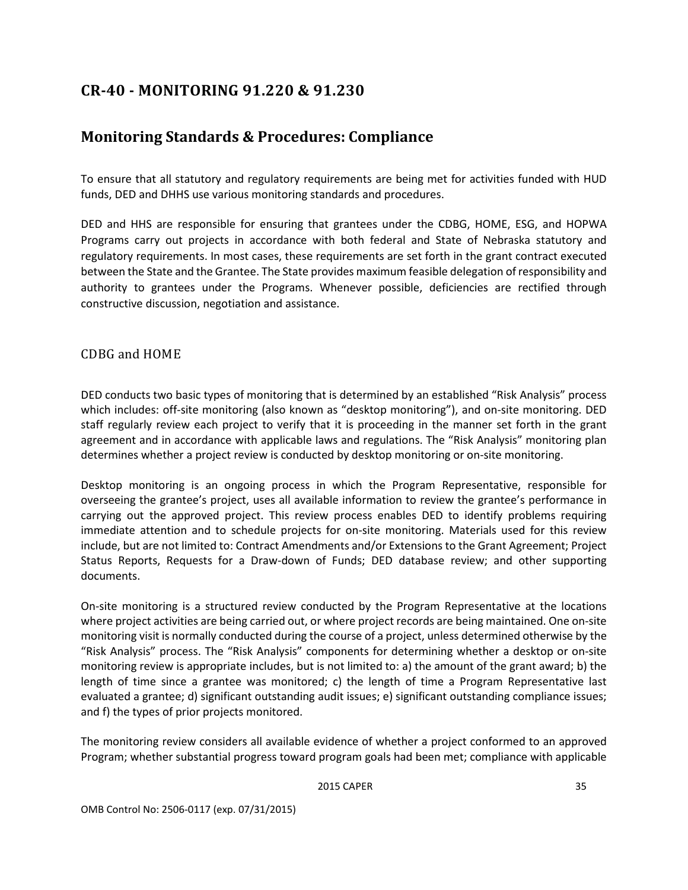## <span id="page-43-0"></span>**CR-40 - MONITORING 91.220 & 91.230**

### <span id="page-43-1"></span>**Monitoring Standards & Procedures: Compliance**

To ensure that all statutory and regulatory requirements are being met for activities funded with HUD funds, DED and DHHS use various monitoring standards and procedures.

DED and HHS are responsible for ensuring that grantees under the CDBG, HOME, ESG, and HOPWA Programs carry out projects in accordance with both federal and State of Nebraska statutory and regulatory requirements. In most cases, these requirements are set forth in the grant contract executed between the State and the Grantee. The State provides maximum feasible delegation of responsibility and authority to grantees under the Programs. Whenever possible, deficiencies are rectified through constructive discussion, negotiation and assistance.

#### <span id="page-43-2"></span>CDBG and HOME

DED conducts two basic types of monitoring that is determined by an established "Risk Analysis" process which includes: off-site monitoring (also known as "desktop monitoring"), and on-site monitoring. DED staff regularly review each project to verify that it is proceeding in the manner set forth in the grant agreement and in accordance with applicable laws and regulations. The "Risk Analysis" monitoring plan determines whether a project review is conducted by desktop monitoring or on-site monitoring.

Desktop monitoring is an ongoing process in which the Program Representative, responsible for overseeing the grantee's project, uses all available information to review the grantee's performance in carrying out the approved project. This review process enables DED to identify problems requiring immediate attention and to schedule projects for on-site monitoring. Materials used for this review include, but are not limited to: Contract Amendments and/or Extensions to the Grant Agreement; Project Status Reports, Requests for a Draw-down of Funds; DED database review; and other supporting documents.

On-site monitoring is a structured review conducted by the Program Representative at the locations where project activities are being carried out, or where project records are being maintained. One on-site monitoring visit is normally conducted during the course of a project, unless determined otherwise by the "Risk Analysis" process. The "Risk Analysis" components for determining whether a desktop or on-site monitoring review is appropriate includes, but is not limited to: a) the amount of the grant award; b) the length of time since a grantee was monitored; c) the length of time a Program Representative last evaluated a grantee; d) significant outstanding audit issues; e) significant outstanding compliance issues; and f) the types of prior projects monitored.

The monitoring review considers all available evidence of whether a project conformed to an approved Program; whether substantial progress toward program goals had been met; compliance with applicable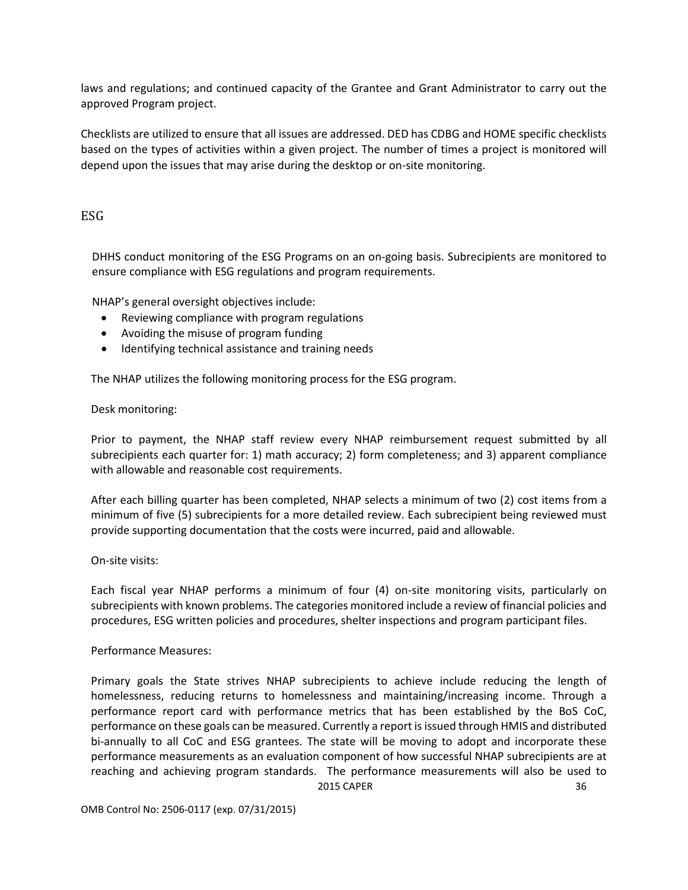laws and regulations; and continued capacity of the Grantee and Grant Administrator to carry out the approved Program project.

Checklists are utilized to ensure that all issues are addressed. DED has CDBG and HOME specific checklists based on the types of activities within a given project. The number of times a project is monitored will depend upon the issues that may arise during the desktop or on-site monitoring.

#### <span id="page-44-0"></span>ESG

DHHS conduct monitoring of the ESG Programs on an on-going basis. Subrecipients are monitored to ensure compliance with ESG regulations and program requirements.

NHAP's general oversight objectives include:

- Reviewing compliance with program regulations
- Avoiding the misuse of program funding
- Identifying technical assistance and training needs

The NHAP utilizes the following monitoring process for the ESG program.

#### Desk monitoring:

Prior to payment, the NHAP staff review every NHAP reimbursement request submitted by all subrecipients each quarter for: 1) math accuracy; 2) form completeness; and 3) apparent compliance with allowable and reasonable cost requirements.

After each billing quarter has been completed, NHAP selects a minimum of two (2) cost items from a minimum of five (5) subrecipients for a more detailed review. Each subrecipient being reviewed must provide supporting documentation that the costs were incurred, paid and allowable.

#### On-site visits:

Each fiscal year NHAP performs a minimum of four (4) on-site monitoring visits, particularly on subrecipients with known problems. The categories monitored include a review of financial policies and procedures, ESG written policies and procedures, shelter inspections and program participant files.

#### Performance Measures:

2015 CAPER 36 Primary goals the State strives NHAP subrecipients to achieve include reducing the length of homelessness, reducing returns to homelessness and maintaining/increasing income. Through a performance report card with performance metrics that has been established by the BoS CoC, performance on these goals can be measured. Currently a report is issued through HMIS and distributed bi-annually to all CoC and ESG grantees. The state will be moving to adopt and incorporate these performance measurements as an evaluation component of how successful NHAP subrecipients are at reaching and achieving program standards. The performance measurements will also be used to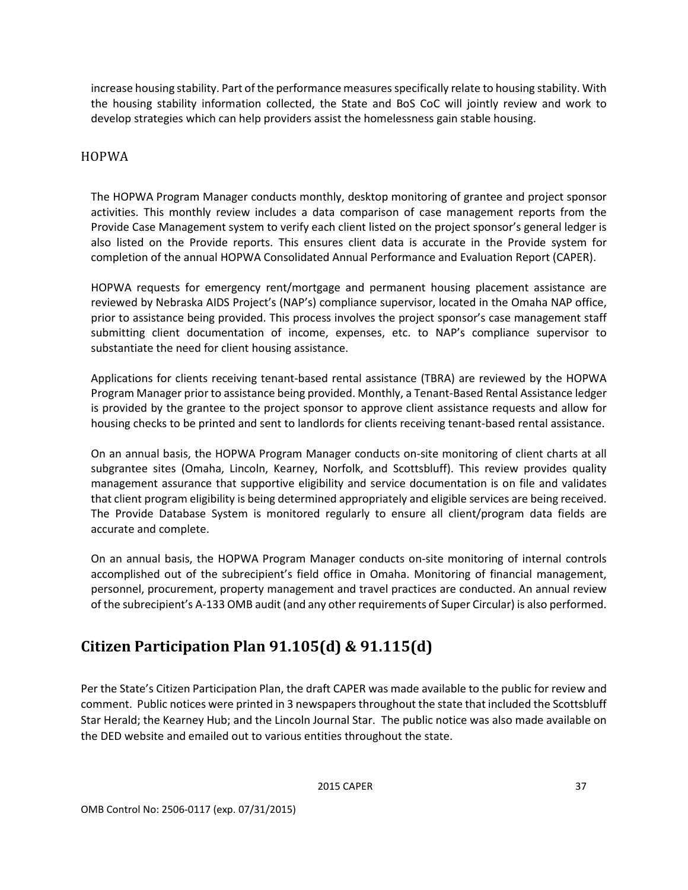increase housing stability. Part of the performance measures specifically relate to housing stability. With the housing stability information collected, the State and BoS CoC will jointly review and work to develop strategies which can help providers assist the homelessness gain stable housing.

#### <span id="page-45-0"></span>HOPWA

The HOPWA Program Manager conducts monthly, desktop monitoring of grantee and project sponsor activities. This monthly review includes a data comparison of case management reports from the Provide Case Management system to verify each client listed on the project sponsor's general ledger is also listed on the Provide reports. This ensures client data is accurate in the Provide system for completion of the annual HOPWA Consolidated Annual Performance and Evaluation Report (CAPER).

HOPWA requests for emergency rent/mortgage and permanent housing placement assistance are reviewed by Nebraska AIDS Project's (NAP's) compliance supervisor, located in the Omaha NAP office, prior to assistance being provided. This process involves the project sponsor's case management staff submitting client documentation of income, expenses, etc. to NAP's compliance supervisor to substantiate the need for client housing assistance.

Applications for clients receiving tenant-based rental assistance (TBRA) are reviewed by the HOPWA Program Manager prior to assistance being provided. Monthly, a Tenant-Based Rental Assistance ledger is provided by the grantee to the project sponsor to approve client assistance requests and allow for housing checks to be printed and sent to landlords for clients receiving tenant-based rental assistance.

On an annual basis, the HOPWA Program Manager conducts on-site monitoring of client charts at all subgrantee sites (Omaha, Lincoln, Kearney, Norfolk, and Scottsbluff). This review provides quality management assurance that supportive eligibility and service documentation is on file and validates that client program eligibility is being determined appropriately and eligible services are being received. The Provide Database System is monitored regularly to ensure all client/program data fields are accurate and complete.

On an annual basis, the HOPWA Program Manager conducts on-site monitoring of internal controls accomplished out of the subrecipient's field office in Omaha. Monitoring of financial management, personnel, procurement, property management and travel practices are conducted. An annual review of the subrecipient's A-133 OMB audit (and any other requirements of Super Circular) is also performed.

# <span id="page-45-1"></span>**Citizen Participation Plan 91.105(d) & 91.115(d)**

Per the State's Citizen Participation Plan, the draft CAPER was made available to the public for review and comment. Public notices were printed in 3 newspapers throughout the state that included the Scottsbluff Star Herald; the Kearney Hub; and the Lincoln Journal Star. The public notice was also made available on the DED website and emailed out to various entities throughout the state.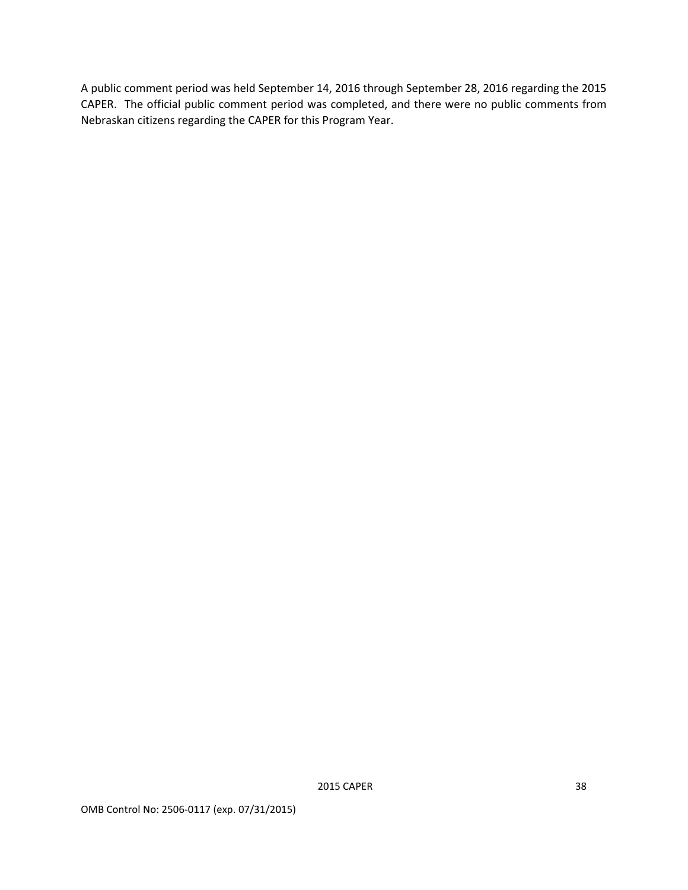A public comment period was held September 14, 2016 through September 28, 2016 regarding the 2015 CAPER. The official public comment period was completed, and there were no public comments from Nebraskan citizens regarding the CAPER for this Program Year.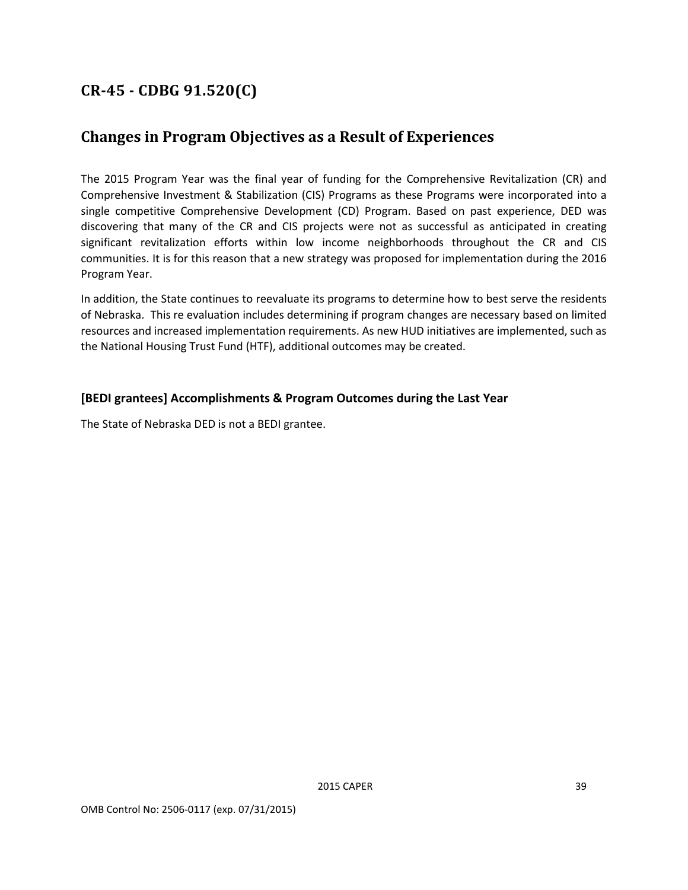# <span id="page-47-0"></span>**CR-45 - CDBG 91.520(C)**

### <span id="page-47-1"></span>**Changes in Program Objectives as a Result of Experiences**

The 2015 Program Year was the final year of funding for the Comprehensive Revitalization (CR) and Comprehensive Investment & Stabilization (CIS) Programs as these Programs were incorporated into a single competitive Comprehensive Development (CD) Program. Based on past experience, DED was discovering that many of the CR and CIS projects were not as successful as anticipated in creating significant revitalization efforts within low income neighborhoods throughout the CR and CIS communities. It is for this reason that a new strategy was proposed for implementation during the 2016 Program Year.

In addition, the State continues to reevaluate its programs to determine how to best serve the residents of Nebraska. This re evaluation includes determining if program changes are necessary based on limited resources and increased implementation requirements. As new HUD initiatives are implemented, such as the National Housing Trust Fund (HTF), additional outcomes may be created.

#### **[BEDI grantees] Accomplishments & Program Outcomes during the Last Year**

The State of Nebraska DED is not a BEDI grantee.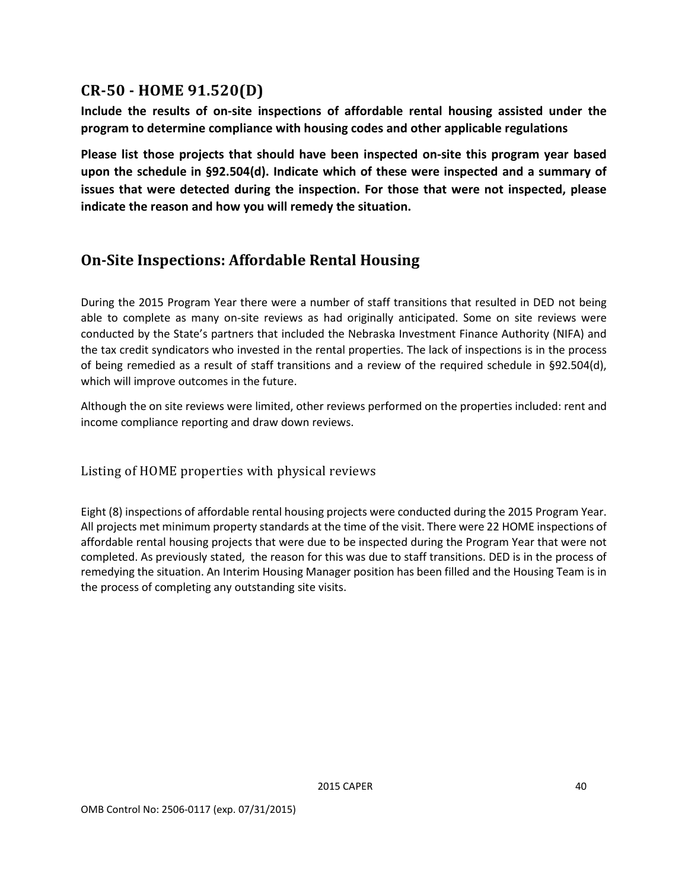### <span id="page-48-0"></span>**CR-50 - HOME 91.520(D)**

**Include the results of on-site inspections of affordable rental housing assisted under the program to determine compliance with housing codes and other applicable regulations** 

**Please list those projects that should have been inspected on-site this program year based upon the schedule in §92.504(d). Indicate which of these were inspected and a summary of issues that were detected during the inspection. For those that were not inspected, please indicate the reason and how you will remedy the situation.**

### <span id="page-48-1"></span>**On-Site Inspections: Affordable Rental Housing**

During the 2015 Program Year there were a number of staff transitions that resulted in DED not being able to complete as many on-site reviews as had originally anticipated. Some on site reviews were conducted by the State's partners that included the Nebraska Investment Finance Authority (NIFA) and the tax credit syndicators who invested in the rental properties. The lack of inspections is in the process of being remedied as a result of staff transitions and a review of the required schedule in §92.504(d), which will improve outcomes in the future.

Although the on site reviews were limited, other reviews performed on the properties included: rent and income compliance reporting and draw down reviews.

<span id="page-48-2"></span>Listing of HOME properties with physical reviews

Eight (8) inspections of affordable rental housing projects were conducted during the 2015 Program Year. All projects met minimum property standards at the time of the visit. There were 22 HOME inspections of affordable rental housing projects that were due to be inspected during the Program Year that were not completed. As previously stated, the reason for this was due to staff transitions. DED is in the process of remedying the situation. An Interim Housing Manager position has been filled and the Housing Team is in the process of completing any outstanding site visits.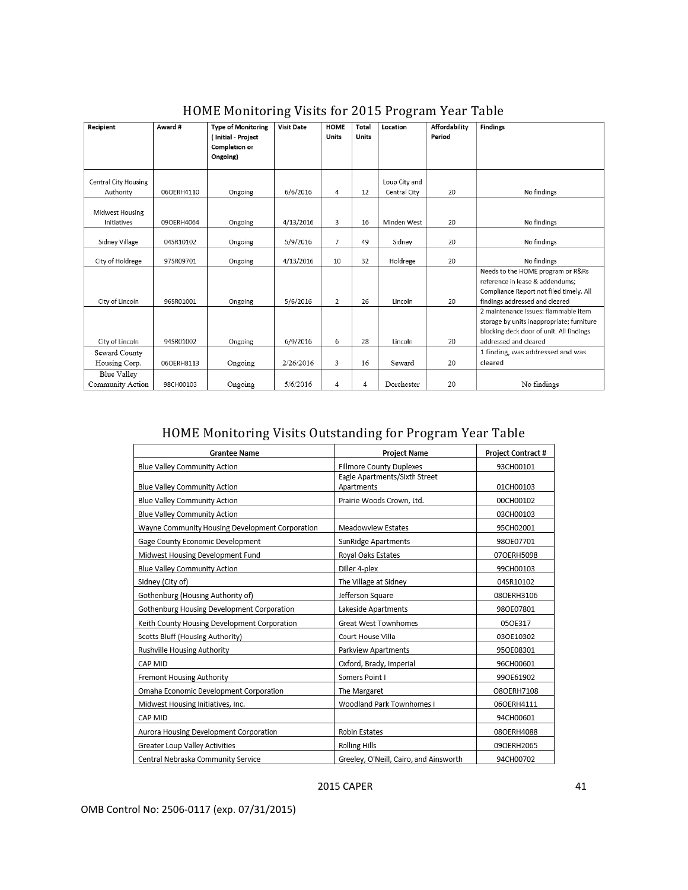<span id="page-49-0"></span>

| Recipient                      | Award #    | <b>Type of Monitoring</b><br>(Initial - Project<br><b>Completion or</b> | <b>Visit Date</b> | <b>HOME</b><br>Units | Total<br>Units | Location      | Affordability<br>Period | <b>Findings</b>                           |
|--------------------------------|------------|-------------------------------------------------------------------------|-------------------|----------------------|----------------|---------------|-------------------------|-------------------------------------------|
|                                |            | Ongoing)                                                                |                   |                      |                |               |                         |                                           |
| <b>Central City Housing</b>    |            |                                                                         |                   |                      |                | Loup City and |                         |                                           |
| Authority                      | 06OERH4110 | Ongoing                                                                 | 6/6/2016          | 4                    | 12             | Central City  | 20                      | No findings                               |
| Midwest Housing<br>Initiatives | 09OERH4064 | Ongoing                                                                 | 4/13/2016         | 3                    | 16             | Minden West   | 20                      | No findings                               |
|                                |            |                                                                         |                   |                      |                |               |                         |                                           |
| Sidney Village                 | 04SR10102  | Ongoing                                                                 | 5/9/2016          | $\overline{7}$       | 49             | Sidney        | 20                      | No findings                               |
| City of Holdrege               | 97SR09701  | Ongoing                                                                 | 4/13/2016         | 10                   | 32             | Holdrege      | 20                      | No findings                               |
|                                |            |                                                                         |                   |                      |                |               |                         | Needs to the HOME program or R&Rs         |
|                                |            |                                                                         |                   |                      |                |               |                         | reference in lease & addendums:           |
|                                |            |                                                                         |                   |                      |                |               |                         | Compliance Report not filed timely. All   |
| City of Lincoln                | 96SR01001  | Ongoing                                                                 | 5/6/2016          | $\overline{2}$       | 26             | Lincoln       | 20                      | findings addressed and cleared            |
|                                |            |                                                                         |                   |                      |                |               |                         | 2 maintenance issues: flammable item      |
|                                |            |                                                                         |                   |                      |                |               |                         | storage by units inappropriate; furniture |
|                                |            |                                                                         |                   |                      |                |               |                         | blocking deck door of unit. All findings  |
| City of Lincoln                | 94SR01002  | Ongoing                                                                 | 6/9/2016          | 6                    | 28             | Lincoln       | 20                      | addressed and cleared                     |
| Seward County                  |            |                                                                         |                   |                      |                |               |                         | 1 finding, was addressed and was          |
| Housing Corp.                  | 06OERH8113 | Ongoing                                                                 | 2/26/2016         | 3                    | 16             | Seward        | 20                      | cleared                                   |
| <b>Blue Valley</b>             |            |                                                                         |                   |                      |                |               |                         |                                           |
| Community Action               | 98CH00103  | Ongoing                                                                 | 5/6/2016          | $\overline{4}$       | 4              | Dorchester    | 20                      | No findings                               |

### HOME Monitoring Visits for 2015 Program Year Table

### HOME Monitoring Visits Outstanding for Program Year Table

<span id="page-49-1"></span>

| <b>Grantee Name</b>                             | <b>Project Name</b>                         | <b>Project Contract #</b> |
|-------------------------------------------------|---------------------------------------------|---------------------------|
| Blue Valley Community Action                    | Fillmore County Duplexes                    | 93CH00101                 |
| Blue Valley Community Action                    | Eagle Apartments/Sixth Street<br>Apartments | 01CH00103                 |
| Blue Valley Community Action                    | Prairie Woods Crown, Ltd.                   | 00CH00102                 |
| Blue Valley Community Action                    |                                             | 03CH00103                 |
| Wayne Community Housing Development Corporation | Meadowview Estates                          | 95CH02001                 |
| Gage County Economic Development                | SunRidge Apartments                         | 980E07701                 |
| Midwest Housing Development Fund                | Royal Oaks Estates                          | 07OERH5098                |
| Blue Valley Community Action                    | Diller 4-plex                               | 99CH00103                 |
| Sidney (City of)                                | The Village at Sidney                       | 04SR10102                 |
| Gothenburg (Housing Authority of)               | Jefferson Square                            | 08OERH3106                |
| Gothenburg Housing Development Corporation      | Lakeside Apartments                         | 980E07801                 |
| Keith County Housing Development Corporation    | Great West Townhomes                        | 05OE317                   |
| Scotts Bluff (Housing Authority)                | Court House Villa                           | 03OE10302                 |
| Rushville Housing Authority                     | Parkview Apartments                         | 95OE08301                 |
| CAP MID                                         | Oxford, Brady, Imperial                     | 96CH00601                 |
| Fremont Housing Authority                       | Somers Point I                              | 990E61902                 |
| Omaha Economic Development Corporation          | The Margaret                                | O8OERH7108                |
| Midwest Housing Initiatives, Inc.               | Woodland Park Townhomes I                   | 06OERH4111                |
| CAP MID                                         |                                             | 94CH00601                 |
| Aurora Housing Development Corporation          | <b>Robin Estates</b>                        | 08OERH4088                |
| Greater Loup Valley Activities                  | <b>Rolling Hills</b>                        | 09OERH2065                |
| Central Nebraska Community Service              | Greeley, O'Neill, Cairo, and Ainsworth      | 94CH00702                 |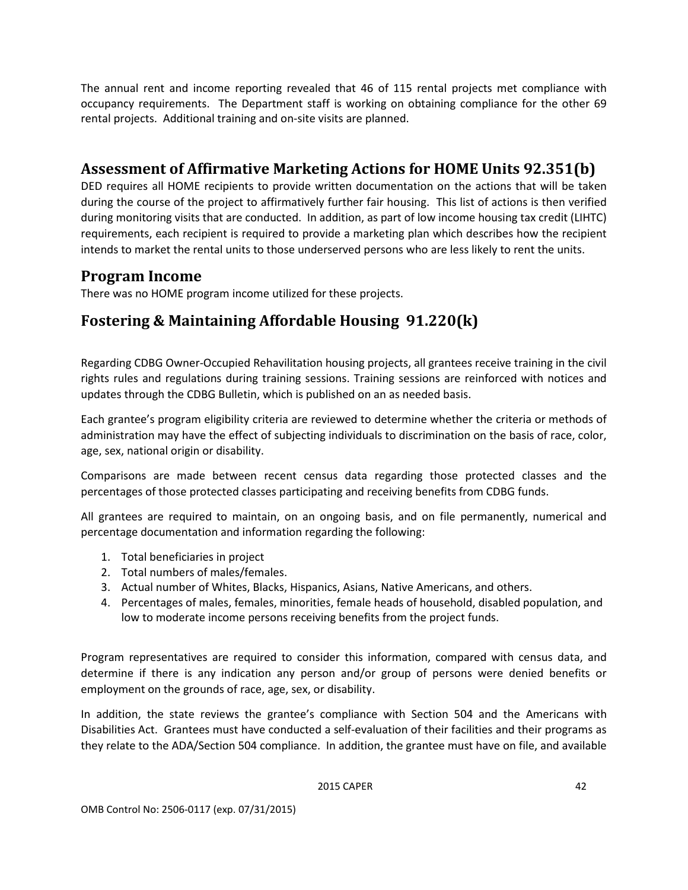The annual rent and income reporting revealed that 46 of 115 rental projects met compliance with occupancy requirements. The Department staff is working on obtaining compliance for the other 69 rental projects. Additional training and on-site visits are planned.

### <span id="page-50-0"></span>**Assessment of Affirmative Marketing Actions for HOME Units 92.351(b)**

DED requires all HOME recipients to provide written documentation on the actions that will be taken during the course of the project to affirmatively further fair housing. This list of actions is then verified during monitoring visits that are conducted. In addition, as part of low income housing tax credit (LIHTC) requirements, each recipient is required to provide a marketing plan which describes how the recipient intends to market the rental units to those underserved persons who are less likely to rent the units.

### <span id="page-50-1"></span>**Program Income**

There was no HOME program income utilized for these projects.

# <span id="page-50-2"></span>**Fostering & Maintaining Affordable Housing 91.220(k)**

Regarding CDBG Owner-Occupied Rehavilitation housing projects, all grantees receive training in the civil rights rules and regulations during training sessions. Training sessions are reinforced with notices and updates through the CDBG Bulletin, which is published on an as needed basis.

Each grantee's program eligibility criteria are reviewed to determine whether the criteria or methods of administration may have the effect of subjecting individuals to discrimination on the basis of race, color, age, sex, national origin or disability.

Comparisons are made between recent census data regarding those protected classes and the percentages of those protected classes participating and receiving benefits from CDBG funds.

All grantees are required to maintain, on an ongoing basis, and on file permanently, numerical and percentage documentation and information regarding the following:

- 1. Total beneficiaries in project
- 2. Total numbers of males/females.
- 3. Actual number of Whites, Blacks, Hispanics, Asians, Native Americans, and others.
- 4. Percentages of males, females, minorities, female heads of household, disabled population, and low to moderate income persons receiving benefits from the project funds.

Program representatives are required to consider this information, compared with census data, and determine if there is any indication any person and/or group of persons were denied benefits or employment on the grounds of race, age, sex, or disability.

In addition, the state reviews the grantee's compliance with Section 504 and the Americans with Disabilities Act. Grantees must have conducted a self-evaluation of their facilities and their programs as they relate to the ADA/Section 504 compliance. In addition, the grantee must have on file, and available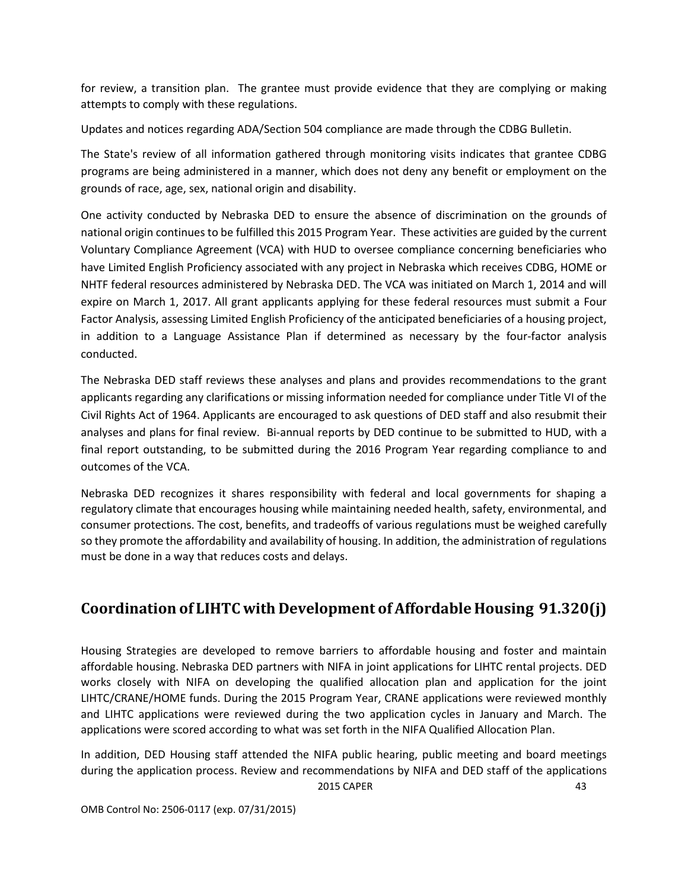for review, a transition plan. The grantee must provide evidence that they are complying or making attempts to comply with these regulations.

Updates and notices regarding ADA/Section 504 compliance are made through the CDBG Bulletin.

The State's review of all information gathered through monitoring visits indicates that grantee CDBG programs are being administered in a manner, which does not deny any benefit or employment on the grounds of race, age, sex, national origin and disability.

One activity conducted by Nebraska DED to ensure the absence of discrimination on the grounds of national origin continues to be fulfilled this 2015 Program Year. These activities are guided by the current Voluntary Compliance Agreement (VCA) with HUD to oversee compliance concerning beneficiaries who have Limited English Proficiency associated with any project in Nebraska which receives CDBG, HOME or NHTF federal resources administered by Nebraska DED. The VCA was initiated on March 1, 2014 and will expire on March 1, 2017. All grant applicants applying for these federal resources must submit a Four Factor Analysis, assessing Limited English Proficiency of the anticipated beneficiaries of a housing project, in addition to a Language Assistance Plan if determined as necessary by the four-factor analysis conducted.

The Nebraska DED staff reviews these analyses and plans and provides recommendations to the grant applicants regarding any clarifications or missing information needed for compliance under Title VI of the Civil Rights Act of 1964. Applicants are encouraged to ask questions of DED staff and also resubmit their analyses and plans for final review. Bi-annual reports by DED continue to be submitted to HUD, with a final report outstanding, to be submitted during the 2016 Program Year regarding compliance to and outcomes of the VCA.

Nebraska DED recognizes it shares responsibility with federal and local governments for shaping a regulatory climate that encourages housing while maintaining needed health, safety, environmental, and consumer protections. The cost, benefits, and tradeoffs of various regulations must be weighed carefully so they promote the affordability and availability of housing. In addition, the administration of regulations must be done in a way that reduces costs and delays.

# <span id="page-51-0"></span>**Coordination of LIHTC with Development of Affordable Housing 91.320(j)**

Housing Strategies are developed to remove barriers to affordable housing and foster and maintain affordable housing. Nebraska DED partners with NIFA in joint applications for LIHTC rental projects. DED works closely with NIFA on developing the qualified allocation plan and application for the joint LIHTC/CRANE/HOME funds. During the 2015 Program Year, CRANE applications were reviewed monthly and LIHTC applications were reviewed during the two application cycles in January and March. The applications were scored according to what was set forth in the NIFA Qualified Allocation Plan.

2015 CAPER 43 In addition, DED Housing staff attended the NIFA public hearing, public meeting and board meetings during the application process. Review and recommendations by NIFA and DED staff of the applications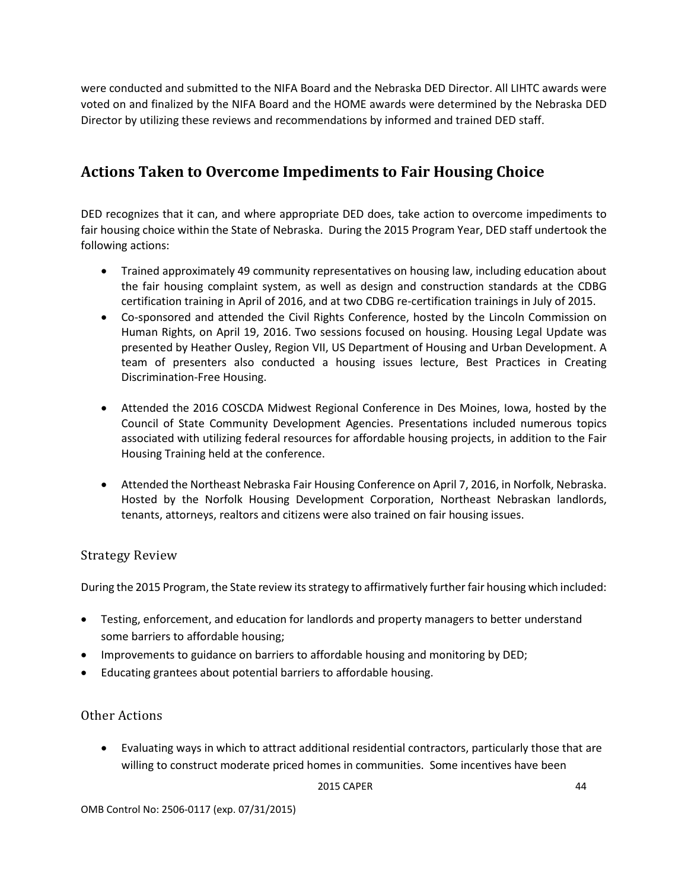were conducted and submitted to the NIFA Board and the Nebraska DED Director. All LIHTC awards were voted on and finalized by the NIFA Board and the HOME awards were determined by the Nebraska DED Director by utilizing these reviews and recommendations by informed and trained DED staff.

# <span id="page-52-0"></span>**Actions Taken to Overcome Impediments to Fair Housing Choice**

DED recognizes that it can, and where appropriate DED does, take action to overcome impediments to fair housing choice within the State of Nebraska. During the 2015 Program Year, DED staff undertook the following actions:

- Trained approximately 49 community representatives on housing law, including education about the fair housing complaint system, as well as design and construction standards at the CDBG certification training in April of 2016, and at two CDBG re-certification trainings in July of 2015.
- Co-sponsored and attended the Civil Rights Conference, hosted by the Lincoln Commission on Human Rights, on April 19, 2016. Two sessions focused on housing. Housing Legal Update was presented by Heather Ousley, Region VII, US Department of Housing and Urban Development. A team of presenters also conducted a housing issues lecture, Best Practices in Creating Discrimination-Free Housing.
- Attended the 2016 COSCDA Midwest Regional Conference in Des Moines, Iowa, hosted by the Council of State Community Development Agencies. Presentations included numerous topics associated with utilizing federal resources for affordable housing projects, in addition to the Fair Housing Training held at the conference.
- Attended the Northeast Nebraska Fair Housing Conference on April 7, 2016, in Norfolk, Nebraska. Hosted by the Norfolk Housing Development Corporation, Northeast Nebraskan landlords, tenants, attorneys, realtors and citizens were also trained on fair housing issues.

#### <span id="page-52-1"></span>Strategy Review

During the 2015 Program, the State review its strategy to affirmatively further fair housing which included:

- Testing, enforcement, and education for landlords and property managers to better understand some barriers to affordable housing;
- Improvements to guidance on barriers to affordable housing and monitoring by DED;
- Educating grantees about potential barriers to affordable housing.

#### <span id="page-52-2"></span>Other Actions

• Evaluating ways in which to attract additional residential contractors, particularly those that are willing to construct moderate priced homes in communities. Some incentives have been

```
2015 CAPER 44
```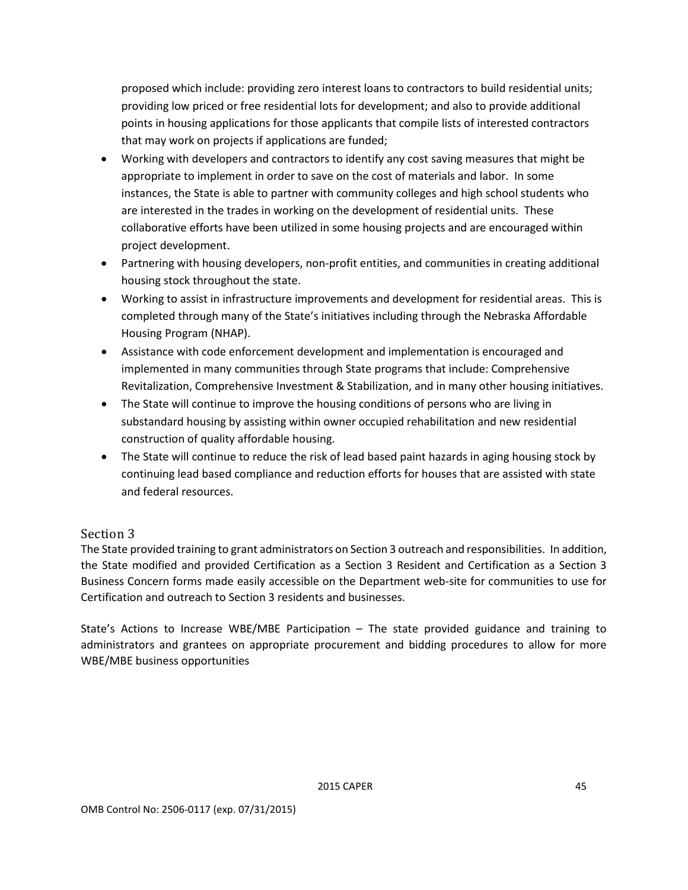proposed which include: providing zero interest loans to contractors to build residential units; providing low priced or free residential lots for development; and also to provide additional points in housing applications for those applicants that compile lists of interested contractors that may work on projects if applications are funded;

- Working with developers and contractors to identify any cost saving measures that might be appropriate to implement in order to save on the cost of materials and labor. In some instances, the State is able to partner with community colleges and high school students who are interested in the trades in working on the development of residential units. These collaborative efforts have been utilized in some housing projects and are encouraged within project development.
- Partnering with housing developers, non-profit entities, and communities in creating additional housing stock throughout the state.
- Working to assist in infrastructure improvements and development for residential areas. This is completed through many of the State's initiatives including through the Nebraska Affordable Housing Program (NHAP).
- Assistance with code enforcement development and implementation is encouraged and implemented in many communities through State programs that include: Comprehensive Revitalization, Comprehensive Investment & Stabilization, and in many other housing initiatives.
- The State will continue to improve the housing conditions of persons who are living in substandard housing by assisting within owner occupied rehabilitation and new residential construction of quality affordable housing.
- The State will continue to reduce the risk of lead based paint hazards in aging housing stock by continuing lead based compliance and reduction efforts for houses that are assisted with state and federal resources.

#### <span id="page-53-0"></span>Section 3

The State provided training to grant administrators on Section 3 outreach and responsibilities. In addition, the State modified and provided Certification as a Section 3 Resident and Certification as a Section 3 Business Concern forms made easily accessible on the Department web-site for communities to use for Certification and outreach to Section 3 residents and businesses.

State's Actions to Increase WBE/MBE Participation – The state provided guidance and training to administrators and grantees on appropriate procurement and bidding procedures to allow for more WBE/MBE business opportunities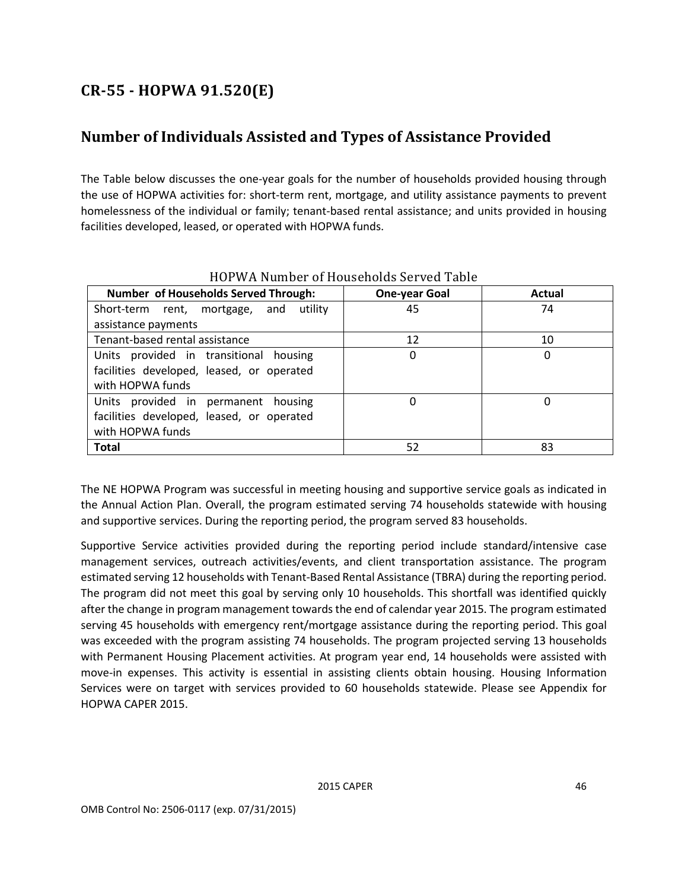# <span id="page-54-0"></span>**CR-55 - HOPWA 91.520(E)**

# <span id="page-54-1"></span>**Number of Individuals Assisted and Types of Assistance Provided**

The Table below discusses the one-year goals for the number of households provided housing through the use of HOPWA activities for: short-term rent, mortgage, and utility assistance payments to prevent homelessness of the individual or family; tenant-based rental assistance; and units provided in housing facilities developed, leased, or operated with HOPWA funds.

<span id="page-54-2"></span>

| <b>Number of Households Served Through:</b>                                                             | <b>One-year Goal</b> | Actual |  |  |  |
|---------------------------------------------------------------------------------------------------------|----------------------|--------|--|--|--|
| Short-term rent, mortgage, and<br>utility                                                               | 45                   | 74     |  |  |  |
| assistance payments                                                                                     |                      |        |  |  |  |
| Tenant-based rental assistance                                                                          | 12                   | 10     |  |  |  |
| Units provided in transitional housing<br>facilities developed, leased, or operated<br>with HOPWA funds | 0                    | 0      |  |  |  |
| Units provided in permanent housing<br>facilities developed, leased, or operated<br>with HOPWA funds    | 0                    |        |  |  |  |
| <b>Total</b>                                                                                            | 52                   | 83     |  |  |  |

HOPWA Number of Households Served Table

The NE HOPWA Program was successful in meeting housing and supportive service goals as indicated in the Annual Action Plan. Overall, the program estimated serving 74 households statewide with housing and supportive services. During the reporting period, the program served 83 households.

Supportive Service activities provided during the reporting period include standard/intensive case management services, outreach activities/events, and client transportation assistance. The program estimated serving 12 households with Tenant-Based Rental Assistance (TBRA) during the reporting period. The program did not meet this goal by serving only 10 households. This shortfall was identified quickly after the change in program management towards the end of calendar year 2015. The program estimated serving 45 households with emergency rent/mortgage assistance during the reporting period. This goal was exceeded with the program assisting 74 households. The program projected serving 13 households with Permanent Housing Placement activities. At program year end, 14 households were assisted with move-in expenses. This activity is essential in assisting clients obtain housing. Housing Information Services were on target with services provided to 60 households statewide. Please see Appendix for HOPWA CAPER 2015.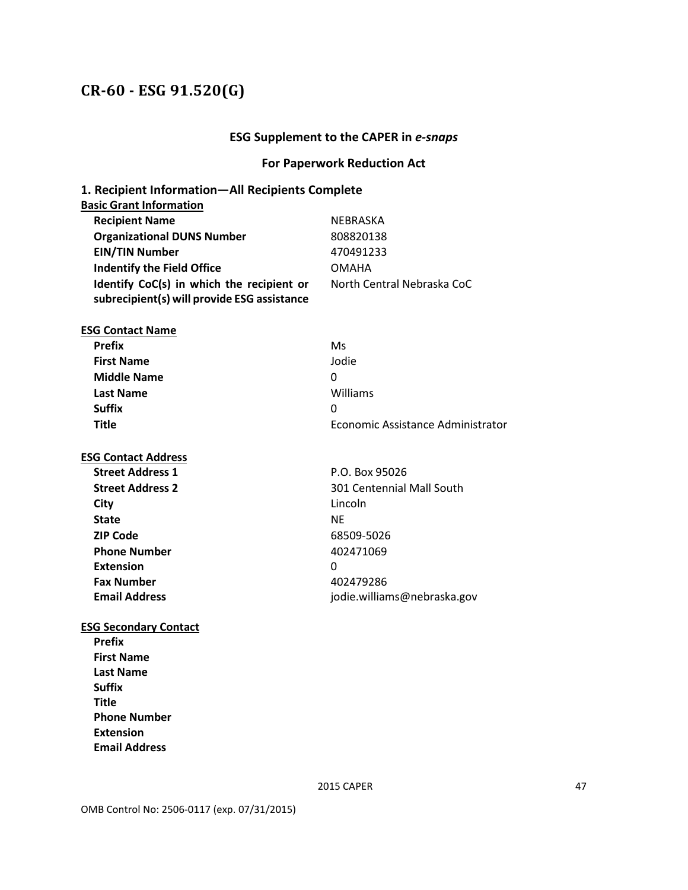### <span id="page-55-0"></span>**CR-60 - ESG 91.520(G)**

#### **ESG Supplement to the CAPER in** *e-snaps*

#### **For Paperwork Reduction Act**

### **1. Recipient Information—All Recipients Complete Basic Grant Information Recipient Name** NEBRASKA **Organizational DUNS Number** 808820138 **EIN/TIN Number** 470491233 **Indentify the Field Office COMAHA Identify CoC(s) in which the recipient or subrecipient(s) will provide ESG assistance** North Central Nebraska CoC **ESG Contact Name Prefix** Ms **First Name** Jodie **Middle Name** 0 **Last Name** Williams **Suffix** 0 **Title** Economic Assistance Administrator **ESG Contact Address Street Address 1** P.O. Box 95026 **Street Address 2** 301 Centennial Mall South **City** Lincoln **State** NE NE NE NE NE **ZIP Code** 68509-5026 **Phone Number** 402471069 **Extension** 0 **Fax Number** 402479286 **Email Address** jodie.williams@nebraska.gov **ESG Secondary Contact Prefix First Name Last Name Suffix Title Phone Number Extension Email Address**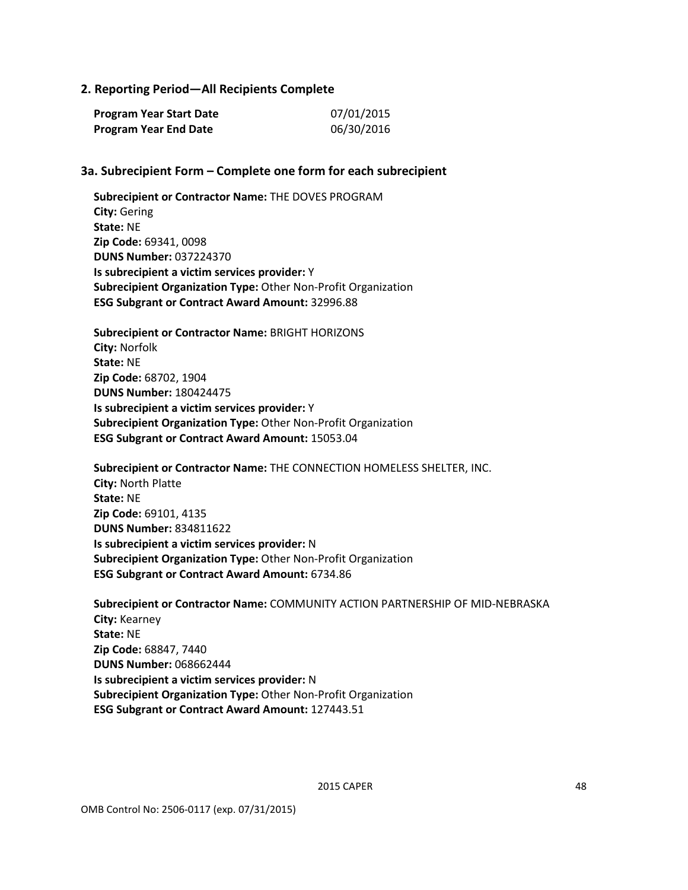#### **2. Reporting Period—All Recipients Complete**

| Program Year Start Date | 07/01/2015 |
|-------------------------|------------|
| Program Year End Date   | 06/30/2016 |

#### **3a. Subrecipient Form – Complete one form for each subrecipient**

**Subrecipient or Contractor Name:** THE DOVES PROGRAM **City:** Gering **State:** NE **Zip Code:** 69341, 0098 **DUNS Number:** 037224370 **Is subrecipient a victim services provider:** Y **Subrecipient Organization Type:** Other Non-Profit Organization **ESG Subgrant or Contract Award Amount:** 32996.88

**Subrecipient or Contractor Name:** BRIGHT HORIZONS **City:** Norfolk **State:** NE **Zip Code:** 68702, 1904 **DUNS Number:** 180424475 **Is subrecipient a victim services provider:** Y **Subrecipient Organization Type:** Other Non-Profit Organization **ESG Subgrant or Contract Award Amount:** 15053.04

**Subrecipient or Contractor Name:** THE CONNECTION HOMELESS SHELTER, INC. **City:** North Platte **State:** NE **Zip Code:** 69101, 4135 **DUNS Number:** 834811622 **Is subrecipient a victim services provider:** N **Subrecipient Organization Type:** Other Non-Profit Organization **ESG Subgrant or Contract Award Amount:** 6734.86

**Subrecipient or Contractor Name:** COMMUNITY ACTION PARTNERSHIP OF MID-NEBRASKA **City:** Kearney **State:** NE **Zip Code:** 68847, 7440 **DUNS Number:** 068662444 **Is subrecipient a victim services provider:** N **Subrecipient Organization Type:** Other Non-Profit Organization **ESG Subgrant or Contract Award Amount:** 127443.51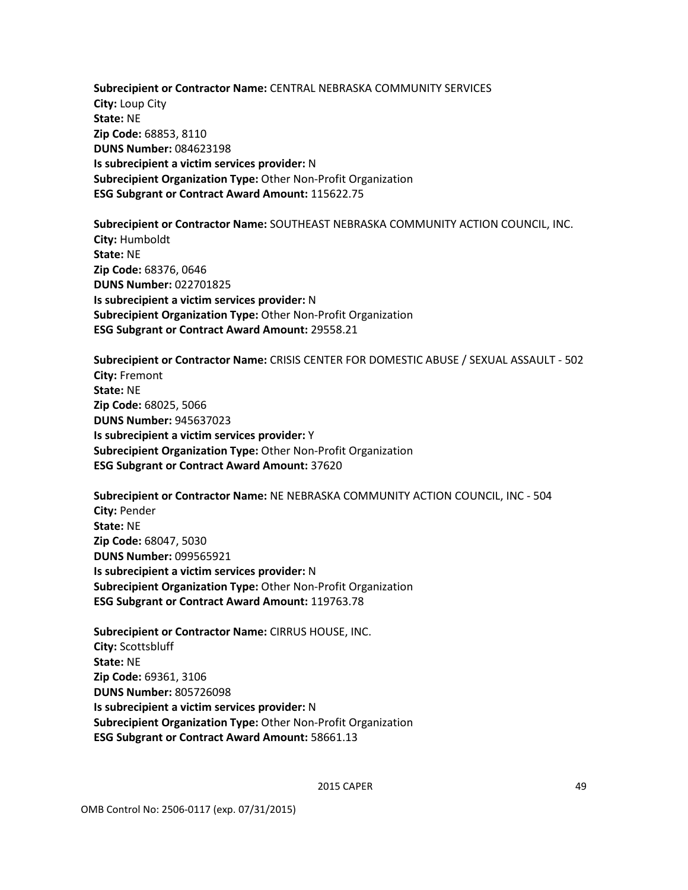**Subrecipient or Contractor Name:** CENTRAL NEBRASKA COMMUNITY SERVICES **City:** Loup City **State:** NE **Zip Code:** 68853, 8110 **DUNS Number:** 084623198 **Is subrecipient a victim services provider:** N **Subrecipient Organization Type:** Other Non-Profit Organization **ESG Subgrant or Contract Award Amount:** 115622.75

**Subrecipient or Contractor Name:** SOUTHEAST NEBRASKA COMMUNITY ACTION COUNCIL, INC. **City:** Humboldt **State:** NE **Zip Code:** 68376, 0646 **DUNS Number:** 022701825 **Is subrecipient a victim services provider:** N **Subrecipient Organization Type:** Other Non-Profit Organization **ESG Subgrant or Contract Award Amount:** 29558.21

**Subrecipient or Contractor Name:** CRISIS CENTER FOR DOMESTIC ABUSE / SEXUAL ASSAULT - 502 **City:** Fremont **State:** NE **Zip Code:** 68025, 5066 **DUNS Number:** 945637023 **Is subrecipient a victim services provider:** Y **Subrecipient Organization Type:** Other Non-Profit Organization **ESG Subgrant or Contract Award Amount:** 37620

**Subrecipient or Contractor Name:** NE NEBRASKA COMMUNITY ACTION COUNCIL, INC - 504 **City:** Pender **State:** NE **Zip Code:** 68047, 5030 **DUNS Number:** 099565921 **Is subrecipient a victim services provider:** N **Subrecipient Organization Type:** Other Non-Profit Organization **ESG Subgrant or Contract Award Amount:** 119763.78

**Subrecipient or Contractor Name:** CIRRUS HOUSE, INC. **City:** Scottsbluff **State:** NE **Zip Code:** 69361, 3106 **DUNS Number:** 805726098 **Is subrecipient a victim services provider:** N **Subrecipient Organization Type:** Other Non-Profit Organization **ESG Subgrant or Contract Award Amount:** 58661.13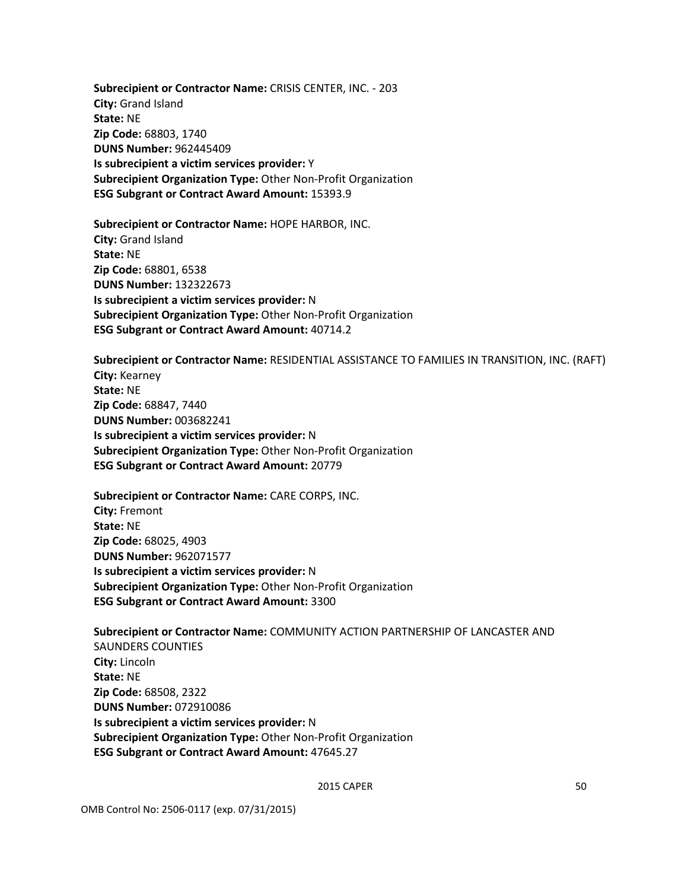**Subrecipient or Contractor Name:** CRISIS CENTER, INC. - 203 **City:** Grand Island **State:** NE **Zip Code:** 68803, 1740 **DUNS Number:** 962445409 **Is subrecipient a victim services provider:** Y **Subrecipient Organization Type:** Other Non-Profit Organization **ESG Subgrant or Contract Award Amount:** 15393.9

**Subrecipient or Contractor Name:** HOPE HARBOR, INC. **City:** Grand Island **State:** NE **Zip Code:** 68801, 6538 **DUNS Number:** 132322673 **Is subrecipient a victim services provider:** N **Subrecipient Organization Type:** Other Non-Profit Organization **ESG Subgrant or Contract Award Amount:** 40714.2

**Subrecipient or Contractor Name:** RESIDENTIAL ASSISTANCE TO FAMILIES IN TRANSITION, INC. (RAFT) **City:** Kearney **State:** NE **Zip Code:** 68847, 7440 **DUNS Number:** 003682241 **Is subrecipient a victim services provider:** N **Subrecipient Organization Type:** Other Non-Profit Organization **ESG Subgrant or Contract Award Amount:** 20779

**Subrecipient or Contractor Name:** CARE CORPS, INC. **City:** Fremont **State:** NE **Zip Code:** 68025, 4903 **DUNS Number:** 962071577 **Is subrecipient a victim services provider:** N **Subrecipient Organization Type:** Other Non-Profit Organization **ESG Subgrant or Contract Award Amount:** 3300

**Subrecipient or Contractor Name:** COMMUNITY ACTION PARTNERSHIP OF LANCASTER AND SAUNDERS COUNTIES **City:** Lincoln **State:** NE **Zip Code:** 68508, 2322 **DUNS Number:** 072910086 **Is subrecipient a victim services provider:** N **Subrecipient Organization Type:** Other Non-Profit Organization **ESG Subgrant or Contract Award Amount:** 47645.27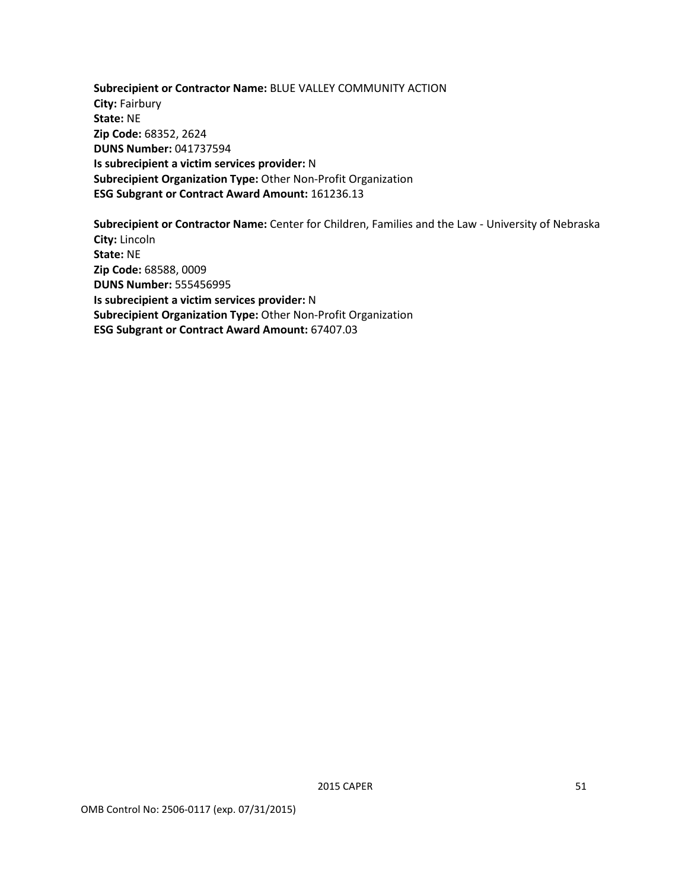**Subrecipient or Contractor Name:** BLUE VALLEY COMMUNITY ACTION **City:** Fairbury **State:** NE **Zip Code:** 68352, 2624 **DUNS Number:** 041737594 **Is subrecipient a victim services provider:** N **Subrecipient Organization Type:** Other Non-Profit Organization **ESG Subgrant or Contract Award Amount:** 161236.13

**Subrecipient or Contractor Name:** Center for Children, Families and the Law - University of Nebraska **City:** Lincoln **State:** NE **Zip Code:** 68588, 0009 **DUNS Number:** 555456995 **Is subrecipient a victim services provider:** N **Subrecipient Organization Type:** Other Non-Profit Organization **ESG Subgrant or Contract Award Amount:** 67407.03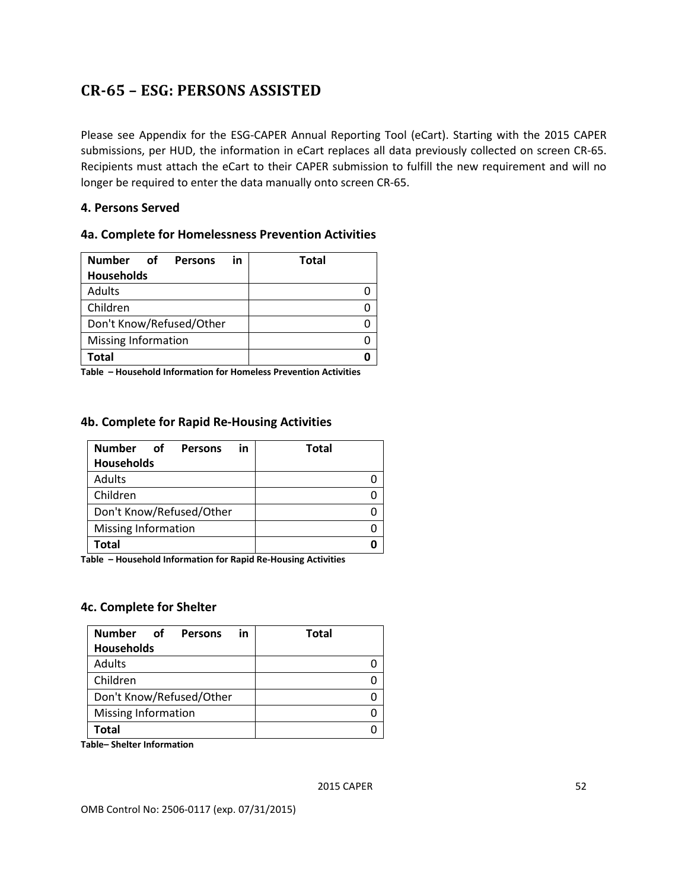# <span id="page-60-0"></span>**CR-65 – ESG: PERSONS ASSISTED**

Please see Appendix for the ESG-CAPER Annual Reporting Tool (eCart). Starting with the 2015 CAPER submissions, per HUD, the information in eCart replaces all data previously collected on screen CR-65. Recipients must attach the eCart to their CAPER submission to fulfill the new requirement and will no longer be required to enter the data manually onto screen CR-65.

#### **4. Persons Served**

#### **4a. Complete for Homelessness Prevention Activities**

| <b>Number</b><br>of<br>in<br><b>Persons</b> | <b>Total</b> |
|---------------------------------------------|--------------|
| <b>Households</b>                           |              |
| Adults                                      |              |
| Children                                    |              |
| Don't Know/Refused/Other                    |              |
| Missing Information                         |              |
| Total                                       |              |

**Table – Household Information for Homeless Prevention Activities**

#### **4b. Complete for Rapid Re-Housing Activities**

| Number<br>of<br><b>Persons</b><br>in | <b>Total</b> |
|--------------------------------------|--------------|
| <b>Households</b>                    |              |
| Adults                               |              |
| Children                             |              |
| Don't Know/Refused/Other             |              |
| Missing Information                  |              |
| Total                                |              |

**Table – Household Information for Rapid Re-Housing Activities**

#### **4c. Complete for Shelter**

| <b>Number</b><br>of<br><b>Persons</b><br>in | <b>Total</b> |
|---------------------------------------------|--------------|
| <b>Households</b>                           |              |
| Adults                                      |              |
| Children                                    |              |
| Don't Know/Refused/Other                    |              |
| <b>Missing Information</b>                  |              |
| Total                                       |              |

**Table– Shelter Information**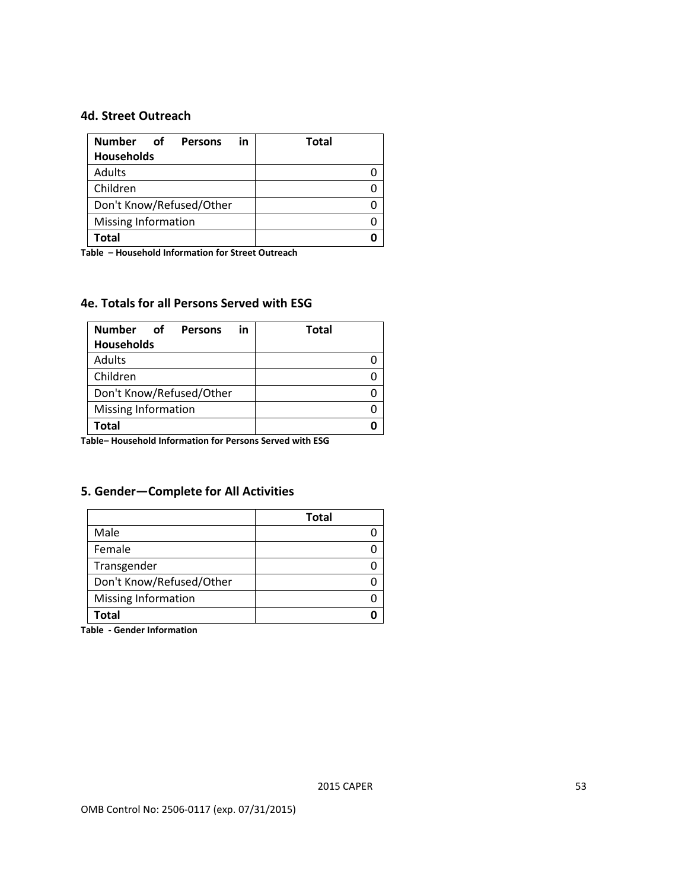#### **4d. Street Outreach**

| <b>Number</b><br>റf<br><b>Persons</b><br>in | <b>Total</b> |
|---------------------------------------------|--------------|
| <b>Households</b>                           |              |
| Adults                                      |              |
| Children                                    |              |
| Don't Know/Refused/Other                    |              |
| Missing Information                         |              |
| Total                                       |              |

**Table – Household Information for Street Outreach**

#### **4e. Totals for all Persons Served with ESG**

| <b>Number</b><br>് റf<br><b>Persons</b><br>in | <b>Total</b> |
|-----------------------------------------------|--------------|
| <b>Households</b>                             |              |
| Adults                                        |              |
| Children                                      |              |
| Don't Know/Refused/Other                      |              |
| Missing Information                           |              |
| Total                                         |              |

**Table– Household Information for Persons Served with ESG**

### **5. Gender—Complete for All Activities**

|                            | <b>Total</b> |
|----------------------------|--------------|
| Male                       |              |
| Female                     |              |
| Transgender                |              |
| Don't Know/Refused/Other   |              |
| <b>Missing Information</b> |              |
| Total                      |              |

**Table - Gender Information**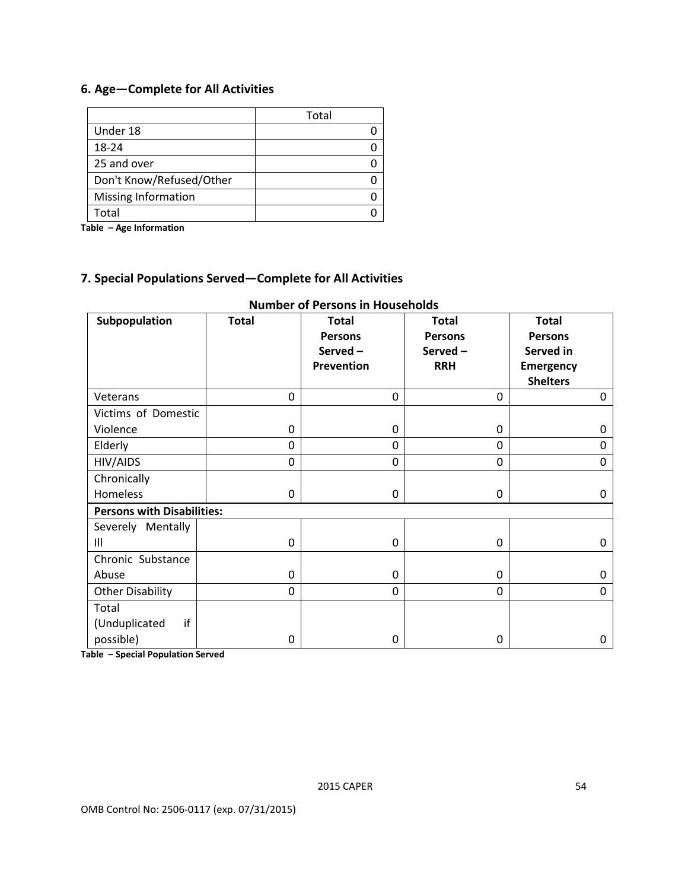### **6. Age—Complete for All Activities**

|                          | Total |
|--------------------------|-------|
| Under 18                 |       |
| 18-24                    |       |
| 25 and over              |       |
| Don't Know/Refused/Other |       |
| Missing Information      |       |
| Total                    |       |

**Table – Age Information**

#### **7. Special Populations Served—Complete for All Activities**

| Subpopulation                     | <b>Total</b> | <b>Total</b><br><b>Persons</b><br>Served-<br>Prevention | <b>Total</b><br><b>Persons</b><br>Served-<br><b>RRH</b> | <b>Total</b><br><b>Persons</b><br>Served in<br><b>Emergency</b><br><b>Shelters</b> |  |
|-----------------------------------|--------------|---------------------------------------------------------|---------------------------------------------------------|------------------------------------------------------------------------------------|--|
| Veterans                          | $\mathbf 0$  | 0                                                       | $\mathbf 0$                                             | $\Omega$                                                                           |  |
| Victims of Domestic               |              |                                                         |                                                         |                                                                                    |  |
| Violence                          | 0            | 0                                                       | 0                                                       | 0                                                                                  |  |
| Elderly                           | 0            | 0                                                       | $\mathbf 0$                                             | 0                                                                                  |  |
| HIV/AIDS                          | $\mathbf 0$  | 0                                                       | $\mathbf 0$                                             | $\Omega$                                                                           |  |
| Chronically                       |              |                                                         |                                                         |                                                                                    |  |
| Homeless                          | $\Omega$     | 0                                                       | 0                                                       | 0                                                                                  |  |
| <b>Persons with Disabilities:</b> |              |                                                         |                                                         |                                                                                    |  |
| Severely Mentally                 |              |                                                         |                                                         |                                                                                    |  |
| Ш                                 | 0            | 0                                                       | 0                                                       | 0                                                                                  |  |
| Chronic Substance                 |              |                                                         |                                                         |                                                                                    |  |
| Abuse                             | 0            | $\Omega$                                                | $\Omega$                                                | 0                                                                                  |  |
| <b>Other Disability</b>           | $\Omega$     | $\Omega$                                                | $\Omega$                                                | $\Omega$                                                                           |  |
| Total                             |              |                                                         |                                                         |                                                                                    |  |
| if<br>(Unduplicated               |              |                                                         |                                                         |                                                                                    |  |
| possible)                         | 0            | 0                                                       | 0                                                       | 0                                                                                  |  |

#### **Number of Persons in Households**

**Table – Special Population Served**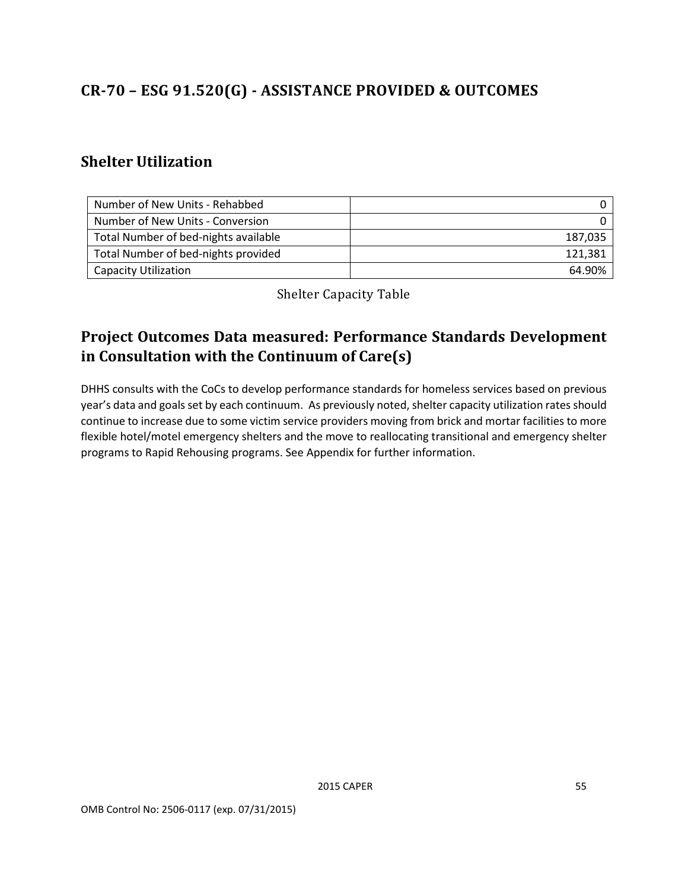# <span id="page-63-0"></span>**CR-70 – ESG 91.520(G) - ASSISTANCE PROVIDED & OUTCOMES**

### <span id="page-63-1"></span>**Shelter Utilization**

| Number of New Units - Rehabbed       |         |
|--------------------------------------|---------|
| Number of New Units - Conversion     |         |
| Total Number of bed-nights available | 187,035 |
| Total Number of bed-nights provided  | 121,381 |
| <b>Capacity Utilization</b>          | 64.90%  |

Shelter Capacity Table

# <span id="page-63-3"></span><span id="page-63-2"></span>**Project Outcomes Data measured: Performance Standards Development in Consultation with the Continuum of Care(s)**

DHHS consults with the CoCs to develop performance standards for homeless services based on previous year's data and goals set by each continuum. As previously noted, shelter capacity utilization rates should continue to increase due to some victim service providers moving from brick and mortar facilities to more flexible hotel/motel emergency shelters and the move to reallocating transitional and emergency shelter programs to Rapid Rehousing programs. See Appendix for further information.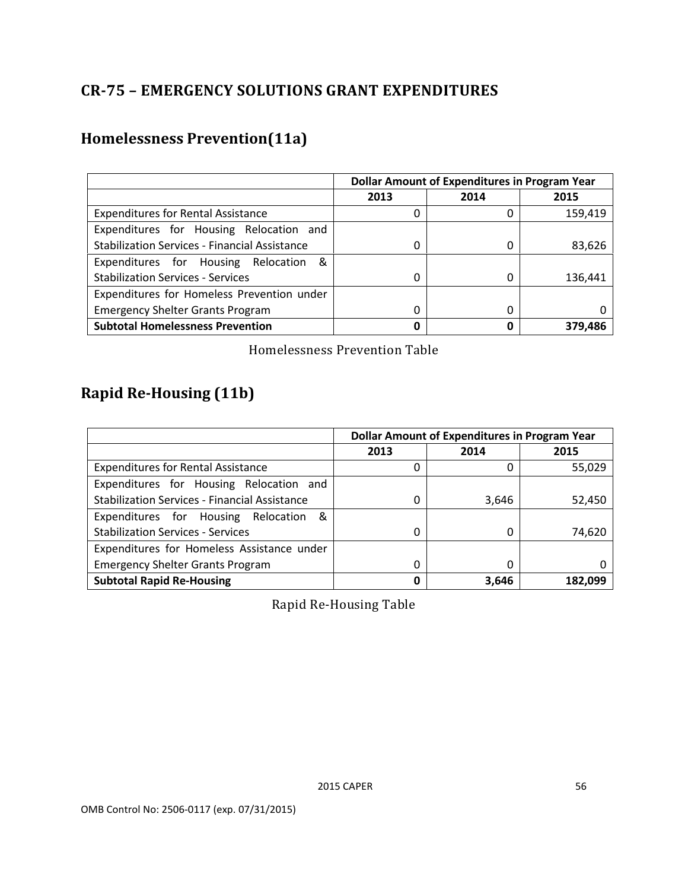# <span id="page-64-0"></span>**CR-75 – EMERGENCY SOLUTIONS GRANT EXPENDITURES**

# <span id="page-64-1"></span>**Homelessness Prevention(11a)**

|                                                      | <b>Dollar Amount of Expenditures in Program Year</b> |      |         |
|------------------------------------------------------|------------------------------------------------------|------|---------|
|                                                      | 2013                                                 | 2014 | 2015    |
| <b>Expenditures for Rental Assistance</b>            |                                                      | 0    | 159,419 |
| Expenditures for Housing Relocation and              |                                                      |      |         |
| <b>Stabilization Services - Financial Assistance</b> |                                                      | 0    | 83,626  |
| Expenditures for Housing Relocation &                |                                                      |      |         |
| <b>Stabilization Services - Services</b>             |                                                      | 0    | 136,441 |
| Expenditures for Homeless Prevention under           |                                                      |      |         |
| <b>Emergency Shelter Grants Program</b>              |                                                      | 0    |         |
| <b>Subtotal Homelessness Prevention</b>              | 0                                                    | 0    | 379.486 |

Homelessness Prevention Table

# <span id="page-64-3"></span><span id="page-64-2"></span>**Rapid Re-Housing (11b)**

<span id="page-64-4"></span>

|                                                      | <b>Dollar Amount of Expenditures in Program Year</b> |       |         |
|------------------------------------------------------|------------------------------------------------------|-------|---------|
|                                                      | 2013                                                 | 2014  | 2015    |
| <b>Expenditures for Rental Assistance</b>            |                                                      | 0     | 55,029  |
| Expenditures for Housing Relocation and              |                                                      |       |         |
| <b>Stabilization Services - Financial Assistance</b> |                                                      | 3,646 | 52,450  |
| Expenditures for Housing Relocation &                |                                                      |       |         |
| <b>Stabilization Services - Services</b>             | 0                                                    | 0     | 74,620  |
| Expenditures for Homeless Assistance under           |                                                      |       |         |
| <b>Emergency Shelter Grants Program</b>              |                                                      | 0     |         |
| <b>Subtotal Rapid Re-Housing</b>                     | O                                                    | 3,646 | 182.099 |

Rapid Re-Housing Table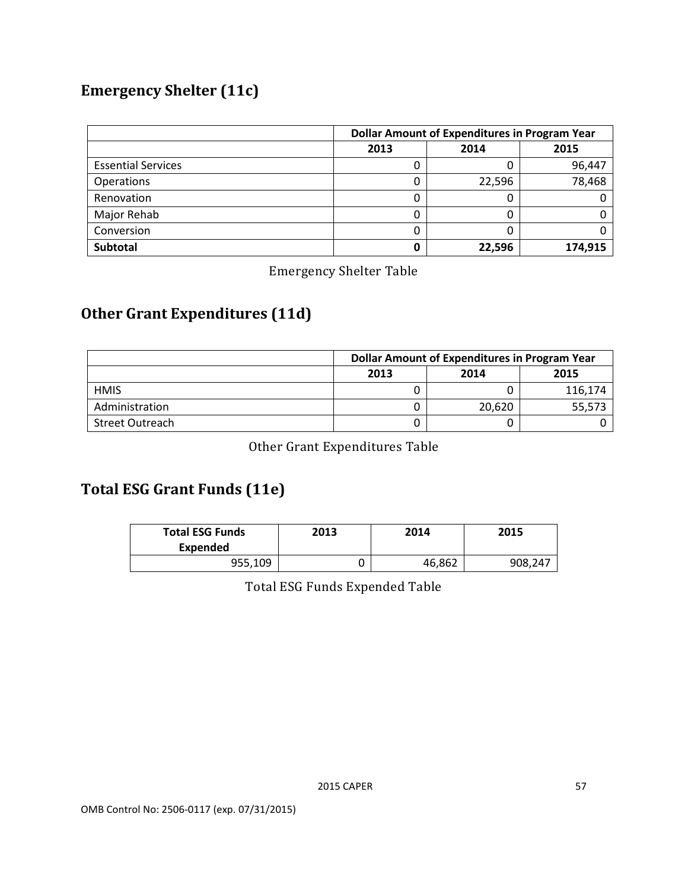# <span id="page-65-0"></span>**Emergency Shelter (11c)**

|                           | <b>Dollar Amount of Expenditures in Program Year</b> |        |         |
|---------------------------|------------------------------------------------------|--------|---------|
|                           | 2013                                                 | 2014   | 2015    |
| <b>Essential Services</b> |                                                      | 0      | 96,447  |
| Operations                |                                                      | 22,596 | 78,468  |
| Renovation                |                                                      | 0      |         |
| Major Rehab               |                                                      | 0      |         |
| Conversion                |                                                      | 0      |         |
| <b>Subtotal</b>           |                                                      | 22,596 | 174,915 |

Emergency Shelter Table

# <span id="page-65-2"></span><span id="page-65-1"></span>**Other Grant Expenditures (11d)**

|                        | <b>Dollar Amount of Expenditures in Program Year</b> |        |         |  |
|------------------------|------------------------------------------------------|--------|---------|--|
|                        | 2014<br>2013<br>2015                                 |        |         |  |
| <b>HMIS</b>            |                                                      |        | 116,174 |  |
| Administration         |                                                      | 20.620 | 55,573  |  |
| <b>Street Outreach</b> |                                                      |        |         |  |

Other Grant Expenditures Table

# <span id="page-65-4"></span><span id="page-65-3"></span>**Total ESG Grant Funds (11e)**

<span id="page-65-5"></span>

| <b>Total ESG Funds</b><br><b>Expended</b> | 2013 | 2014   | 2015    |
|-------------------------------------------|------|--------|---------|
| 955,109                                   |      | 46,862 | 908,247 |

Total ESG Funds Expended Table